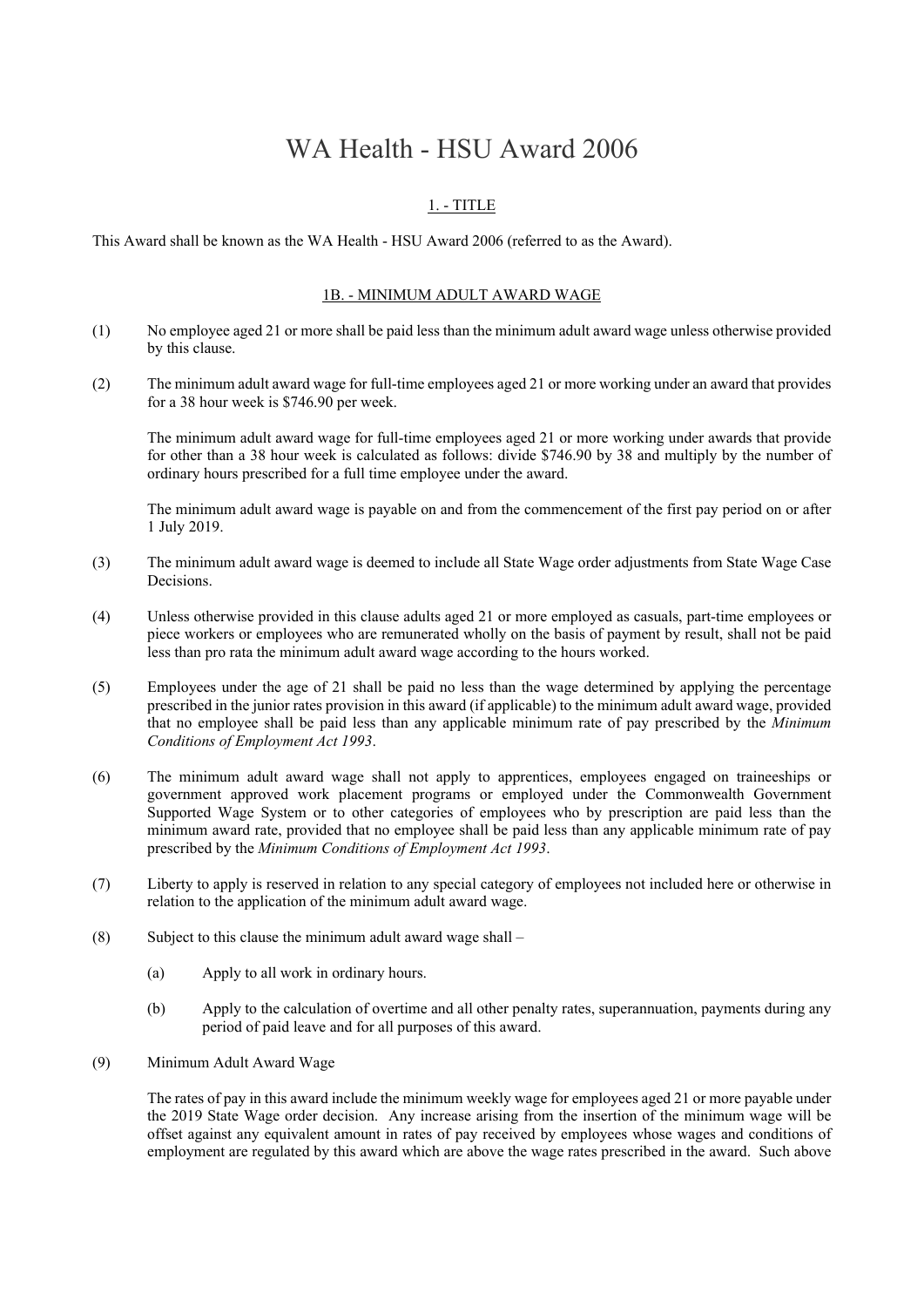# WA Health - HSU Award 2006

# 1. - TITLE

This Award shall be known as the WA Health - HSU Award 2006 (referred to as the Award).

#### 1B. - MINIMUM ADULT AWARD WAGE

- (1) No employee aged 21 or more shall be paid less than the minimum adult award wage unless otherwise provided by this clause.
- (2) The minimum adult award wage for full-time employees aged 21 or more working under an award that provides for a 38 hour week is \$746.90 per week.

The minimum adult award wage for full-time employees aged 21 or more working under awards that provide for other than a 38 hour week is calculated as follows: divide \$746.90 by 38 and multiply by the number of ordinary hours prescribed for a full time employee under the award.

The minimum adult award wage is payable on and from the commencement of the first pay period on or after 1 July 2019.

- (3) The minimum adult award wage is deemed to include all State Wage order adjustments from State Wage Case Decisions.
- (4) Unless otherwise provided in this clause adults aged 21 or more employed as casuals, part-time employees or piece workers or employees who are remunerated wholly on the basis of payment by result, shall not be paid less than pro rata the minimum adult award wage according to the hours worked.
- (5) Employees under the age of 21 shall be paid no less than the wage determined by applying the percentage prescribed in the junior rates provision in this award (if applicable) to the minimum adult award wage, provided that no employee shall be paid less than any applicable minimum rate of pay prescribed by the *Minimum Conditions of Employment Act 1993*.
- (6) The minimum adult award wage shall not apply to apprentices, employees engaged on traineeships or government approved work placement programs or employed under the Commonwealth Government Supported Wage System or to other categories of employees who by prescription are paid less than the minimum award rate, provided that no employee shall be paid less than any applicable minimum rate of pay prescribed by the *Minimum Conditions of Employment Act 1993*.
- (7) Liberty to apply is reserved in relation to any special category of employees not included here or otherwise in relation to the application of the minimum adult award wage.
- (8) Subject to this clause the minimum adult award wage shall
	- (a) Apply to all work in ordinary hours.
	- (b) Apply to the calculation of overtime and all other penalty rates, superannuation, payments during any period of paid leave and for all purposes of this award.
- (9) Minimum Adult Award Wage

The rates of pay in this award include the minimum weekly wage for employees aged 21 or more payable under the 2019 State Wage order decision. Any increase arising from the insertion of the minimum wage will be offset against any equivalent amount in rates of pay received by employees whose wages and conditions of employment are regulated by this award which are above the wage rates prescribed in the award. Such above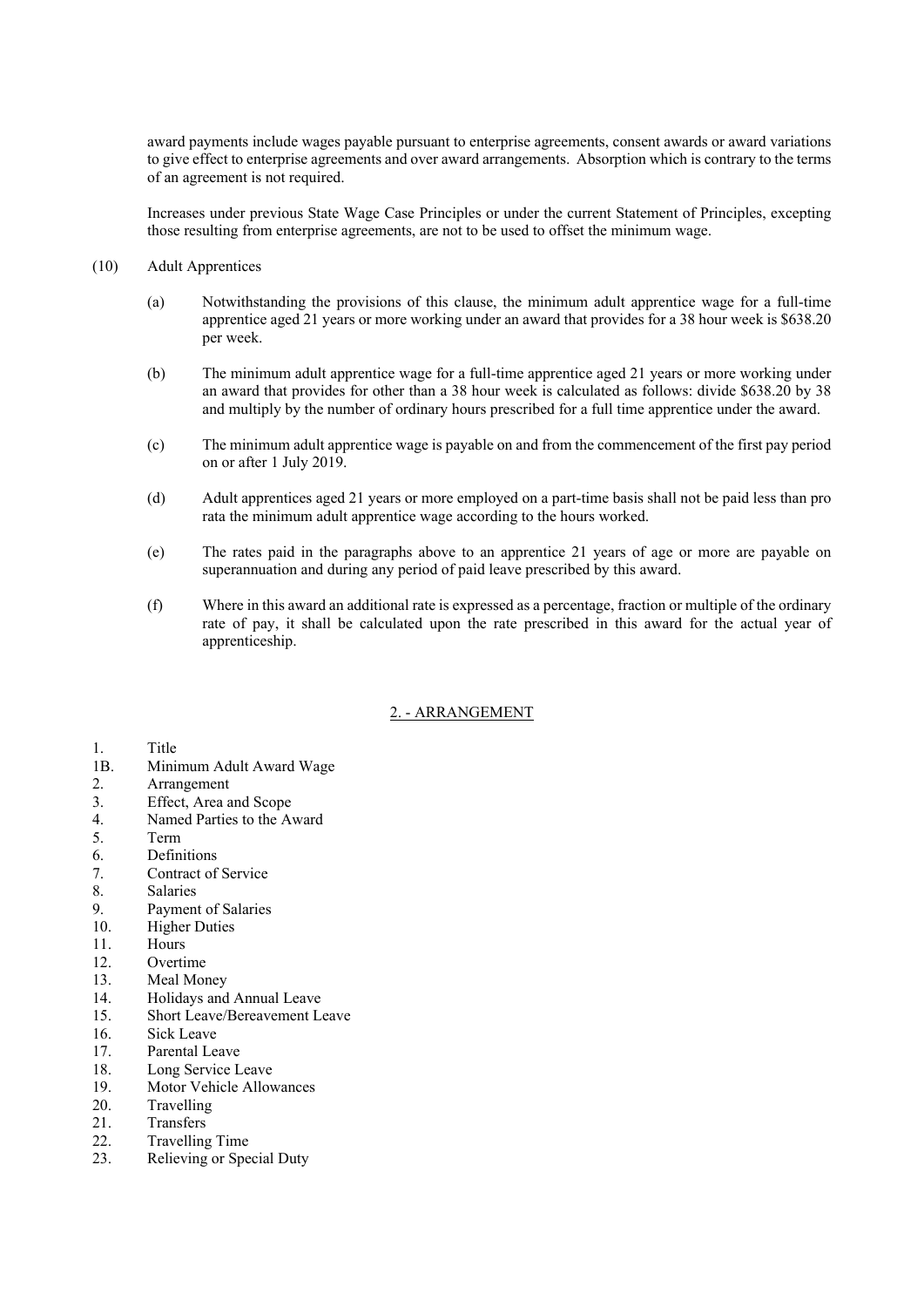award payments include wages payable pursuant to enterprise agreements, consent awards or award variations to give effect to enterprise agreements and over award arrangements. Absorption which is contrary to the terms of an agreement is not required.

Increases under previous State Wage Case Principles or under the current Statement of Principles, excepting those resulting from enterprise agreements, are not to be used to offset the minimum wage.

#### (10) Adult Apprentices

- (a) Notwithstanding the provisions of this clause, the minimum adult apprentice wage for a full-time apprentice aged 21 years or more working under an award that provides for a 38 hour week is \$638.20 per week.
- (b) The minimum adult apprentice wage for a full-time apprentice aged 21 years or more working under an award that provides for other than a 38 hour week is calculated as follows: divide \$638.20 by 38 and multiply by the number of ordinary hours prescribed for a full time apprentice under the award.
- (c) The minimum adult apprentice wage is payable on and from the commencement of the first pay period on or after 1 July 2019.
- (d) Adult apprentices aged 21 years or more employed on a part-time basis shall not be paid less than pro rata the minimum adult apprentice wage according to the hours worked.
- (e) The rates paid in the paragraphs above to an apprentice 21 years of age or more are payable on superannuation and during any period of paid leave prescribed by this award.
- (f) Where in this award an additional rate is expressed as a percentage, fraction or multiple of the ordinary rate of pay, it shall be calculated upon the rate prescribed in this award for the actual year of apprenticeship.

## 2. - ARRANGEMENT

#### 1. Title

- 1B. Minimum Adult Award Wage
- 2. Arrangement
- 3. Effect, Area and Scope
- 4. Named Parties to the Award
- 5. Term
- 6. Definitions
- 7. Contract of Service
- 8. Salaries
- 9. Payment of Salaries
- 10. Higher Duties
- 11. Hours
- 12. Overtime
- 13. Meal Money
- 14. Holidays and Annual Leave
- 15. Short Leave/Bereavement Leave
- 16. Sick Leave
- 17. Parental Leave
- 18. Long Service Leave
- 19. Motor Vehicle Allowances
- 20. Travelling
- 21. Transfers
- 22. Travelling Time
- 23. Relieving or Special Duty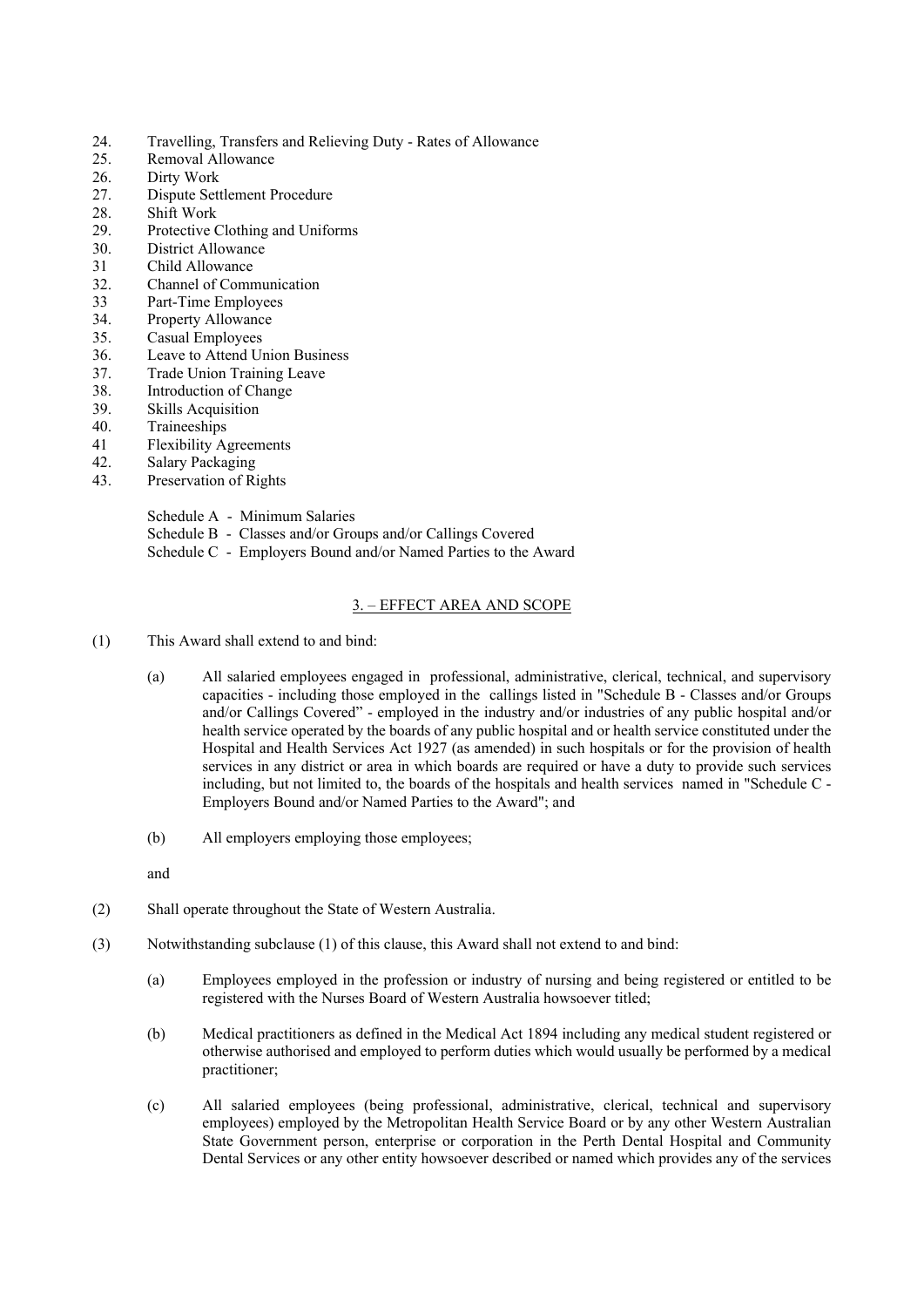- 24. Travelling, Transfers and Relieving Duty Rates of Allowance
- 25. Removal Allowance
- 26. Dirty Work
- 27. Dispute Settlement Procedure
- 28. Shift Work
- 29. Protective Clothing and Uniforms
- 30. District Allowance
- 31 Child Allowance
- 32. Channel of Communication
- 33 Part-Time Employees
- 34. Property Allowance
- 35. Casual Employees
- 36. Leave to Attend Union Business
- 37. Trade Union Training Leave
- 38. Introduction of Change
- 39. Skills Acquisition
- 40. Traineeships
- 41 Flexibility Agreements
- 42. Salary Packaging
- 43. Preservation of Rights

Schedule A - Minimum Salaries

Schedule B - Classes and/or Groups and/or Callings Covered Schedule C - Employers Bound and/or Named Parties to the Award

## 3. – EFFECT AREA AND SCOPE

- (1) This Award shall extend to and bind:
	- (a) All salaried employees engaged in professional, administrative, clerical, technical, and supervisory capacities - including those employed in the callings listed in "Schedule B - Classes and/or Groups and/or Callings Covered" - employed in the industry and/or industries of any public hospital and/or health service operated by the boards of any public hospital and or health service constituted under the Hospital and Health Services Act 1927 (as amended) in such hospitals or for the provision of health services in any district or area in which boards are required or have a duty to provide such services including, but not limited to, the boards of the hospitals and health services named in "Schedule C - Employers Bound and/or Named Parties to the Award"; and
	- (b) All employers employing those employees;

and

- (2) Shall operate throughout the State of Western Australia.
- (3) Notwithstanding subclause (1) of this clause, this Award shall not extend to and bind:
	- (a) Employees employed in the profession or industry of nursing and being registered or entitled to be registered with the Nurses Board of Western Australia howsoever titled;
	- (b) Medical practitioners as defined in the Medical Act 1894 including any medical student registered or otherwise authorised and employed to perform duties which would usually be performed by a medical practitioner;
	- (c) All salaried employees (being professional, administrative, clerical, technical and supervisory employees) employed by the Metropolitan Health Service Board or by any other Western Australian State Government person, enterprise or corporation in the Perth Dental Hospital and Community Dental Services or any other entity howsoever described or named which provides any of the services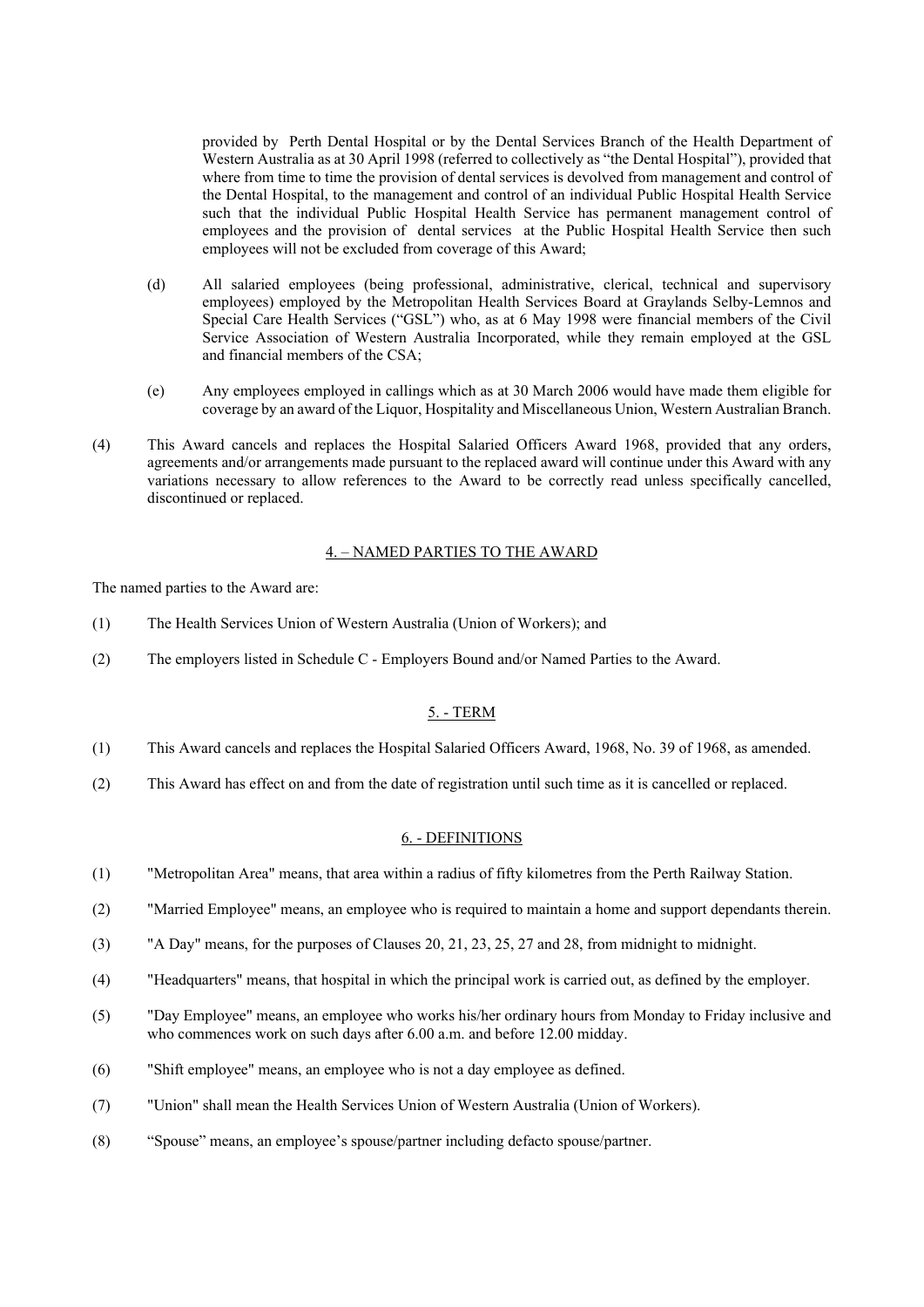provided by Perth Dental Hospital or by the Dental Services Branch of the Health Department of Western Australia as at 30 April 1998 (referred to collectively as "the Dental Hospital"), provided that where from time to time the provision of dental services is devolved from management and control of the Dental Hospital, to the management and control of an individual Public Hospital Health Service such that the individual Public Hospital Health Service has permanent management control of employees and the provision of dental services at the Public Hospital Health Service then such employees will not be excluded from coverage of this Award;

- (d) All salaried employees (being professional, administrative, clerical, technical and supervisory employees) employed by the Metropolitan Health Services Board at Graylands Selby-Lemnos and Special Care Health Services ("GSL") who, as at 6 May 1998 were financial members of the Civil Service Association of Western Australia Incorporated, while they remain employed at the GSL and financial members of the CSA;
- (e) Any employees employed in callings which as at 30 March 2006 would have made them eligible for coverage by an award of the Liquor, Hospitality and Miscellaneous Union, Western Australian Branch.
- (4) This Award cancels and replaces the Hospital Salaried Officers Award 1968, provided that any orders, agreements and/or arrangements made pursuant to the replaced award will continue under this Award with any variations necessary to allow references to the Award to be correctly read unless specifically cancelled, discontinued or replaced.

#### 4. – NAMED PARTIES TO THE AWARD

The named parties to the Award are:

- (1) The Health Services Union of Western Australia (Union of Workers); and
- (2) The employers listed in Schedule C Employers Bound and/or Named Parties to the Award.

#### 5. - TERM

- (1) This Award cancels and replaces the Hospital Salaried Officers Award, 1968, No. 39 of 1968, as amended.
- (2) This Award has effect on and from the date of registration until such time as it is cancelled or replaced.

#### 6. - DEFINITIONS

- (1) "Metropolitan Area" means, that area within a radius of fifty kilometres from the Perth Railway Station.
- (2) "Married Employee" means, an employee who is required to maintain a home and support dependants therein.
- (3) "A Day" means, for the purposes of Clauses 20, 21, 23, 25, 27 and 28, from midnight to midnight.
- (4) "Headquarters" means, that hospital in which the principal work is carried out, as defined by the employer.
- (5) "Day Employee" means, an employee who works his/her ordinary hours from Monday to Friday inclusive and who commences work on such days after 6.00 a.m. and before 12.00 midday.
- (6) "Shift employee" means, an employee who is not a day employee as defined.
- (7) "Union" shall mean the Health Services Union of Western Australia (Union of Workers).
- (8) "Spouse" means, an employee's spouse/partner including defacto spouse/partner.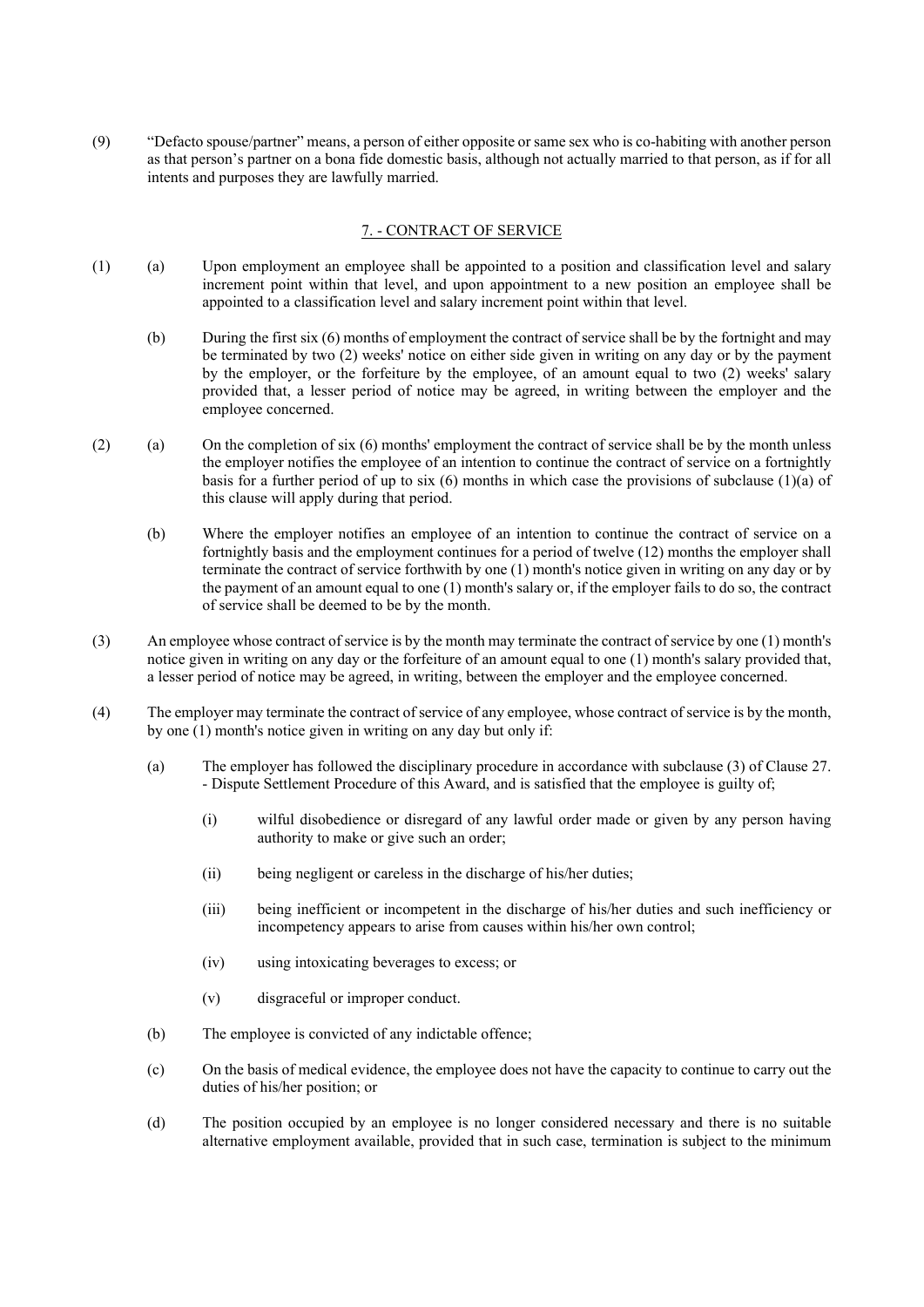(9) "Defacto spouse/partner" means, a person of either opposite or same sex who is co-habiting with another person as that person's partner on a bona fide domestic basis, although not actually married to that person, as if for all intents and purposes they are lawfully married.

## 7. - CONTRACT OF SERVICE

- (1) (a) Upon employment an employee shall be appointed to a position and classification level and salary increment point within that level, and upon appointment to a new position an employee shall be appointed to a classification level and salary increment point within that level.
	- (b) During the first six (6) months of employment the contract of service shall be by the fortnight and may be terminated by two (2) weeks' notice on either side given in writing on any day or by the payment by the employer, or the forfeiture by the employee, of an amount equal to two (2) weeks' salary provided that, a lesser period of notice may be agreed, in writing between the employer and the employee concerned.
- (2) (a) On the completion of six (6) months' employment the contract of service shall be by the month unless the employer notifies the employee of an intention to continue the contract of service on a fortnightly basis for a further period of up to six  $(6)$  months in which case the provisions of subclause  $(1)(a)$  of this clause will apply during that period.
	- (b) Where the employer notifies an employee of an intention to continue the contract of service on a fortnightly basis and the employment continues for a period of twelve (12) months the employer shall terminate the contract of service forthwith by one (1) month's notice given in writing on any day or by the payment of an amount equal to one (1) month's salary or, if the employer fails to do so, the contract of service shall be deemed to be by the month.
- (3) An employee whose contract of service is by the month may terminate the contract of service by one (1) month's notice given in writing on any day or the forfeiture of an amount equal to one (1) month's salary provided that, a lesser period of notice may be agreed, in writing, between the employer and the employee concerned.
- (4) The employer may terminate the contract of service of any employee, whose contract of service is by the month, by one (1) month's notice given in writing on any day but only if:
	- (a) The employer has followed the disciplinary procedure in accordance with subclause (3) of Clause 27. - Dispute Settlement Procedure of this Award, and is satisfied that the employee is guilty of;
		- (i) wilful disobedience or disregard of any lawful order made or given by any person having authority to make or give such an order;
		- (ii) being negligent or careless in the discharge of his/her duties;
		- (iii) being inefficient or incompetent in the discharge of his/her duties and such inefficiency or incompetency appears to arise from causes within his/her own control;
		- (iv) using intoxicating beverages to excess; or
		- (v) disgraceful or improper conduct.
	- (b) The employee is convicted of any indictable offence;
	- (c) On the basis of medical evidence, the employee does not have the capacity to continue to carry out the duties of his/her position; or
	- (d) The position occupied by an employee is no longer considered necessary and there is no suitable alternative employment available, provided that in such case, termination is subject to the minimum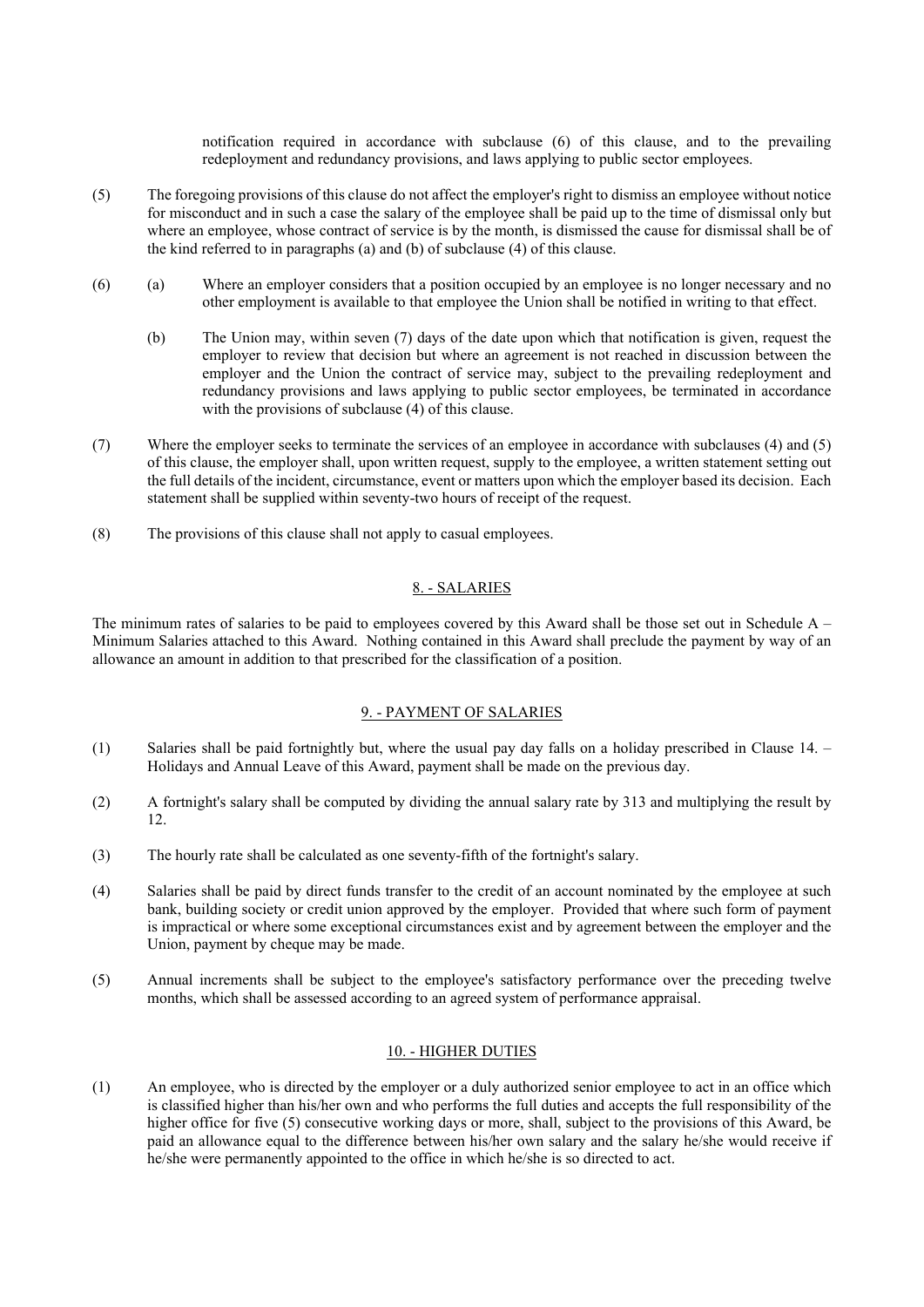notification required in accordance with subclause (6) of this clause, and to the prevailing redeployment and redundancy provisions, and laws applying to public sector employees.

- (5) The foregoing provisions of this clause do not affect the employer's right to dismiss an employee without notice for misconduct and in such a case the salary of the employee shall be paid up to the time of dismissal only but where an employee, whose contract of service is by the month, is dismissed the cause for dismissal shall be of the kind referred to in paragraphs (a) and (b) of subclause (4) of this clause.
- (6) (a) Where an employer considers that a position occupied by an employee is no longer necessary and no other employment is available to that employee the Union shall be notified in writing to that effect.
	- (b) The Union may, within seven (7) days of the date upon which that notification is given, request the employer to review that decision but where an agreement is not reached in discussion between the employer and the Union the contract of service may, subject to the prevailing redeployment and redundancy provisions and laws applying to public sector employees, be terminated in accordance with the provisions of subclause (4) of this clause.
- (7) Where the employer seeks to terminate the services of an employee in accordance with subclauses (4) and (5) of this clause, the employer shall, upon written request, supply to the employee, a written statement setting out the full details of the incident, circumstance, event or matters upon which the employer based its decision. Each statement shall be supplied within seventy-two hours of receipt of the request.
- (8) The provisions of this clause shall not apply to casual employees.

## 8. - SALARIES

The minimum rates of salaries to be paid to employees covered by this Award shall be those set out in Schedule  $A -$ Minimum Salaries attached to this Award. Nothing contained in this Award shall preclude the payment by way of an allowance an amount in addition to that prescribed for the classification of a position.

## 9. - PAYMENT OF SALARIES

- (1) Salaries shall be paid fortnightly but, where the usual pay day falls on a holiday prescribed in Clause 14. Holidays and Annual Leave of this Award, payment shall be made on the previous day.
- (2) A fortnight's salary shall be computed by dividing the annual salary rate by 313 and multiplying the result by 12.
- (3) The hourly rate shall be calculated as one seventy-fifth of the fortnight's salary.
- (4) Salaries shall be paid by direct funds transfer to the credit of an account nominated by the employee at such bank, building society or credit union approved by the employer. Provided that where such form of payment is impractical or where some exceptional circumstances exist and by agreement between the employer and the Union, payment by cheque may be made.
- (5) Annual increments shall be subject to the employee's satisfactory performance over the preceding twelve months, which shall be assessed according to an agreed system of performance appraisal.

## 10. - HIGHER DUTIES

(1) An employee, who is directed by the employer or a duly authorized senior employee to act in an office which is classified higher than his/her own and who performs the full duties and accepts the full responsibility of the higher office for five (5) consecutive working days or more, shall, subject to the provisions of this Award, be paid an allowance equal to the difference between his/her own salary and the salary he/she would receive if he/she were permanently appointed to the office in which he/she is so directed to act.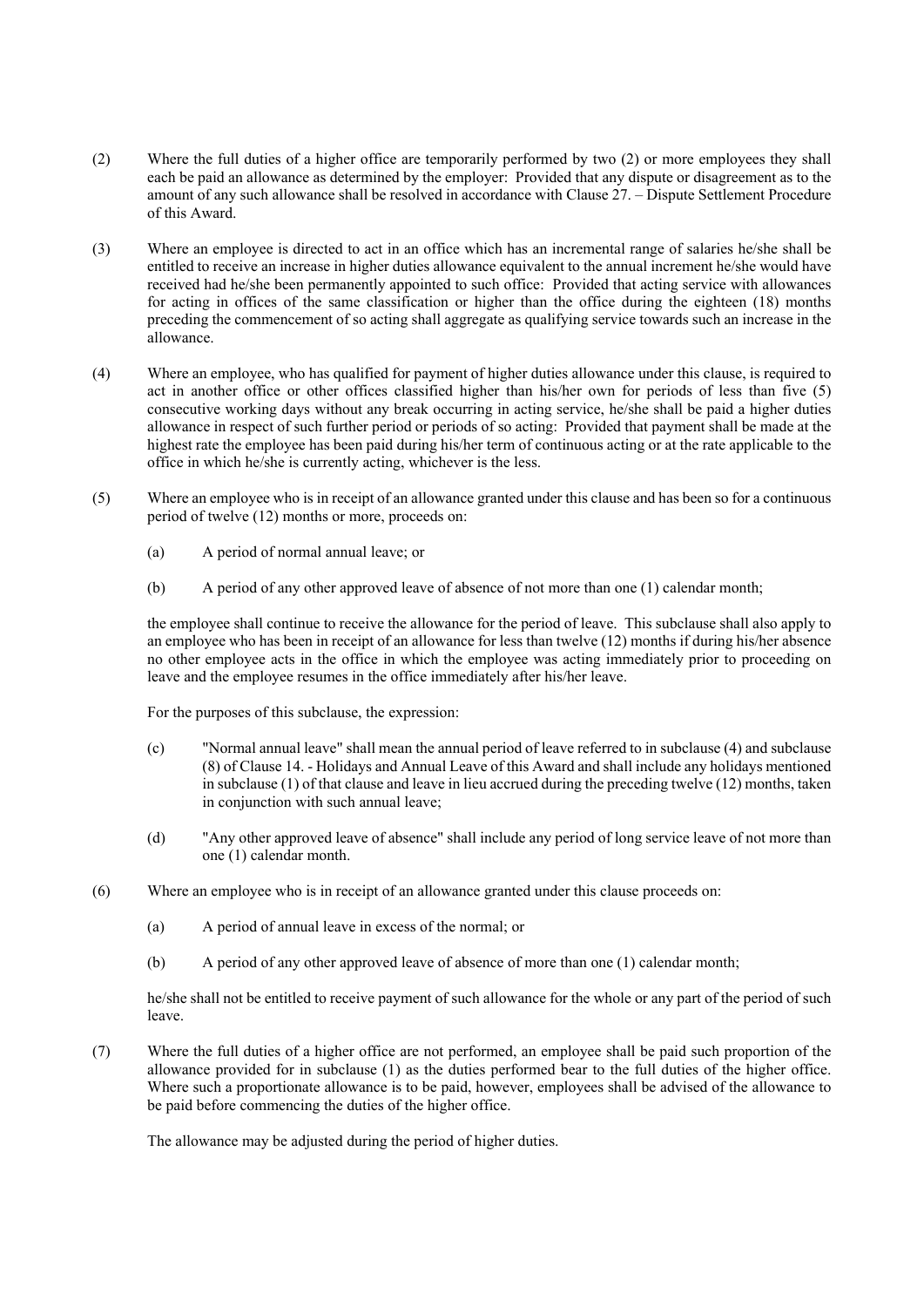- (2) Where the full duties of a higher office are temporarily performed by two (2) or more employees they shall each be paid an allowance as determined by the employer: Provided that any dispute or disagreement as to the amount of any such allowance shall be resolved in accordance with Clause 27. – Dispute Settlement Procedure of this Award.
- (3) Where an employee is directed to act in an office which has an incremental range of salaries he/she shall be entitled to receive an increase in higher duties allowance equivalent to the annual increment he/she would have received had he/she been permanently appointed to such office: Provided that acting service with allowances for acting in offices of the same classification or higher than the office during the eighteen (18) months preceding the commencement of so acting shall aggregate as qualifying service towards such an increase in the allowance.
- (4) Where an employee, who has qualified for payment of higher duties allowance under this clause, is required to act in another office or other offices classified higher than his/her own for periods of less than five (5) consecutive working days without any break occurring in acting service, he/she shall be paid a higher duties allowance in respect of such further period or periods of so acting: Provided that payment shall be made at the highest rate the employee has been paid during his/her term of continuous acting or at the rate applicable to the office in which he/she is currently acting, whichever is the less.
- (5) Where an employee who is in receipt of an allowance granted under this clause and has been so for a continuous period of twelve (12) months or more, proceeds on:
	- (a) A period of normal annual leave; or
	- (b) A period of any other approved leave of absence of not more than one (1) calendar month;

the employee shall continue to receive the allowance for the period of leave. This subclause shall also apply to an employee who has been in receipt of an allowance for less than twelve (12) months if during his/her absence no other employee acts in the office in which the employee was acting immediately prior to proceeding on leave and the employee resumes in the office immediately after his/her leave.

For the purposes of this subclause, the expression:

- (c) "Normal annual leave" shall mean the annual period of leave referred to in subclause (4) and subclause (8) of Clause 14. - Holidays and Annual Leave of this Award and shall include any holidays mentioned in subclause (1) of that clause and leave in lieu accrued during the preceding twelve (12) months, taken in conjunction with such annual leave;
- (d) "Any other approved leave of absence" shall include any period of long service leave of not more than one (1) calendar month.
- (6) Where an employee who is in receipt of an allowance granted under this clause proceeds on:
	- (a) A period of annual leave in excess of the normal; or
	- (b) A period of any other approved leave of absence of more than one (1) calendar month;

he/she shall not be entitled to receive payment of such allowance for the whole or any part of the period of such leave.

(7) Where the full duties of a higher office are not performed, an employee shall be paid such proportion of the allowance provided for in subclause (1) as the duties performed bear to the full duties of the higher office. Where such a proportionate allowance is to be paid, however, employees shall be advised of the allowance to be paid before commencing the duties of the higher office.

The allowance may be adjusted during the period of higher duties.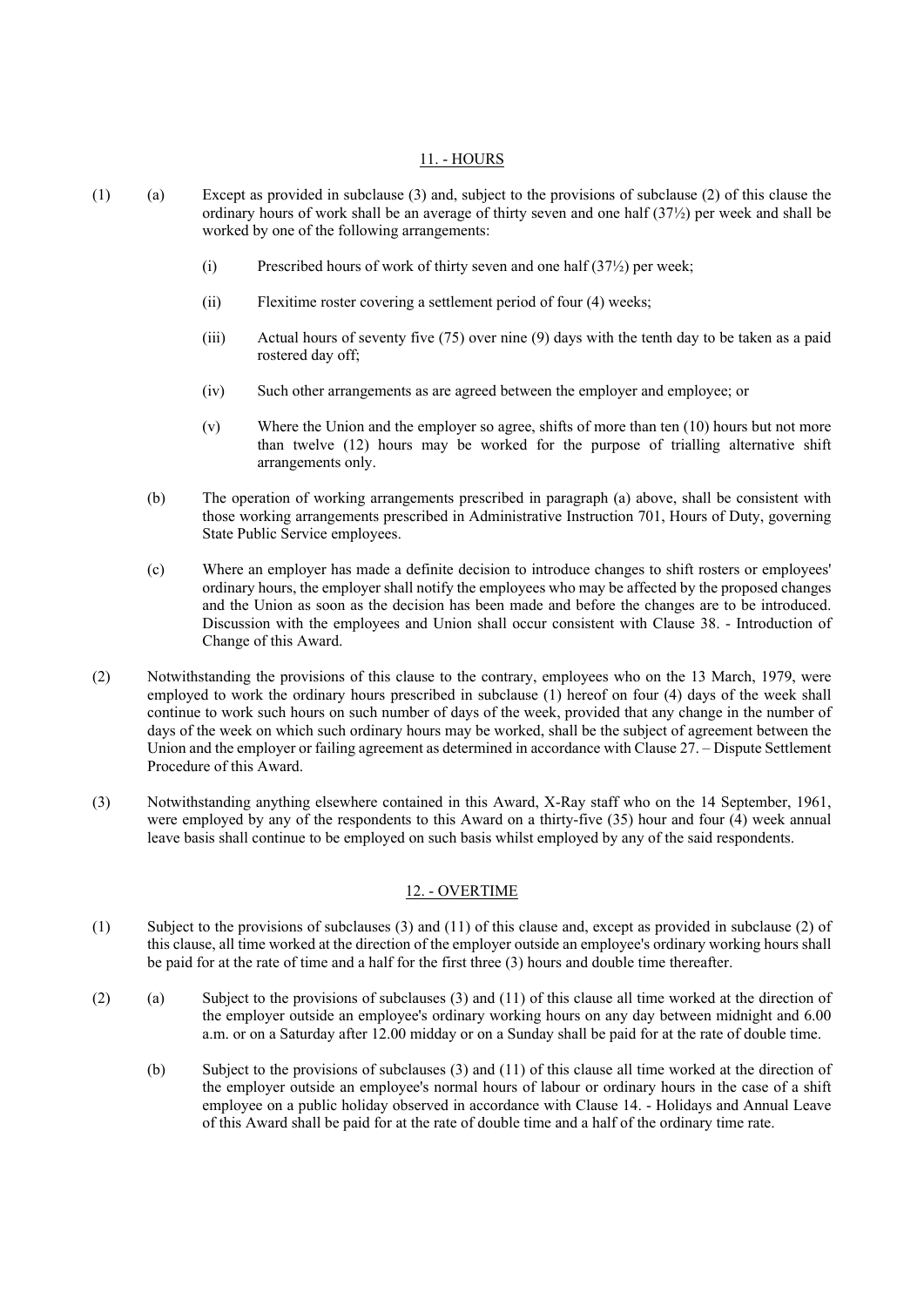#### 11. - HOURS

- (1) (a) Except as provided in subclause (3) and, subject to the provisions of subclause (2) of this clause the ordinary hours of work shall be an average of thirty seven and one half (37½) per week and shall be worked by one of the following arrangements:
	- (i) Prescribed hours of work of thirty seven and one half  $(37\frac{1}{2})$  per week;
	- (ii) Flexitime roster covering a settlement period of four (4) weeks;
	- (iii) Actual hours of seventy five (75) over nine (9) days with the tenth day to be taken as a paid rostered day off;
	- (iv) Such other arrangements as are agreed between the employer and employee; or
	- (v) Where the Union and the employer so agree, shifts of more than ten (10) hours but not more than twelve (12) hours may be worked for the purpose of trialling alternative shift arrangements only.
	- (b) The operation of working arrangements prescribed in paragraph (a) above, shall be consistent with those working arrangements prescribed in Administrative Instruction 701, Hours of Duty, governing State Public Service employees.
	- (c) Where an employer has made a definite decision to introduce changes to shift rosters or employees' ordinary hours, the employer shall notify the employees who may be affected by the proposed changes and the Union as soon as the decision has been made and before the changes are to be introduced. Discussion with the employees and Union shall occur consistent with Clause 38. - Introduction of Change of this Award.
- (2) Notwithstanding the provisions of this clause to the contrary, employees who on the 13 March, 1979, were employed to work the ordinary hours prescribed in subclause (1) hereof on four (4) days of the week shall continue to work such hours on such number of days of the week, provided that any change in the number of days of the week on which such ordinary hours may be worked, shall be the subject of agreement between the Union and the employer or failing agreement as determined in accordance with Clause 27. – Dispute Settlement Procedure of this Award.
- (3) Notwithstanding anything elsewhere contained in this Award, X-Ray staff who on the 14 September, 1961, were employed by any of the respondents to this Award on a thirty-five (35) hour and four (4) week annual leave basis shall continue to be employed on such basis whilst employed by any of the said respondents.

#### 12. - OVERTIME

- (1) Subject to the provisions of subclauses (3) and (11) of this clause and, except as provided in subclause (2) of this clause, all time worked at the direction of the employer outside an employee's ordinary working hours shall be paid for at the rate of time and a half for the first three (3) hours and double time thereafter.
- (2) (a) Subject to the provisions of subclauses (3) and (11) of this clause all time worked at the direction of the employer outside an employee's ordinary working hours on any day between midnight and 6.00 a.m. or on a Saturday after 12.00 midday or on a Sunday shall be paid for at the rate of double time.
	- (b) Subject to the provisions of subclauses (3) and (11) of this clause all time worked at the direction of the employer outside an employee's normal hours of labour or ordinary hours in the case of a shift employee on a public holiday observed in accordance with Clause 14. - Holidays and Annual Leave of this Award shall be paid for at the rate of double time and a half of the ordinary time rate.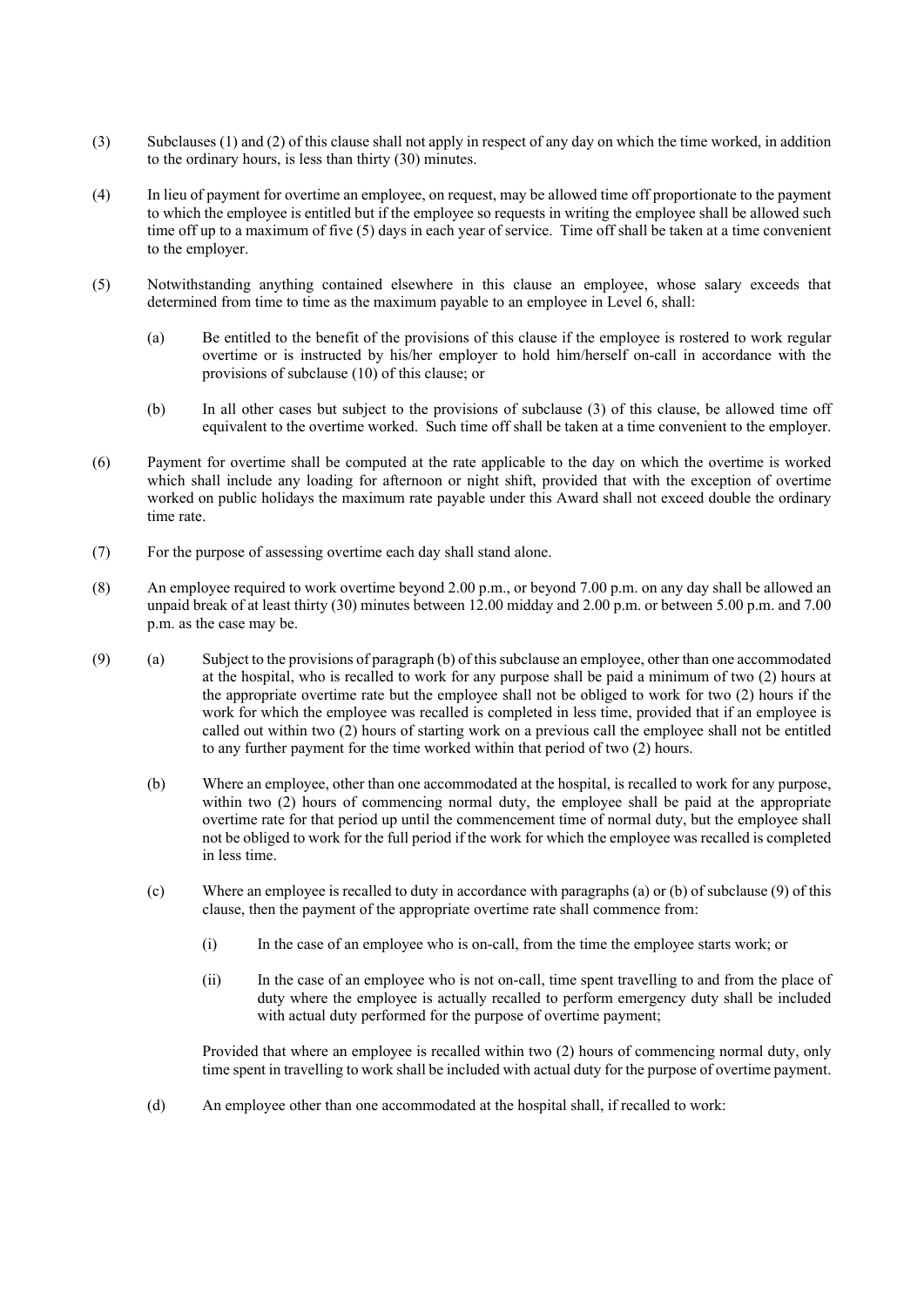- (3) Subclauses (1) and (2) of this clause shall not apply in respect of any day on which the time worked, in addition to the ordinary hours, is less than thirty (30) minutes.
- (4) In lieu of payment for overtime an employee, on request, may be allowed time off proportionate to the payment to which the employee is entitled but if the employee so requests in writing the employee shall be allowed such time off up to a maximum of five (5) days in each year of service. Time off shall be taken at a time convenient to the employer.
- (5) Notwithstanding anything contained elsewhere in this clause an employee, whose salary exceeds that determined from time to time as the maximum payable to an employee in Level 6, shall:
	- (a) Be entitled to the benefit of the provisions of this clause if the employee is rostered to work regular overtime or is instructed by his/her employer to hold him/herself on-call in accordance with the provisions of subclause (10) of this clause; or
	- (b) In all other cases but subject to the provisions of subclause (3) of this clause, be allowed time off equivalent to the overtime worked. Such time off shall be taken at a time convenient to the employer.
- (6) Payment for overtime shall be computed at the rate applicable to the day on which the overtime is worked which shall include any loading for afternoon or night shift, provided that with the exception of overtime worked on public holidays the maximum rate payable under this Award shall not exceed double the ordinary time rate.
- (7) For the purpose of assessing overtime each day shall stand alone.
- (8) An employee required to work overtime beyond 2.00 p.m., or beyond 7.00 p.m. on any day shall be allowed an unpaid break of at least thirty (30) minutes between 12.00 midday and 2.00 p.m. or between 5.00 p.m. and 7.00 p.m. as the case may be.
- (9) (a) Subject to the provisions of paragraph (b) of this subclause an employee, other than one accommodated at the hospital, who is recalled to work for any purpose shall be paid a minimum of two (2) hours at the appropriate overtime rate but the employee shall not be obliged to work for two (2) hours if the work for which the employee was recalled is completed in less time, provided that if an employee is called out within two (2) hours of starting work on a previous call the employee shall not be entitled to any further payment for the time worked within that period of two (2) hours.
	- (b) Where an employee, other than one accommodated at the hospital, is recalled to work for any purpose, within two (2) hours of commencing normal duty, the employee shall be paid at the appropriate overtime rate for that period up until the commencement time of normal duty, but the employee shall not be obliged to work for the full period if the work for which the employee was recalled is completed in less time.
	- (c) Where an employee is recalled to duty in accordance with paragraphs (a) or (b) of subclause (9) of this clause, then the payment of the appropriate overtime rate shall commence from:
		- (i) In the case of an employee who is on-call, from the time the employee starts work; or
		- (ii) In the case of an employee who is not on-call, time spent travelling to and from the place of duty where the employee is actually recalled to perform emergency duty shall be included with actual duty performed for the purpose of overtime payment:

Provided that where an employee is recalled within two (2) hours of commencing normal duty, only time spent in travelling to work shall be included with actual duty for the purpose of overtime payment.

(d) An employee other than one accommodated at the hospital shall, if recalled to work: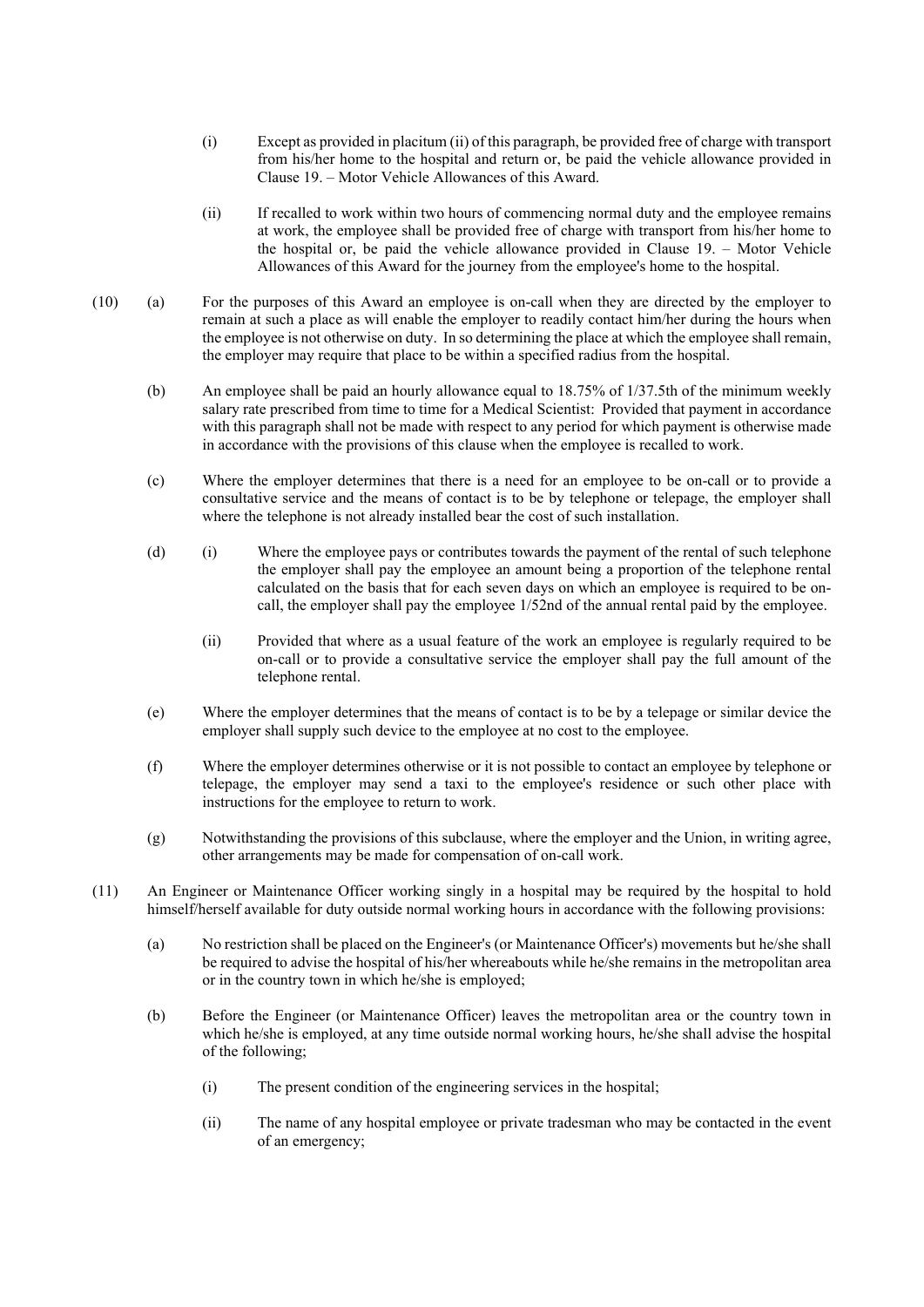- (i) Except as provided in placitum (ii) of this paragraph, be provided free of charge with transport from his/her home to the hospital and return or, be paid the vehicle allowance provided in Clause 19. – Motor Vehicle Allowances of this Award.
- (ii) If recalled to work within two hours of commencing normal duty and the employee remains at work, the employee shall be provided free of charge with transport from his/her home to the hospital or, be paid the vehicle allowance provided in Clause 19. – Motor Vehicle Allowances of this Award for the journey from the employee's home to the hospital.
- (10) (a) For the purposes of this Award an employee is on-call when they are directed by the employer to remain at such a place as will enable the employer to readily contact him/her during the hours when the employee is not otherwise on duty. In so determining the place at which the employee shall remain, the employer may require that place to be within a specified radius from the hospital.
	- (b) An employee shall be paid an hourly allowance equal to 18.75% of 1/37.5th of the minimum weekly salary rate prescribed from time to time for a Medical Scientist: Provided that payment in accordance with this paragraph shall not be made with respect to any period for which payment is otherwise made in accordance with the provisions of this clause when the employee is recalled to work.
	- (c) Where the employer determines that there is a need for an employee to be on-call or to provide a consultative service and the means of contact is to be by telephone or telepage, the employer shall where the telephone is not already installed bear the cost of such installation.
	- (d) (i) Where the employee pays or contributes towards the payment of the rental of such telephone the employer shall pay the employee an amount being a proportion of the telephone rental calculated on the basis that for each seven days on which an employee is required to be oncall, the employer shall pay the employee 1/52nd of the annual rental paid by the employee.
		- (ii) Provided that where as a usual feature of the work an employee is regularly required to be on-call or to provide a consultative service the employer shall pay the full amount of the telephone rental.
	- (e) Where the employer determines that the means of contact is to be by a telepage or similar device the employer shall supply such device to the employee at no cost to the employee.
	- (f) Where the employer determines otherwise or it is not possible to contact an employee by telephone or telepage, the employer may send a taxi to the employee's residence or such other place with instructions for the employee to return to work.
	- (g) Notwithstanding the provisions of this subclause, where the employer and the Union, in writing agree, other arrangements may be made for compensation of on-call work.
- (11) An Engineer or Maintenance Officer working singly in a hospital may be required by the hospital to hold himself/herself available for duty outside normal working hours in accordance with the following provisions:
	- (a) No restriction shall be placed on the Engineer's (or Maintenance Officer's) movements but he/she shall be required to advise the hospital of his/her whereabouts while he/she remains in the metropolitan area or in the country town in which he/she is employed;
	- (b) Before the Engineer (or Maintenance Officer) leaves the metropolitan area or the country town in which he/she is employed, at any time outside normal working hours, he/she shall advise the hospital of the following;
		- (i) The present condition of the engineering services in the hospital;
		- (ii) The name of any hospital employee or private tradesman who may be contacted in the event of an emergency;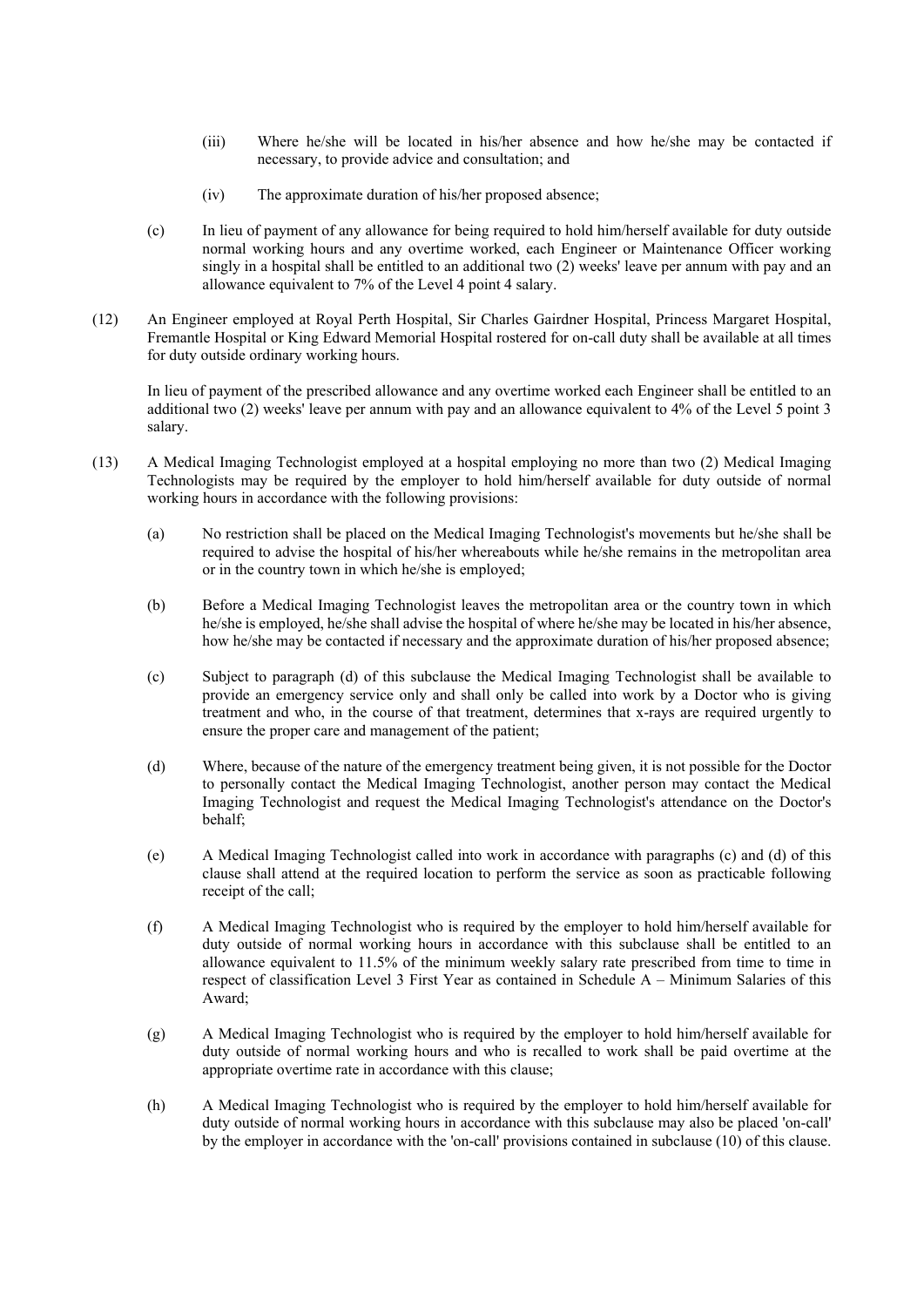- (iii) Where he/she will be located in his/her absence and how he/she may be contacted if necessary, to provide advice and consultation; and
- (iv) The approximate duration of his/her proposed absence;
- (c) In lieu of payment of any allowance for being required to hold him/herself available for duty outside normal working hours and any overtime worked, each Engineer or Maintenance Officer working singly in a hospital shall be entitled to an additional two (2) weeks' leave per annum with pay and an allowance equivalent to 7% of the Level 4 point 4 salary.
- (12) An Engineer employed at Royal Perth Hospital, Sir Charles Gairdner Hospital, Princess Margaret Hospital, Fremantle Hospital or King Edward Memorial Hospital rostered for on-call duty shall be available at all times for duty outside ordinary working hours.

In lieu of payment of the prescribed allowance and any overtime worked each Engineer shall be entitled to an additional two (2) weeks' leave per annum with pay and an allowance equivalent to 4% of the Level 5 point 3 salary.

- (13) A Medical Imaging Technologist employed at a hospital employing no more than two (2) Medical Imaging Technologists may be required by the employer to hold him/herself available for duty outside of normal working hours in accordance with the following provisions:
	- (a) No restriction shall be placed on the Medical Imaging Technologist's movements but he/she shall be required to advise the hospital of his/her whereabouts while he/she remains in the metropolitan area or in the country town in which he/she is employed;
	- (b) Before a Medical Imaging Technologist leaves the metropolitan area or the country town in which he/she is employed, he/she shall advise the hospital of where he/she may be located in his/her absence, how he/she may be contacted if necessary and the approximate duration of his/her proposed absence;
	- (c) Subject to paragraph (d) of this subclause the Medical Imaging Technologist shall be available to provide an emergency service only and shall only be called into work by a Doctor who is giving treatment and who, in the course of that treatment, determines that x-rays are required urgently to ensure the proper care and management of the patient;
	- (d) Where, because of the nature of the emergency treatment being given, it is not possible for the Doctor to personally contact the Medical Imaging Technologist, another person may contact the Medical Imaging Technologist and request the Medical Imaging Technologist's attendance on the Doctor's behalf;
	- (e) A Medical Imaging Technologist called into work in accordance with paragraphs (c) and (d) of this clause shall attend at the required location to perform the service as soon as practicable following receipt of the call;
	- (f) A Medical Imaging Technologist who is required by the employer to hold him/herself available for duty outside of normal working hours in accordance with this subclause shall be entitled to an allowance equivalent to 11.5% of the minimum weekly salary rate prescribed from time to time in respect of classification Level 3 First Year as contained in Schedule A – Minimum Salaries of this Award;
	- (g) A Medical Imaging Technologist who is required by the employer to hold him/herself available for duty outside of normal working hours and who is recalled to work shall be paid overtime at the appropriate overtime rate in accordance with this clause;
	- (h) A Medical Imaging Technologist who is required by the employer to hold him/herself available for duty outside of normal working hours in accordance with this subclause may also be placed 'on-call' by the employer in accordance with the 'on-call' provisions contained in subclause (10) of this clause.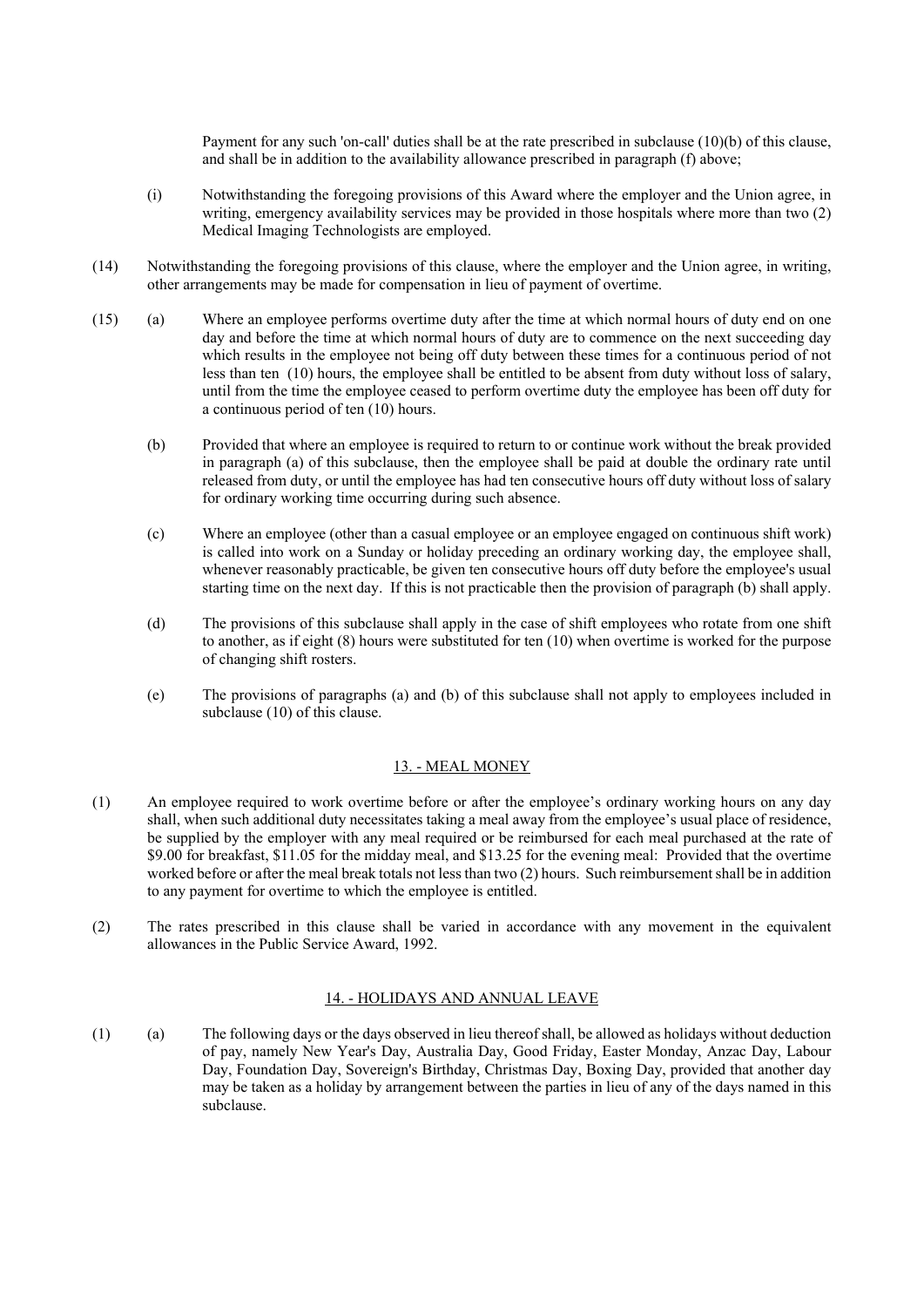Payment for any such 'on-call' duties shall be at the rate prescribed in subclause (10)(b) of this clause, and shall be in addition to the availability allowance prescribed in paragraph (f) above;

- (i) Notwithstanding the foregoing provisions of this Award where the employer and the Union agree, in writing, emergency availability services may be provided in those hospitals where more than two (2) Medical Imaging Technologists are employed.
- (14) Notwithstanding the foregoing provisions of this clause, where the employer and the Union agree, in writing, other arrangements may be made for compensation in lieu of payment of overtime.
- (15) (a) Where an employee performs overtime duty after the time at which normal hours of duty end on one day and before the time at which normal hours of duty are to commence on the next succeeding day which results in the employee not being off duty between these times for a continuous period of not less than ten (10) hours, the employee shall be entitled to be absent from duty without loss of salary, until from the time the employee ceased to perform overtime duty the employee has been off duty for a continuous period of ten (10) hours.
	- (b) Provided that where an employee is required to return to or continue work without the break provided in paragraph (a) of this subclause, then the employee shall be paid at double the ordinary rate until released from duty, or until the employee has had ten consecutive hours off duty without loss of salary for ordinary working time occurring during such absence.
	- (c) Where an employee (other than a casual employee or an employee engaged on continuous shift work) is called into work on a Sunday or holiday preceding an ordinary working day, the employee shall, whenever reasonably practicable, be given ten consecutive hours off duty before the employee's usual starting time on the next day. If this is not practicable then the provision of paragraph (b) shall apply.
	- (d) The provisions of this subclause shall apply in the case of shift employees who rotate from one shift to another, as if eight (8) hours were substituted for ten (10) when overtime is worked for the purpose of changing shift rosters.
	- (e) The provisions of paragraphs (a) and (b) of this subclause shall not apply to employees included in subclause (10) of this clause.

## 13. - MEAL MONEY

- (1) An employee required to work overtime before or after the employee's ordinary working hours on any day shall, when such additional duty necessitates taking a meal away from the employee's usual place of residence, be supplied by the employer with any meal required or be reimbursed for each meal purchased at the rate of \$9.00 for breakfast, \$11.05 for the midday meal, and \$13.25 for the evening meal: Provided that the overtime worked before or after the meal break totals not less than two (2) hours. Such reimbursement shall be in addition to any payment for overtime to which the employee is entitled.
- (2) The rates prescribed in this clause shall be varied in accordance with any movement in the equivalent allowances in the Public Service Award, 1992.

## 14. - HOLIDAYS AND ANNUAL LEAVE

(1) (a) The following days or the days observed in lieu thereof shall, be allowed as holidays without deduction of pay, namely New Year's Day, Australia Day, Good Friday, Easter Monday, Anzac Day, Labour Day, Foundation Day, Sovereign's Birthday, Christmas Day, Boxing Day, provided that another day may be taken as a holiday by arrangement between the parties in lieu of any of the days named in this subclause.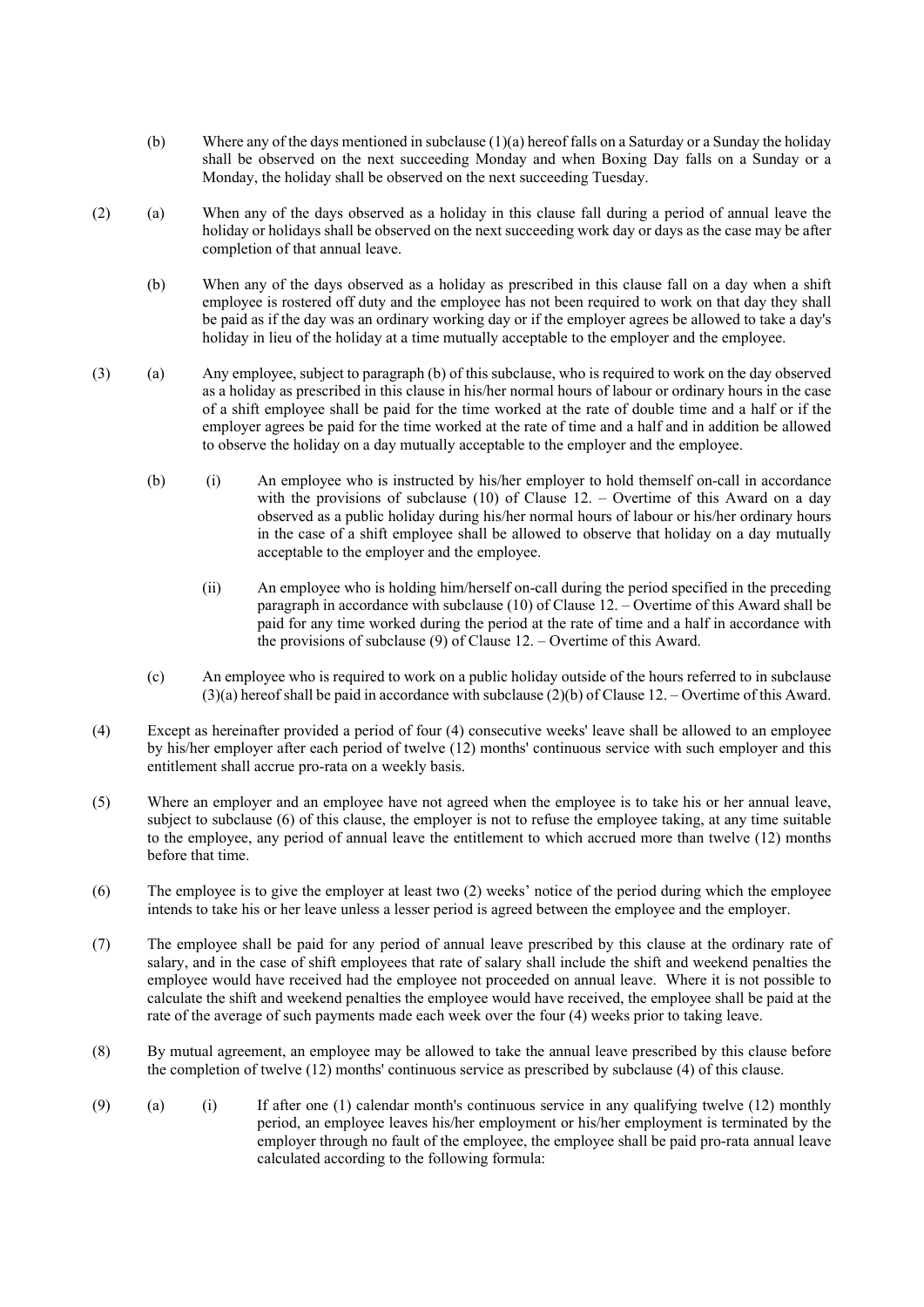- (b) Where any of the days mentioned in subclause (1)(a) hereof falls on a Saturday or a Sunday the holiday shall be observed on the next succeeding Monday and when Boxing Day falls on a Sunday or a Monday, the holiday shall be observed on the next succeeding Tuesday.
- (2) (a) When any of the days observed as a holiday in this clause fall during a period of annual leave the holiday or holidays shall be observed on the next succeeding work day or days as the case may be after completion of that annual leave.
	- (b) When any of the days observed as a holiday as prescribed in this clause fall on a day when a shift employee is rostered off duty and the employee has not been required to work on that day they shall be paid as if the day was an ordinary working day or if the employer agrees be allowed to take a day's holiday in lieu of the holiday at a time mutually acceptable to the employer and the employee.
- (3) (a) Any employee, subject to paragraph (b) of this subclause, who is required to work on the day observed as a holiday as prescribed in this clause in his/her normal hours of labour or ordinary hours in the case of a shift employee shall be paid for the time worked at the rate of double time and a half or if the employer agrees be paid for the time worked at the rate of time and a half and in addition be allowed to observe the holiday on a day mutually acceptable to the employer and the employee.
	- (b) (i) An employee who is instructed by his/her employer to hold themself on-call in accordance with the provisions of subclause (10) of Clause 12. – Overtime of this Award on a day observed as a public holiday during his/her normal hours of labour or his/her ordinary hours in the case of a shift employee shall be allowed to observe that holiday on a day mutually acceptable to the employer and the employee.
		- (ii) An employee who is holding him/herself on-call during the period specified in the preceding paragraph in accordance with subclause (10) of Clause 12. – Overtime of this Award shall be paid for any time worked during the period at the rate of time and a half in accordance with the provisions of subclause (9) of Clause 12. – Overtime of this Award.
	- (c) An employee who is required to work on a public holiday outside of the hours referred to in subclause (3)(a) hereof shall be paid in accordance with subclause (2)(b) of Clause 12. – Overtime of this Award.
- (4) Except as hereinafter provided a period of four (4) consecutive weeks' leave shall be allowed to an employee by his/her employer after each period of twelve (12) months' continuous service with such employer and this entitlement shall accrue pro-rata on a weekly basis.
- (5) Where an employer and an employee have not agreed when the employee is to take his or her annual leave, subject to subclause (6) of this clause, the employer is not to refuse the employee taking, at any time suitable to the employee, any period of annual leave the entitlement to which accrued more than twelve (12) months before that time.
- (6) The employee is to give the employer at least two (2) weeks' notice of the period during which the employee intends to take his or her leave unless a lesser period is agreed between the employee and the employer.
- (7) The employee shall be paid for any period of annual leave prescribed by this clause at the ordinary rate of salary, and in the case of shift employees that rate of salary shall include the shift and weekend penalties the employee would have received had the employee not proceeded on annual leave. Where it is not possible to calculate the shift and weekend penalties the employee would have received, the employee shall be paid at the rate of the average of such payments made each week over the four (4) weeks prior to taking leave.
- (8) By mutual agreement, an employee may be allowed to take the annual leave prescribed by this clause before the completion of twelve (12) months' continuous service as prescribed by subclause (4) of this clause.
- (9) (a) (i) If after one (1) calendar month's continuous service in any qualifying twelve (12) monthly period, an employee leaves his/her employment or his/her employment is terminated by the employer through no fault of the employee, the employee shall be paid pro-rata annual leave calculated according to the following formula: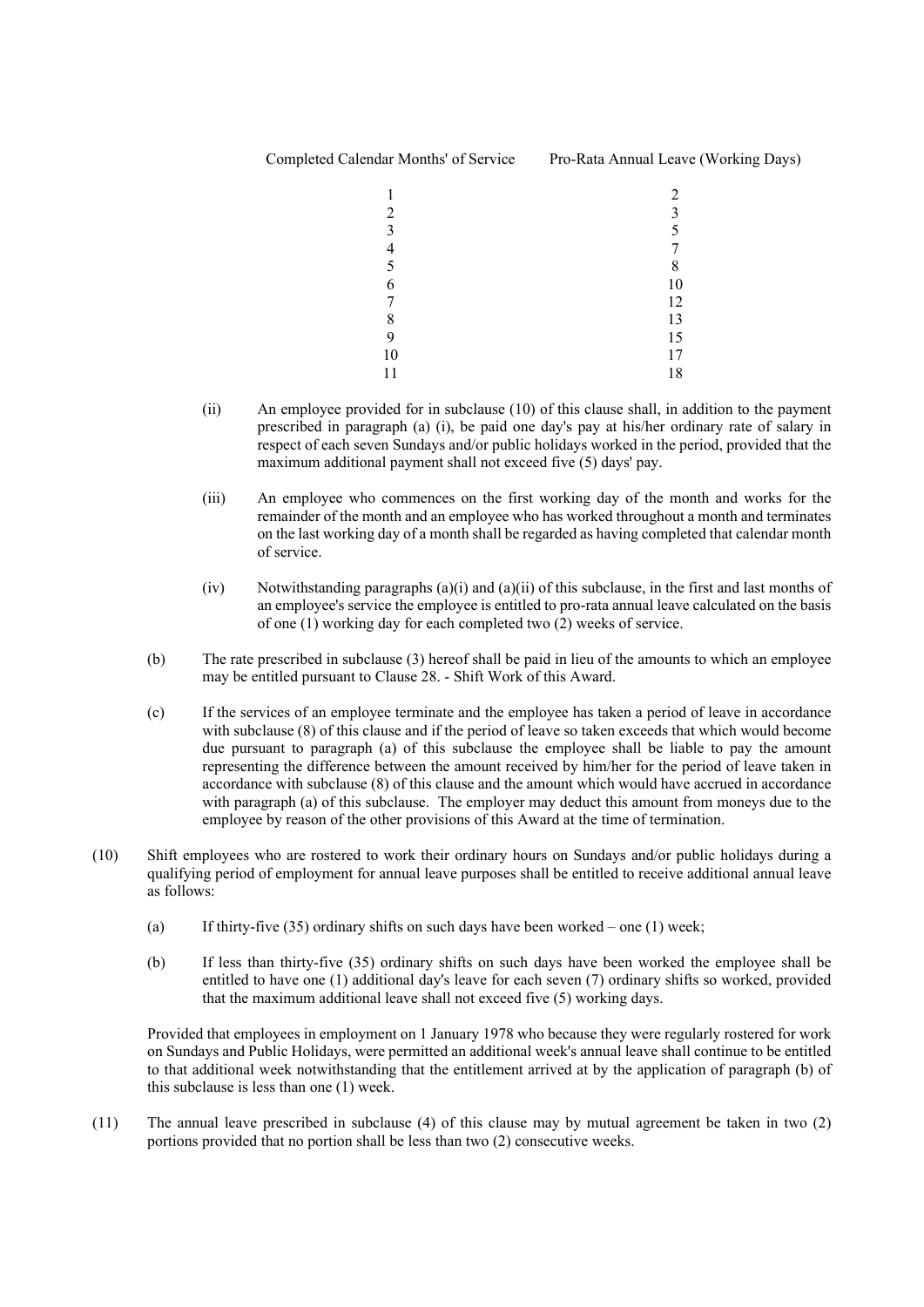# Completed Calendar Months' of Service Pro-Rata Annual Leave (Working Days)

|                | 2  |
|----------------|----|
| $\overline{2}$ | 3  |
| $\overline{3}$ | 5  |
| $\overline{4}$ | 7  |
| 5              | 8  |
| 6              | 10 |
| 7              | 12 |
| 8              | 13 |
| 9              | 15 |
| 10             | 17 |
| 11             | 18 |

- (ii) An employee provided for in subclause (10) of this clause shall, in addition to the payment prescribed in paragraph (a) (i), be paid one day's pay at his/her ordinary rate of salary in respect of each seven Sundays and/or public holidays worked in the period, provided that the maximum additional payment shall not exceed five (5) days' pay.
- (iii) An employee who commences on the first working day of the month and works for the remainder of the month and an employee who has worked throughout a month and terminates on the last working day of a month shall be regarded as having completed that calendar month of service.
- $(iv)$  Notwithstanding paragraphs  $(a)(i)$  and  $(a)(ii)$  of this subclause, in the first and last months of an employee's service the employee is entitled to pro-rata annual leave calculated on the basis of one (1) working day for each completed two (2) weeks of service.
- (b) The rate prescribed in subclause (3) hereof shall be paid in lieu of the amounts to which an employee may be entitled pursuant to Clause 28. - Shift Work of this Award.
- (c) If the services of an employee terminate and the employee has taken a period of leave in accordance with subclause (8) of this clause and if the period of leave so taken exceeds that which would become due pursuant to paragraph (a) of this subclause the employee shall be liable to pay the amount representing the difference between the amount received by him/her for the period of leave taken in accordance with subclause (8) of this clause and the amount which would have accrued in accordance with paragraph (a) of this subclause. The employer may deduct this amount from moneys due to the employee by reason of the other provisions of this Award at the time of termination.
- (10) Shift employees who are rostered to work their ordinary hours on Sundays and/or public holidays during a qualifying period of employment for annual leave purposes shall be entitled to receive additional annual leave as follows:
	- (a) If thirty-five  $(35)$  ordinary shifts on such days have been worked one  $(1)$  week;
	- (b) If less than thirty-five (35) ordinary shifts on such days have been worked the employee shall be entitled to have one (1) additional day's leave for each seven (7) ordinary shifts so worked, provided that the maximum additional leave shall not exceed five (5) working days.

Provided that employees in employment on 1 January 1978 who because they were regularly rostered for work on Sundays and Public Holidays, were permitted an additional week's annual leave shall continue to be entitled to that additional week notwithstanding that the entitlement arrived at by the application of paragraph (b) of this subclause is less than one (1) week.

(11) The annual leave prescribed in subclause (4) of this clause may by mutual agreement be taken in two (2) portions provided that no portion shall be less than two (2) consecutive weeks.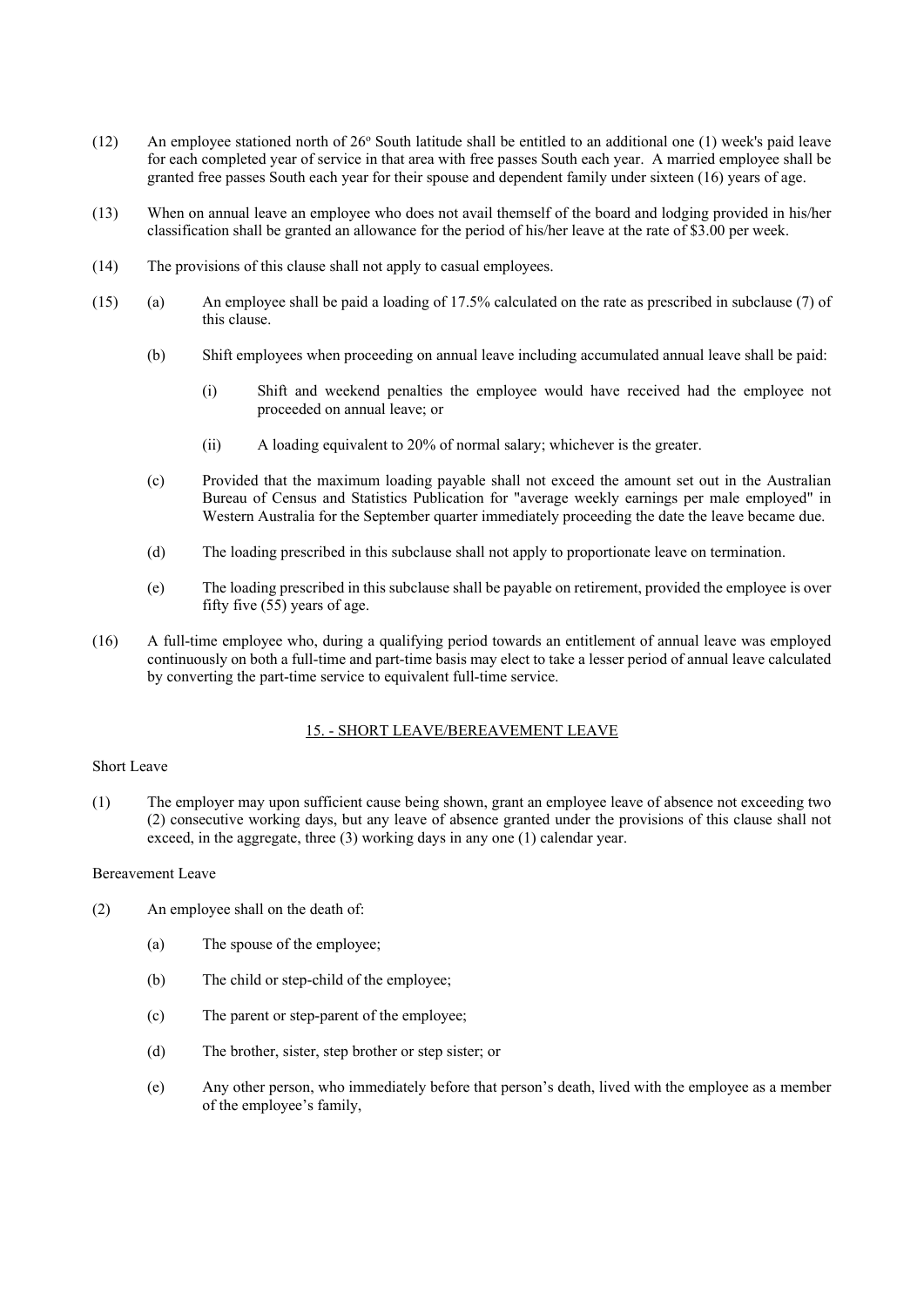- (12) An employee stationed north of  $26^{\circ}$  South latitude shall be entitled to an additional one (1) week's paid leave for each completed year of service in that area with free passes South each year. A married employee shall be granted free passes South each year for their spouse and dependent family under sixteen (16) years of age.
- (13) When on annual leave an employee who does not avail themself of the board and lodging provided in his/her classification shall be granted an allowance for the period of his/her leave at the rate of \$3.00 per week.
- (14) The provisions of this clause shall not apply to casual employees.
- (15) (a) An employee shall be paid a loading of 17.5% calculated on the rate as prescribed in subclause (7) of this clause.
	- (b) Shift employees when proceeding on annual leave including accumulated annual leave shall be paid:
		- (i) Shift and weekend penalties the employee would have received had the employee not proceeded on annual leave; or
		- (ii) A loading equivalent to 20% of normal salary; whichever is the greater.
	- (c) Provided that the maximum loading payable shall not exceed the amount set out in the Australian Bureau of Census and Statistics Publication for "average weekly earnings per male employed" in Western Australia for the September quarter immediately proceeding the date the leave became due.
	- (d) The loading prescribed in this subclause shall not apply to proportionate leave on termination.
	- (e) The loading prescribed in this subclause shall be payable on retirement, provided the employee is over fifty five (55) years of age.
- (16) A full-time employee who, during a qualifying period towards an entitlement of annual leave was employed continuously on both a full-time and part-time basis may elect to take a lesser period of annual leave calculated by converting the part-time service to equivalent full-time service.

# 15. - SHORT LEAVE/BEREAVEMENT LEAVE

## Short Leave

(1) The employer may upon sufficient cause being shown, grant an employee leave of absence not exceeding two (2) consecutive working days, but any leave of absence granted under the provisions of this clause shall not exceed, in the aggregate, three (3) working days in any one (1) calendar year.

## Bereavement Leave

- (2) An employee shall on the death of:
	- (a) The spouse of the employee;
	- (b) The child or step-child of the employee;
	- (c) The parent or step-parent of the employee;
	- (d) The brother, sister, step brother or step sister; or
	- (e) Any other person, who immediately before that person's death, lived with the employee as a member of the employee's family,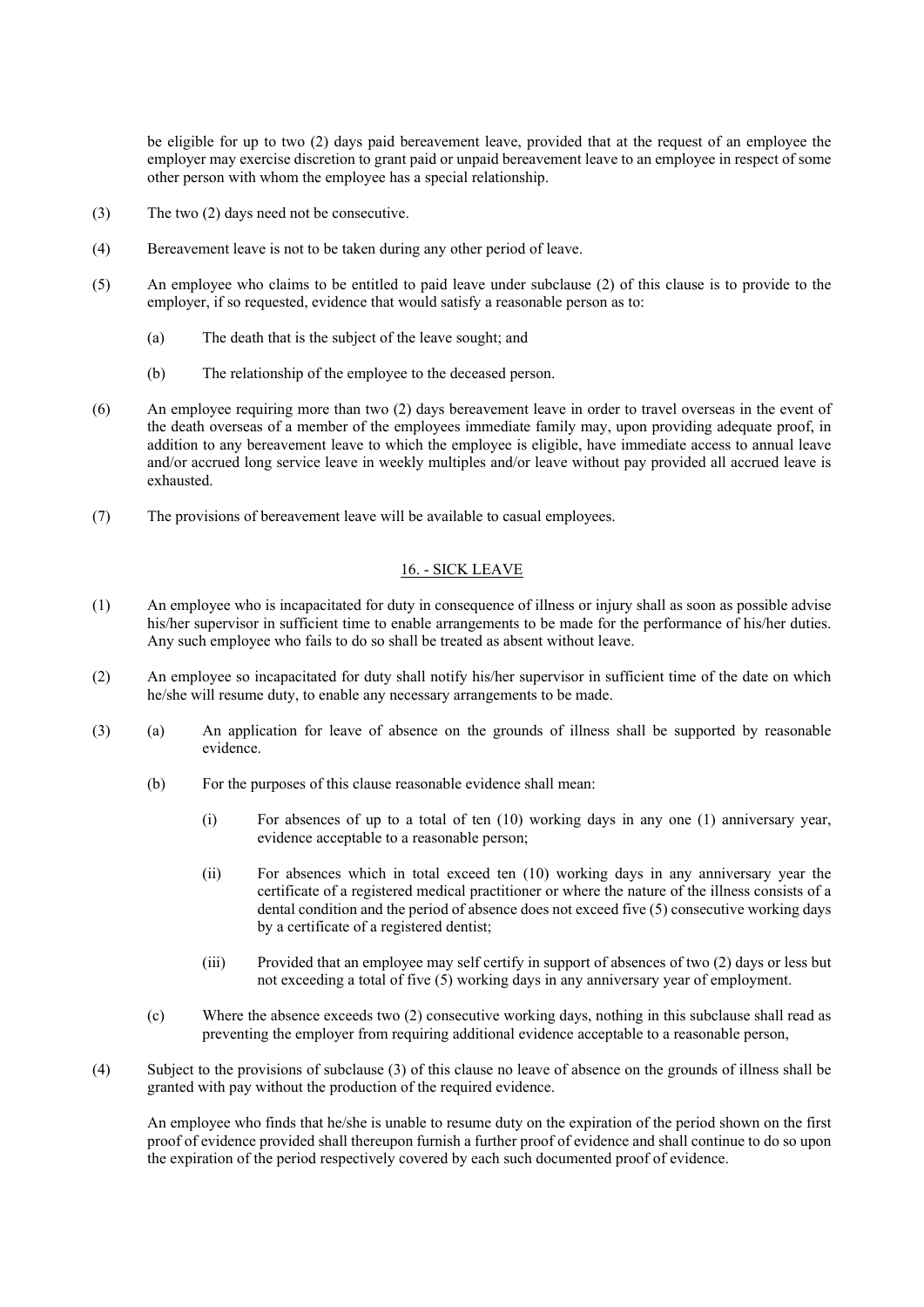be eligible for up to two (2) days paid bereavement leave, provided that at the request of an employee the employer may exercise discretion to grant paid or unpaid bereavement leave to an employee in respect of some other person with whom the employee has a special relationship.

- (3) The two (2) days need not be consecutive.
- (4) Bereavement leave is not to be taken during any other period of leave.
- (5) An employee who claims to be entitled to paid leave under subclause (2) of this clause is to provide to the employer, if so requested, evidence that would satisfy a reasonable person as to:
	- (a) The death that is the subject of the leave sought; and
	- (b) The relationship of the employee to the deceased person.
- (6) An employee requiring more than two (2) days bereavement leave in order to travel overseas in the event of the death overseas of a member of the employees immediate family may, upon providing adequate proof, in addition to any bereavement leave to which the employee is eligible, have immediate access to annual leave and/or accrued long service leave in weekly multiples and/or leave without pay provided all accrued leave is exhausted.
- (7) The provisions of bereavement leave will be available to casual employees.

# 16. - SICK LEAVE

- (1) An employee who is incapacitated for duty in consequence of illness or injury shall as soon as possible advise his/her supervisor in sufficient time to enable arrangements to be made for the performance of his/her duties. Any such employee who fails to do so shall be treated as absent without leave.
- (2) An employee so incapacitated for duty shall notify his/her supervisor in sufficient time of the date on which he/she will resume duty, to enable any necessary arrangements to be made.
- (3) (a) An application for leave of absence on the grounds of illness shall be supported by reasonable evidence.
	- (b) For the purposes of this clause reasonable evidence shall mean:
		- (i) For absences of up to a total of ten (10) working days in any one (1) anniversary year, evidence acceptable to a reasonable person;
		- (ii) For absences which in total exceed ten (10) working days in any anniversary year the certificate of a registered medical practitioner or where the nature of the illness consists of a dental condition and the period of absence does not exceed five (5) consecutive working days by a certificate of a registered dentist;
		- (iii) Provided that an employee may self certify in support of absences of two (2) days or less but not exceeding a total of five (5) working days in any anniversary year of employment.
	- (c) Where the absence exceeds two (2) consecutive working days, nothing in this subclause shall read as preventing the employer from requiring additional evidence acceptable to a reasonable person,
- (4) Subject to the provisions of subclause (3) of this clause no leave of absence on the grounds of illness shall be granted with pay without the production of the required evidence.

An employee who finds that he/she is unable to resume duty on the expiration of the period shown on the first proof of evidence provided shall thereupon furnish a further proof of evidence and shall continue to do so upon the expiration of the period respectively covered by each such documented proof of evidence.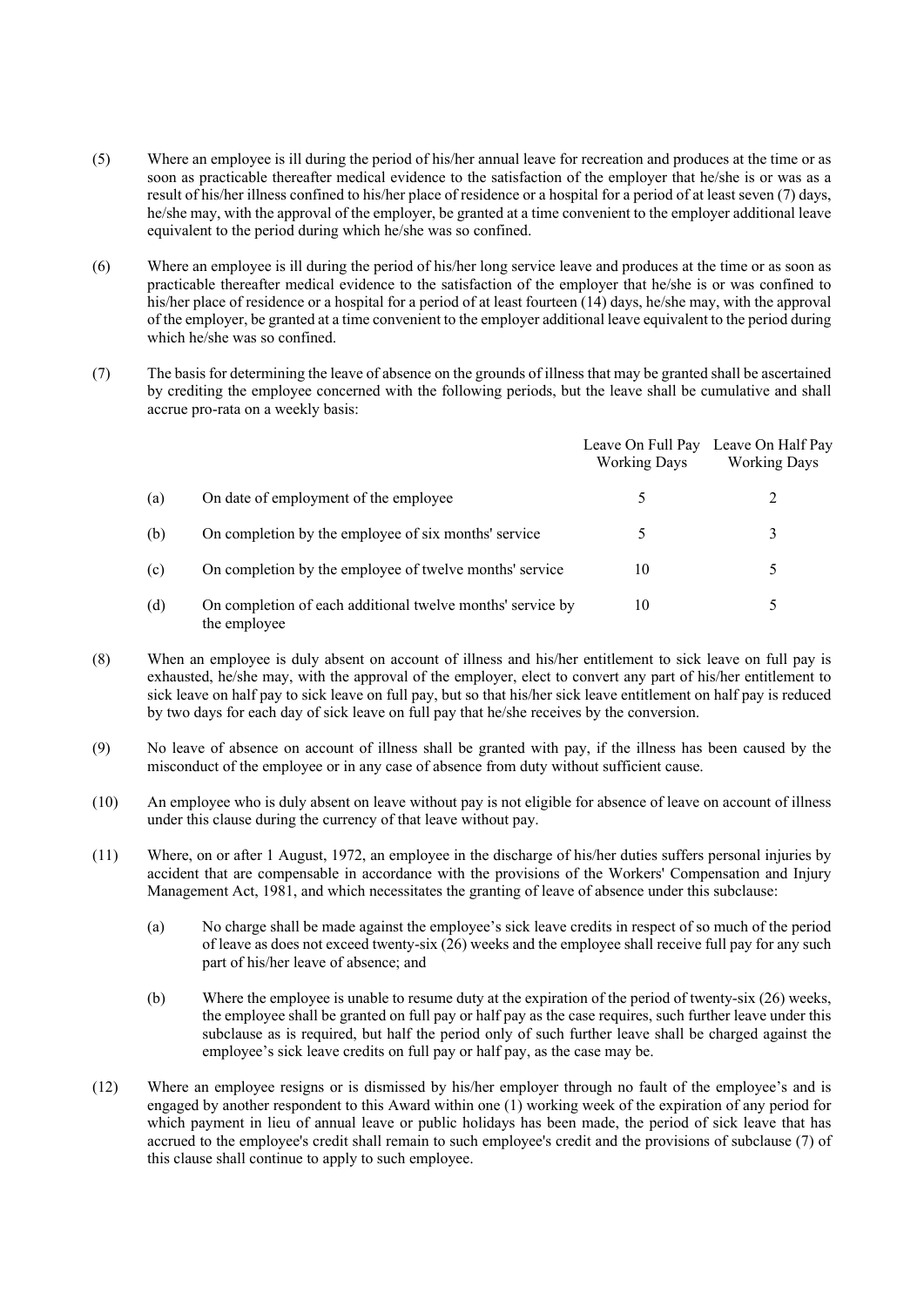- (5) Where an employee is ill during the period of his/her annual leave for recreation and produces at the time or as soon as practicable thereafter medical evidence to the satisfaction of the employer that he/she is or was as a result of his/her illness confined to his/her place of residence or a hospital for a period of at least seven (7) days, he/she may, with the approval of the employer, be granted at a time convenient to the employer additional leave equivalent to the period during which he/she was so confined.
- (6) Where an employee is ill during the period of his/her long service leave and produces at the time or as soon as practicable thereafter medical evidence to the satisfaction of the employer that he/she is or was confined to his/her place of residence or a hospital for a period of at least fourteen (14) days, he/she may, with the approval of the employer, be granted at a time convenient to the employer additional leave equivalent to the period during which he/she was so confined.
- (7) The basis for determining the leave of absence on the grounds of illness that may be granted shall be ascertained by crediting the employee concerned with the following periods, but the leave shall be cumulative and shall accrue pro-rata on a weekly basis:

|     |                                                                            | Leave On Full Pay<br><b>Working Days</b> | Leave On Half Pay<br><b>Working Days</b> |
|-----|----------------------------------------------------------------------------|------------------------------------------|------------------------------------------|
| (a) | On date of employment of the employee                                      |                                          |                                          |
| (b) | On completion by the employee of six months' service                       | 5                                        | 3                                        |
| (c) | On completion by the employee of twelve months' service                    | 10                                       | 5                                        |
| (d) | On completion of each additional twelve months' service by<br>the employee | 10                                       | $\mathcal{D}$                            |

- (8) When an employee is duly absent on account of illness and his/her entitlement to sick leave on full pay is exhausted, he/she may, with the approval of the employer, elect to convert any part of his/her entitlement to sick leave on half pay to sick leave on full pay, but so that his/her sick leave entitlement on half pay is reduced by two days for each day of sick leave on full pay that he/she receives by the conversion.
- (9) No leave of absence on account of illness shall be granted with pay, if the illness has been caused by the misconduct of the employee or in any case of absence from duty without sufficient cause.
- (10) An employee who is duly absent on leave without pay is not eligible for absence of leave on account of illness under this clause during the currency of that leave without pay.
- (11) Where, on or after 1 August, 1972, an employee in the discharge of his/her duties suffers personal injuries by accident that are compensable in accordance with the provisions of the Workers' Compensation and Injury Management Act, 1981, and which necessitates the granting of leave of absence under this subclause:
	- (a) No charge shall be made against the employee's sick leave credits in respect of so much of the period of leave as does not exceed twenty-six (26) weeks and the employee shall receive full pay for any such part of his/her leave of absence; and
	- (b) Where the employee is unable to resume duty at the expiration of the period of twenty-six (26) weeks, the employee shall be granted on full pay or half pay as the case requires, such further leave under this subclause as is required, but half the period only of such further leave shall be charged against the employee's sick leave credits on full pay or half pay, as the case may be.
- (12) Where an employee resigns or is dismissed by his/her employer through no fault of the employee's and is engaged by another respondent to this Award within one (1) working week of the expiration of any period for which payment in lieu of annual leave or public holidays has been made, the period of sick leave that has accrued to the employee's credit shall remain to such employee's credit and the provisions of subclause (7) of this clause shall continue to apply to such employee.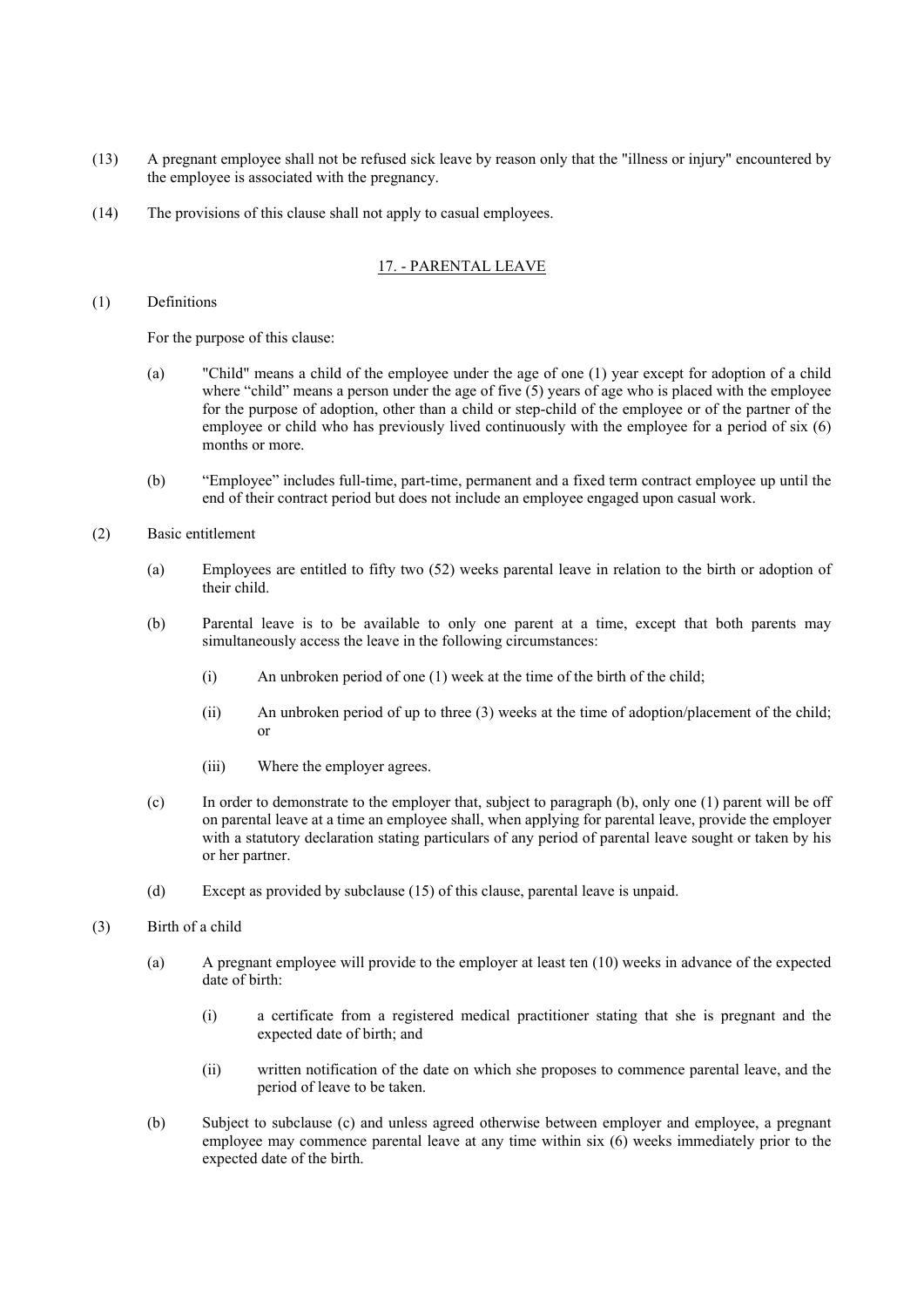- (13) A pregnant employee shall not be refused sick leave by reason only that the "illness or injury" encountered by the employee is associated with the pregnancy.
- (14) The provisions of this clause shall not apply to casual employees.

# 17. - PARENTAL LEAVE

(1) Definitions

For the purpose of this clause:

- (a) "Child" means a child of the employee under the age of one (1) year except for adoption of a child where "child" means a person under the age of five  $(5)$  years of age who is placed with the employee for the purpose of adoption, other than a child or step-child of the employee or of the partner of the employee or child who has previously lived continuously with the employee for a period of six (6) months or more.
- (b) "Employee" includes full-time, part-time, permanent and a fixed term contract employee up until the end of their contract period but does not include an employee engaged upon casual work.
- (2) Basic entitlement
	- (a) Employees are entitled to fifty two (52) weeks parental leave in relation to the birth or adoption of their child.
	- (b) Parental leave is to be available to only one parent at a time, except that both parents may simultaneously access the leave in the following circumstances:
		- (i) An unbroken period of one (1) week at the time of the birth of the child;
		- (ii) An unbroken period of up to three (3) weeks at the time of adoption/placement of the child; or
		- (iii) Where the employer agrees.
	- (c) In order to demonstrate to the employer that, subject to paragraph (b), only one (1) parent will be off on parental leave at a time an employee shall, when applying for parental leave, provide the employer with a statutory declaration stating particulars of any period of parental leave sought or taken by his or her partner.
	- (d) Except as provided by subclause (15) of this clause, parental leave is unpaid.
- (3) Birth of a child
	- (a) A pregnant employee will provide to the employer at least ten (10) weeks in advance of the expected date of birth:
		- (i) a certificate from a registered medical practitioner stating that she is pregnant and the expected date of birth; and
		- (ii) written notification of the date on which she proposes to commence parental leave, and the period of leave to be taken.
	- (b) Subject to subclause (c) and unless agreed otherwise between employer and employee, a pregnant employee may commence parental leave at any time within six (6) weeks immediately prior to the expected date of the birth.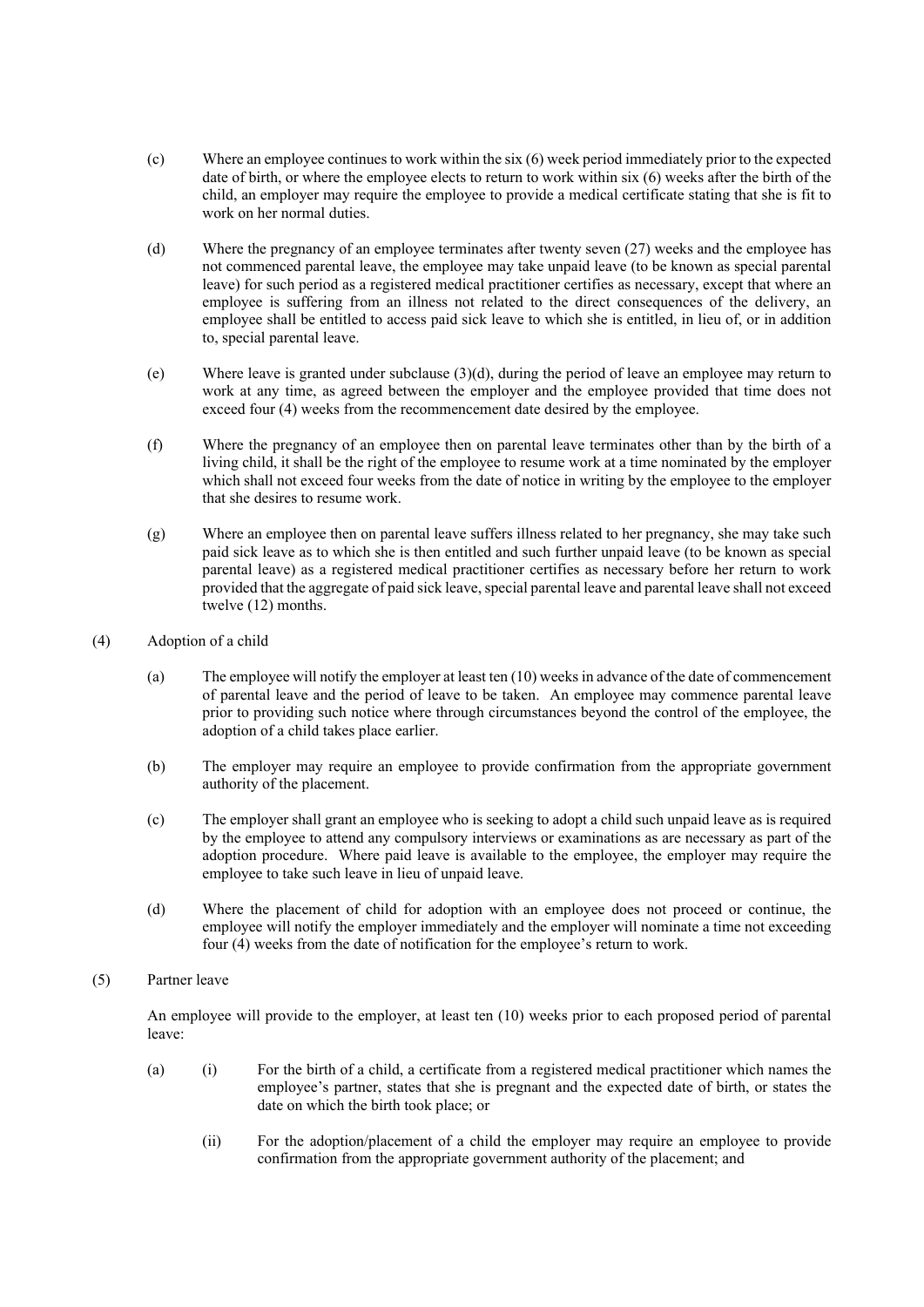- (c) Where an employee continues to work within the six (6) week period immediately prior to the expected date of birth, or where the employee elects to return to work within six (6) weeks after the birth of the child, an employer may require the employee to provide a medical certificate stating that she is fit to work on her normal duties.
- (d) Where the pregnancy of an employee terminates after twenty seven (27) weeks and the employee has not commenced parental leave, the employee may take unpaid leave (to be known as special parental leave) for such period as a registered medical practitioner certifies as necessary, except that where an employee is suffering from an illness not related to the direct consequences of the delivery, an employee shall be entitled to access paid sick leave to which she is entitled, in lieu of, or in addition to, special parental leave.
- (e) Where leave is granted under subclause (3)(d), during the period of leave an employee may return to work at any time, as agreed between the employer and the employee provided that time does not exceed four (4) weeks from the recommencement date desired by the employee.
- (f) Where the pregnancy of an employee then on parental leave terminates other than by the birth of a living child, it shall be the right of the employee to resume work at a time nominated by the employer which shall not exceed four weeks from the date of notice in writing by the employee to the employer that she desires to resume work.
- (g) Where an employee then on parental leave suffers illness related to her pregnancy, she may take such paid sick leave as to which she is then entitled and such further unpaid leave (to be known as special parental leave) as a registered medical practitioner certifies as necessary before her return to work provided that the aggregate of paid sick leave, special parental leave and parental leave shall not exceed twelve (12) months.
- (4) Adoption of a child
	- (a) The employee will notify the employer at least ten (10) weeks in advance of the date of commencement of parental leave and the period of leave to be taken. An employee may commence parental leave prior to providing such notice where through circumstances beyond the control of the employee, the adoption of a child takes place earlier.
	- (b) The employer may require an employee to provide confirmation from the appropriate government authority of the placement.
	- (c) The employer shall grant an employee who is seeking to adopt a child such unpaid leave as is required by the employee to attend any compulsory interviews or examinations as are necessary as part of the adoption procedure. Where paid leave is available to the employee, the employer may require the employee to take such leave in lieu of unpaid leave.
	- (d) Where the placement of child for adoption with an employee does not proceed or continue, the employee will notify the employer immediately and the employer will nominate a time not exceeding four (4) weeks from the date of notification for the employee's return to work.
- (5) Partner leave

An employee will provide to the employer, at least ten (10) weeks prior to each proposed period of parental leave:

- (a) (i) For the birth of a child, a certificate from a registered medical practitioner which names the employee's partner, states that she is pregnant and the expected date of birth, or states the date on which the birth took place; or
	- (ii) For the adoption/placement of a child the employer may require an employee to provide confirmation from the appropriate government authority of the placement; and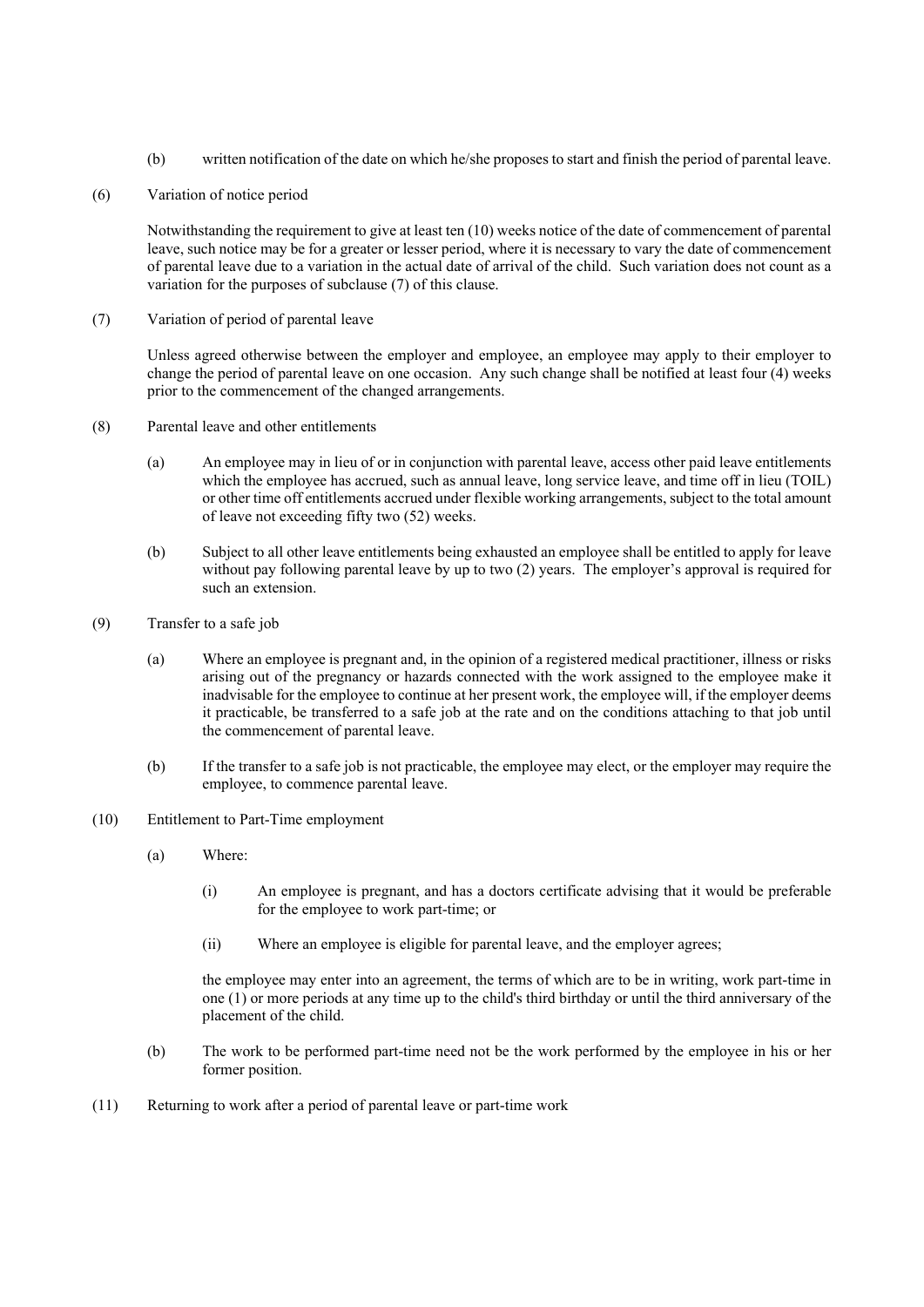- (b) written notification of the date on which he/she proposes to start and finish the period of parental leave.
- (6) Variation of notice period

Notwithstanding the requirement to give at least ten (10) weeks notice of the date of commencement of parental leave, such notice may be for a greater or lesser period, where it is necessary to vary the date of commencement of parental leave due to a variation in the actual date of arrival of the child. Such variation does not count as a variation for the purposes of subclause (7) of this clause.

(7) Variation of period of parental leave

Unless agreed otherwise between the employer and employee, an employee may apply to their employer to change the period of parental leave on one occasion. Any such change shall be notified at least four (4) weeks prior to the commencement of the changed arrangements.

- (8) Parental leave and other entitlements
	- (a) An employee may in lieu of or in conjunction with parental leave, access other paid leave entitlements which the employee has accrued, such as annual leave, long service leave, and time off in lieu (TOIL) or other time off entitlements accrued under flexible working arrangements, subject to the total amount of leave not exceeding fifty two (52) weeks.
	- (b) Subject to all other leave entitlements being exhausted an employee shall be entitled to apply for leave without pay following parental leave by up to two (2) years. The employer's approval is required for such an extension.
- (9) Transfer to a safe job
	- (a) Where an employee is pregnant and, in the opinion of a registered medical practitioner, illness or risks arising out of the pregnancy or hazards connected with the work assigned to the employee make it inadvisable for the employee to continue at her present work, the employee will, if the employer deems it practicable, be transferred to a safe job at the rate and on the conditions attaching to that job until the commencement of parental leave.
	- (b) If the transfer to a safe job is not practicable, the employee may elect, or the employer may require the employee, to commence parental leave.
- (10) Entitlement to Part-Time employment
	- (a) Where:
		- (i) An employee is pregnant, and has a doctors certificate advising that it would be preferable for the employee to work part-time; or
		- (ii) Where an employee is eligible for parental leave, and the employer agrees;

the employee may enter into an agreement, the terms of which are to be in writing, work part-time in one (1) or more periods at any time up to the child's third birthday or until the third anniversary of the placement of the child.

- (b) The work to be performed part-time need not be the work performed by the employee in his or her former position.
- (11) Returning to work after a period of parental leave or part-time work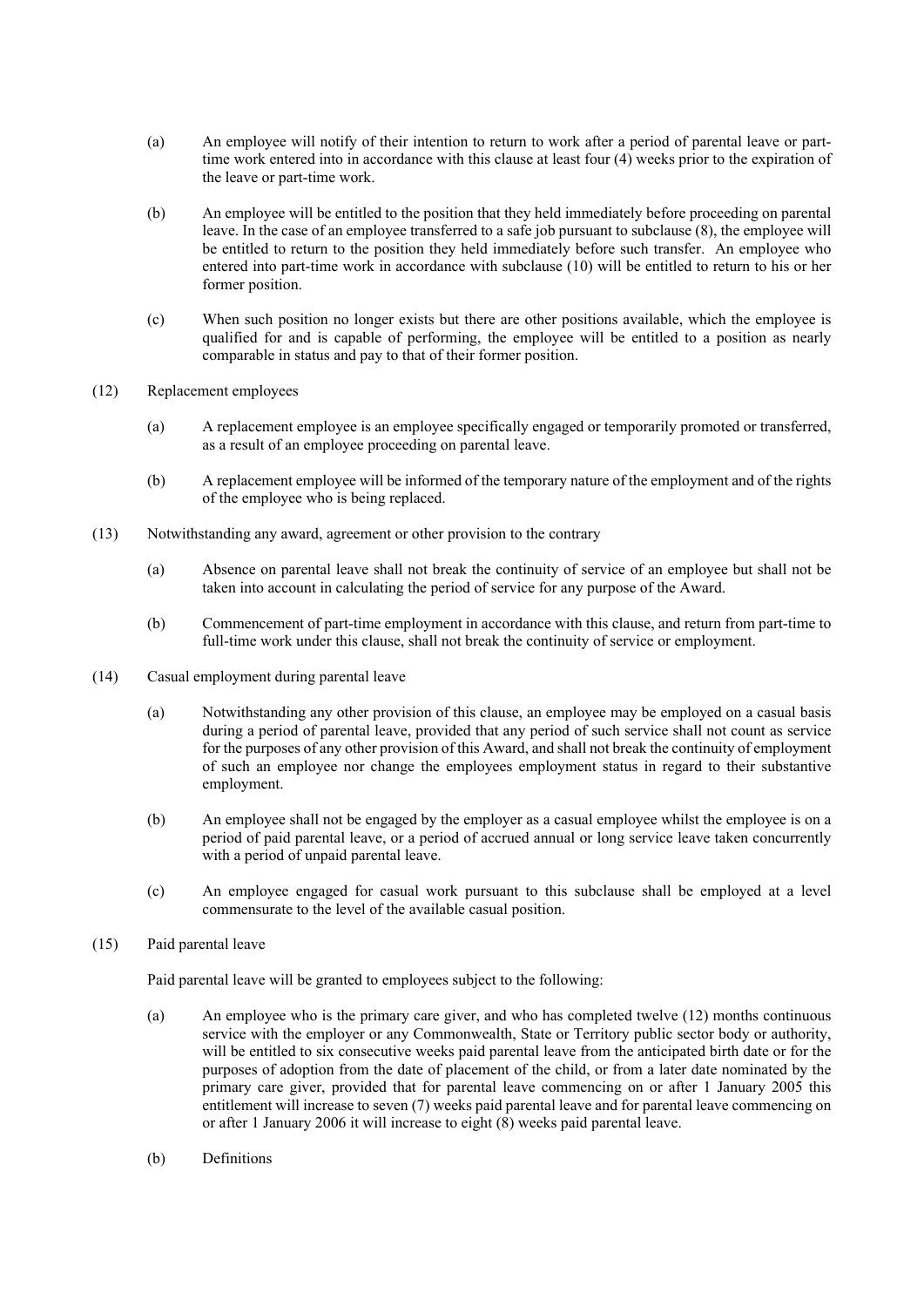- (a) An employee will notify of their intention to return to work after a period of parental leave or parttime work entered into in accordance with this clause at least four (4) weeks prior to the expiration of the leave or part-time work.
- (b) An employee will be entitled to the position that they held immediately before proceeding on parental leave. In the case of an employee transferred to a safe job pursuant to subclause (8), the employee will be entitled to return to the position they held immediately before such transfer. An employee who entered into part-time work in accordance with subclause (10) will be entitled to return to his or her former position.
- (c) When such position no longer exists but there are other positions available, which the employee is qualified for and is capable of performing, the employee will be entitled to a position as nearly comparable in status and pay to that of their former position.
- (12) Replacement employees
	- (a) A replacement employee is an employee specifically engaged or temporarily promoted or transferred, as a result of an employee proceeding on parental leave.
	- (b) A replacement employee will be informed of the temporary nature of the employment and of the rights of the employee who is being replaced.
- (13) Notwithstanding any award, agreement or other provision to the contrary
	- (a) Absence on parental leave shall not break the continuity of service of an employee but shall not be taken into account in calculating the period of service for any purpose of the Award.
	- (b) Commencement of part-time employment in accordance with this clause, and return from part-time to full-time work under this clause, shall not break the continuity of service or employment.
- (14) Casual employment during parental leave
	- (a) Notwithstanding any other provision of this clause, an employee may be employed on a casual basis during a period of parental leave, provided that any period of such service shall not count as service for the purposes of any other provision of this Award, and shall not break the continuity of employment of such an employee nor change the employees employment status in regard to their substantive employment.
	- (b) An employee shall not be engaged by the employer as a casual employee whilst the employee is on a period of paid parental leave, or a period of accrued annual or long service leave taken concurrently with a period of unpaid parental leave.
	- (c) An employee engaged for casual work pursuant to this subclause shall be employed at a level commensurate to the level of the available casual position.
- (15) Paid parental leave

Paid parental leave will be granted to employees subject to the following:

- (a) An employee who is the primary care giver, and who has completed twelve (12) months continuous service with the employer or any Commonwealth, State or Territory public sector body or authority, will be entitled to six consecutive weeks paid parental leave from the anticipated birth date or for the purposes of adoption from the date of placement of the child, or from a later date nominated by the primary care giver, provided that for parental leave commencing on or after 1 January 2005 this entitlement will increase to seven (7) weeks paid parental leave and for parental leave commencing on or after 1 January 2006 it will increase to eight (8) weeks paid parental leave.
- (b) Definitions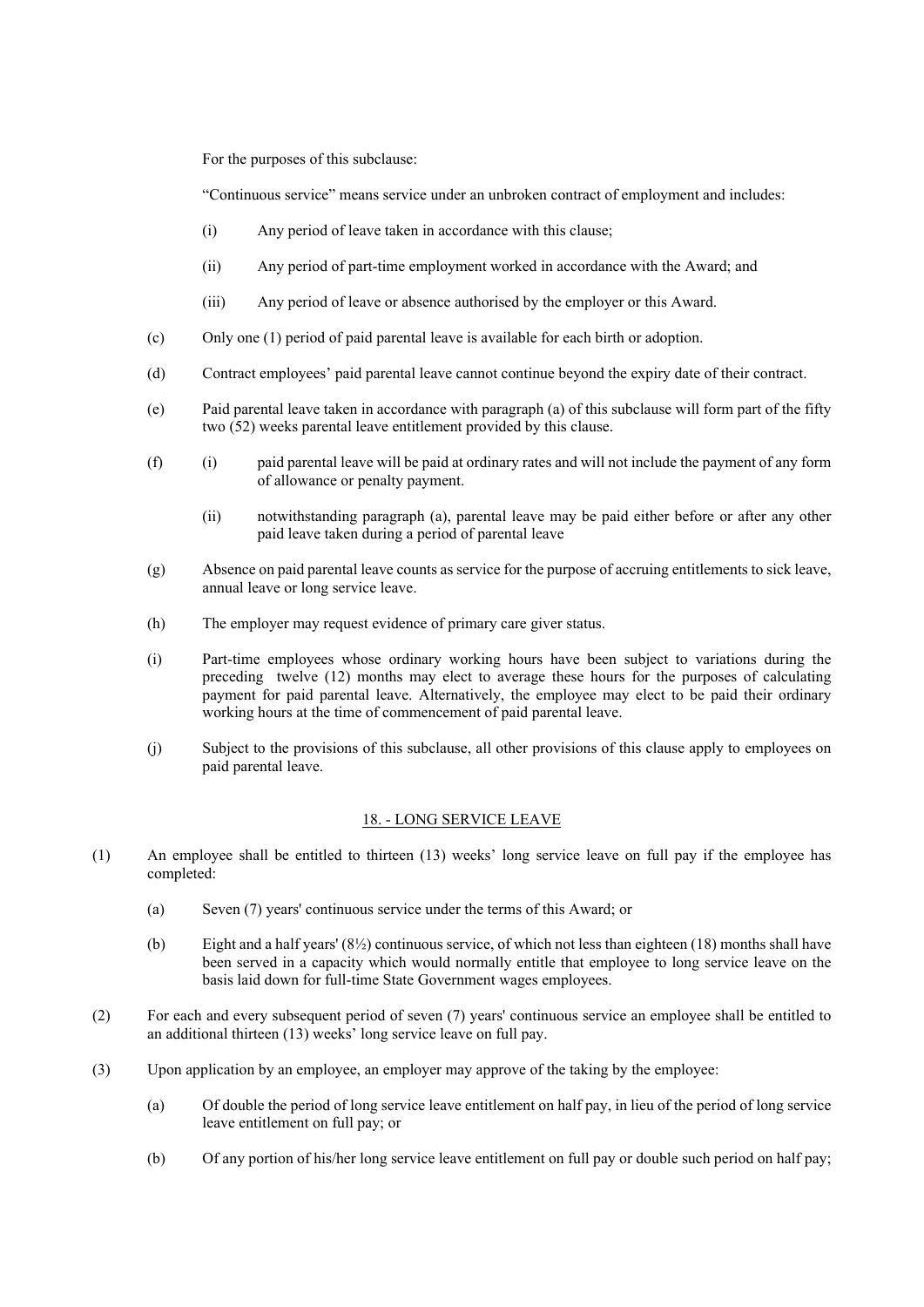For the purposes of this subclause:

"Continuous service" means service under an unbroken contract of employment and includes:

- (i) Any period of leave taken in accordance with this clause;
- (ii) Any period of part-time employment worked in accordance with the Award; and
- (iii) Any period of leave or absence authorised by the employer or this Award.
- (c) Only one (1) period of paid parental leave is available for each birth or adoption.
- (d) Contract employees' paid parental leave cannot continue beyond the expiry date of their contract.
- (e) Paid parental leave taken in accordance with paragraph (a) of this subclause will form part of the fifty two (52) weeks parental leave entitlement provided by this clause.
- (f) (i) paid parental leave will be paid at ordinary rates and will not include the payment of any form of allowance or penalty payment.
	- (ii) notwithstanding paragraph (a), parental leave may be paid either before or after any other paid leave taken during a period of parental leave
- (g) Absence on paid parental leave counts as service for the purpose of accruing entitlements to sick leave, annual leave or long service leave.
- (h) The employer may request evidence of primary care giver status.
- (i) Part-time employees whose ordinary working hours have been subject to variations during the preceding twelve (12) months may elect to average these hours for the purposes of calculating payment for paid parental leave. Alternatively, the employee may elect to be paid their ordinary working hours at the time of commencement of paid parental leave.
- (j) Subject to the provisions of this subclause, all other provisions of this clause apply to employees on paid parental leave.

## 18. - LONG SERVICE LEAVE

- (1) An employee shall be entitled to thirteen (13) weeks' long service leave on full pay if the employee has completed:
	- (a) Seven (7) years' continuous service under the terms of this Award; or
	- (b) Eight and a half years' (8½) continuous service, of which not less than eighteen (18) months shall have been served in a capacity which would normally entitle that employee to long service leave on the basis laid down for full-time State Government wages employees.
- (2) For each and every subsequent period of seven (7) years' continuous service an employee shall be entitled to an additional thirteen (13) weeks' long service leave on full pay.
- (3) Upon application by an employee, an employer may approve of the taking by the employee:
	- (a) Of double the period of long service leave entitlement on half pay, in lieu of the period of long service leave entitlement on full pay; or
	- (b) Of any portion of his/her long service leave entitlement on full pay or double such period on half pay;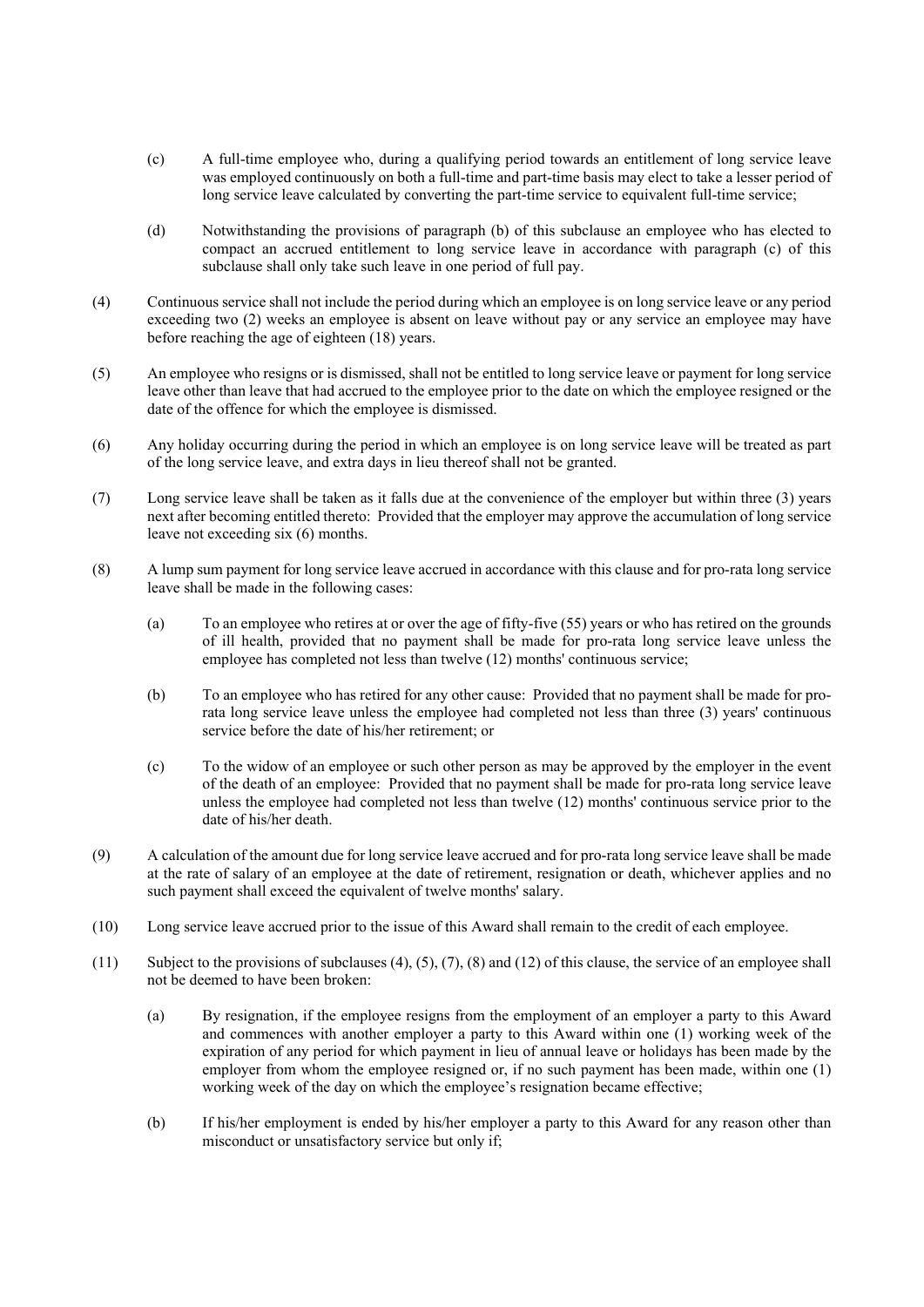- (c) A full-time employee who, during a qualifying period towards an entitlement of long service leave was employed continuously on both a full-time and part-time basis may elect to take a lesser period of long service leave calculated by converting the part-time service to equivalent full-time service;
- (d) Notwithstanding the provisions of paragraph (b) of this subclause an employee who has elected to compact an accrued entitlement to long service leave in accordance with paragraph (c) of this subclause shall only take such leave in one period of full pay.
- (4) Continuous service shall not include the period during which an employee is on long service leave or any period exceeding two (2) weeks an employee is absent on leave without pay or any service an employee may have before reaching the age of eighteen (18) years.
- (5) An employee who resigns or is dismissed, shall not be entitled to long service leave or payment for long service leave other than leave that had accrued to the employee prior to the date on which the employee resigned or the date of the offence for which the employee is dismissed.
- (6) Any holiday occurring during the period in which an employee is on long service leave will be treated as part of the long service leave, and extra days in lieu thereof shall not be granted.
- (7) Long service leave shall be taken as it falls due at the convenience of the employer but within three (3) years next after becoming entitled thereto: Provided that the employer may approve the accumulation of long service leave not exceeding six (6) months.
- (8) A lump sum payment for long service leave accrued in accordance with this clause and for pro-rata long service leave shall be made in the following cases:
	- (a) To an employee who retires at or over the age of fifty-five (55) years or who has retired on the grounds of ill health, provided that no payment shall be made for pro-rata long service leave unless the employee has completed not less than twelve (12) months' continuous service;
	- (b) To an employee who has retired for any other cause: Provided that no payment shall be made for prorata long service leave unless the employee had completed not less than three (3) years' continuous service before the date of his/her retirement; or
	- (c) To the widow of an employee or such other person as may be approved by the employer in the event of the death of an employee: Provided that no payment shall be made for pro-rata long service leave unless the employee had completed not less than twelve (12) months' continuous service prior to the date of his/her death.
- (9) A calculation of the amount due for long service leave accrued and for pro-rata long service leave shall be made at the rate of salary of an employee at the date of retirement, resignation or death, whichever applies and no such payment shall exceed the equivalent of twelve months' salary.
- (10) Long service leave accrued prior to the issue of this Award shall remain to the credit of each employee.
- (11) Subject to the provisions of subclauses (4), (5), (7), (8) and (12) of this clause, the service of an employee shall not be deemed to have been broken:
	- (a) By resignation, if the employee resigns from the employment of an employer a party to this Award and commences with another employer a party to this Award within one (1) working week of the expiration of any period for which payment in lieu of annual leave or holidays has been made by the employer from whom the employee resigned or, if no such payment has been made, within one (1) working week of the day on which the employee's resignation became effective;
	- (b) If his/her employment is ended by his/her employer a party to this Award for any reason other than misconduct or unsatisfactory service but only if;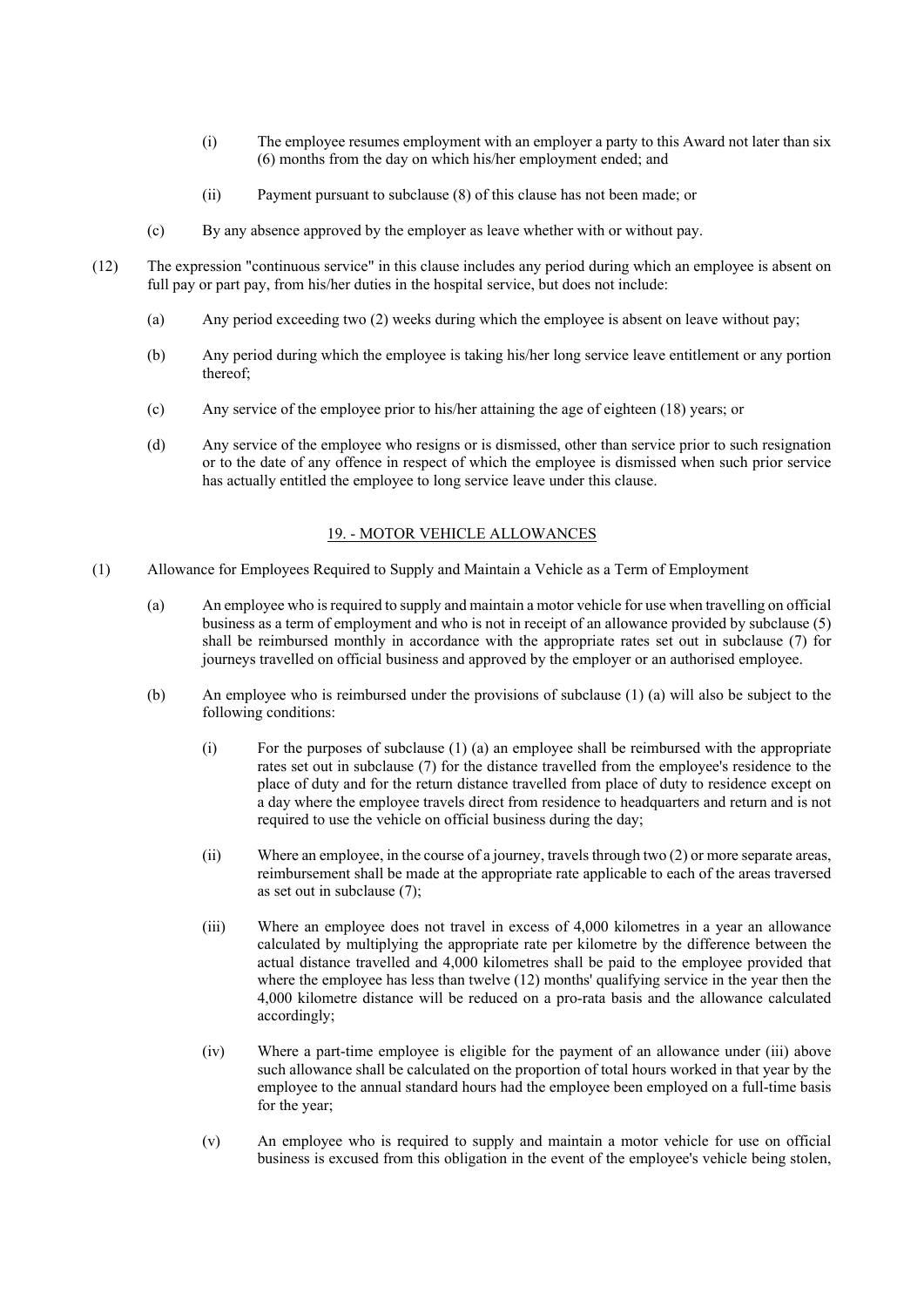- (i) The employee resumes employment with an employer a party to this Award not later than six (6) months from the day on which his/her employment ended; and
- (ii) Payment pursuant to subclause (8) of this clause has not been made; or
- (c) By any absence approved by the employer as leave whether with or without pay.
- (12) The expression "continuous service" in this clause includes any period during which an employee is absent on full pay or part pay, from his/her duties in the hospital service, but does not include:
	- (a) Any period exceeding two (2) weeks during which the employee is absent on leave without pay;
	- (b) Any period during which the employee is taking his/her long service leave entitlement or any portion thereof;
	- (c) Any service of the employee prior to his/her attaining the age of eighteen (18) years; or
	- (d) Any service of the employee who resigns or is dismissed, other than service prior to such resignation or to the date of any offence in respect of which the employee is dismissed when such prior service has actually entitled the employee to long service leave under this clause.

# 19. - MOTOR VEHICLE ALLOWANCES

- (1) Allowance for Employees Required to Supply and Maintain a Vehicle as a Term of Employment
	- (a) An employee who is required to supply and maintain a motor vehicle for use when travelling on official business as a term of employment and who is not in receipt of an allowance provided by subclause (5) shall be reimbursed monthly in accordance with the appropriate rates set out in subclause (7) for journeys travelled on official business and approved by the employer or an authorised employee.
	- (b) An employee who is reimbursed under the provisions of subclause (1) (a) will also be subject to the following conditions:
		- (i) For the purposes of subclause (1) (a) an employee shall be reimbursed with the appropriate rates set out in subclause (7) for the distance travelled from the employee's residence to the place of duty and for the return distance travelled from place of duty to residence except on a day where the employee travels direct from residence to headquarters and return and is not required to use the vehicle on official business during the day;
		- (ii) Where an employee, in the course of a journey, travels through two (2) or more separate areas, reimbursement shall be made at the appropriate rate applicable to each of the areas traversed as set out in subclause (7);
		- (iii) Where an employee does not travel in excess of 4,000 kilometres in a year an allowance calculated by multiplying the appropriate rate per kilometre by the difference between the actual distance travelled and 4,000 kilometres shall be paid to the employee provided that where the employee has less than twelve (12) months' qualifying service in the year then the 4,000 kilometre distance will be reduced on a pro-rata basis and the allowance calculated accordingly;
		- (iv) Where a part-time employee is eligible for the payment of an allowance under (iii) above such allowance shall be calculated on the proportion of total hours worked in that year by the employee to the annual standard hours had the employee been employed on a full-time basis for the year;
		- (v) An employee who is required to supply and maintain a motor vehicle for use on official business is excused from this obligation in the event of the employee's vehicle being stolen,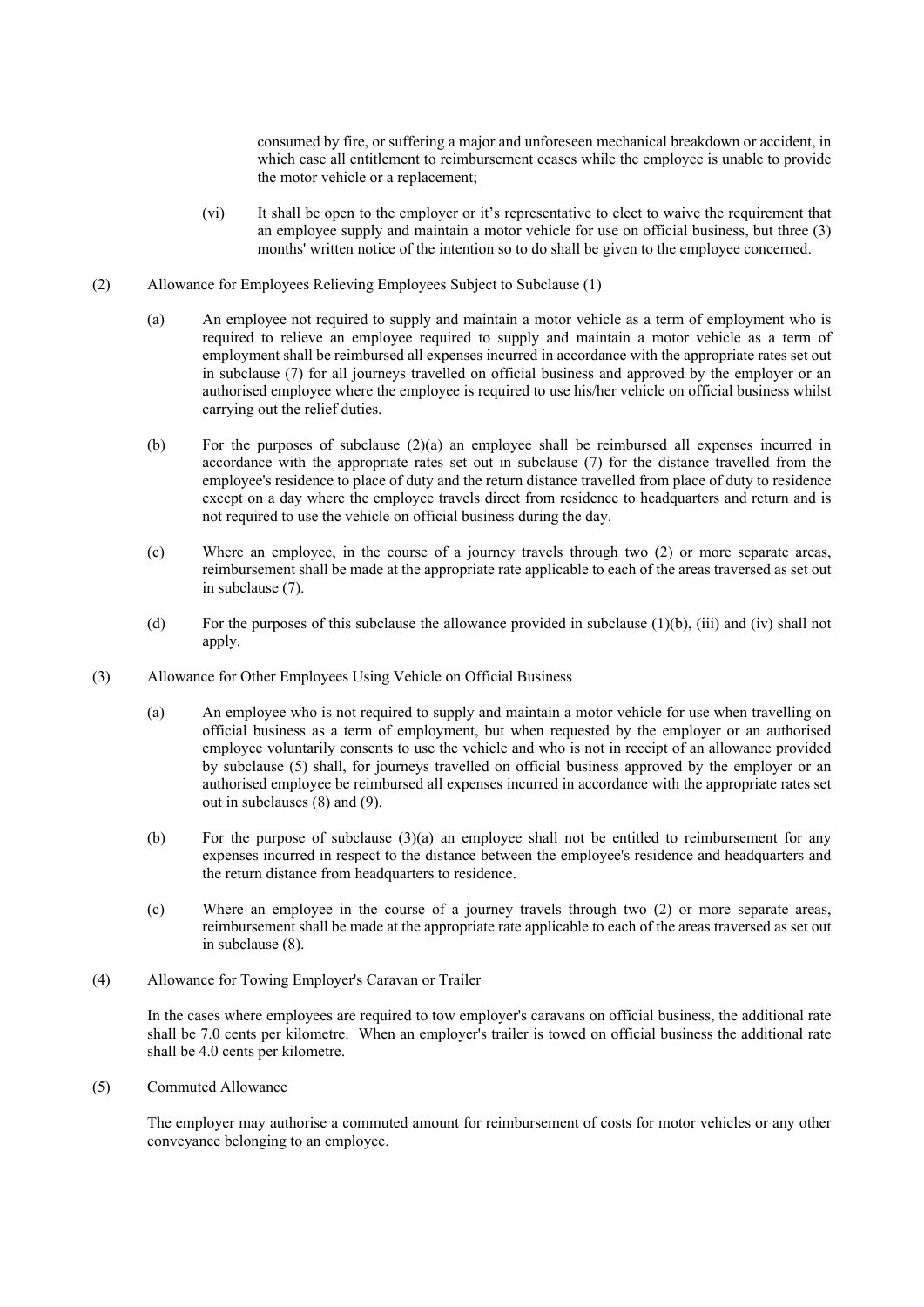consumed by fire, or suffering a major and unforeseen mechanical breakdown or accident, in which case all entitlement to reimbursement ceases while the employee is unable to provide the motor vehicle or a replacement;

- (vi) It shall be open to the employer or it's representative to elect to waive the requirement that an employee supply and maintain a motor vehicle for use on official business, but three (3) months' written notice of the intention so to do shall be given to the employee concerned.
- (2) Allowance for Employees Relieving Employees Subject to Subclause (1)
	- (a) An employee not required to supply and maintain a motor vehicle as a term of employment who is required to relieve an employee required to supply and maintain a motor vehicle as a term of employment shall be reimbursed all expenses incurred in accordance with the appropriate rates set out in subclause (7) for all journeys travelled on official business and approved by the employer or an authorised employee where the employee is required to use his/her vehicle on official business whilst carrying out the relief duties.
	- (b) For the purposes of subclause (2)(a) an employee shall be reimbursed all expenses incurred in accordance with the appropriate rates set out in subclause (7) for the distance travelled from the employee's residence to place of duty and the return distance travelled from place of duty to residence except on a day where the employee travels direct from residence to headquarters and return and is not required to use the vehicle on official business during the day.
	- (c) Where an employee, in the course of a journey travels through two (2) or more separate areas, reimbursement shall be made at the appropriate rate applicable to each of the areas traversed as set out in subclause (7).
	- (d) For the purposes of this subclause the allowance provided in subclause (1)(b), (iii) and (iv) shall not apply.
- (3) Allowance for Other Employees Using Vehicle on Official Business
	- (a) An employee who is not required to supply and maintain a motor vehicle for use when travelling on official business as a term of employment, but when requested by the employer or an authorised employee voluntarily consents to use the vehicle and who is not in receipt of an allowance provided by subclause (5) shall, for journeys travelled on official business approved by the employer or an authorised employee be reimbursed all expenses incurred in accordance with the appropriate rates set out in subclauses (8) and (9).
	- (b) For the purpose of subclause (3)(a) an employee shall not be entitled to reimbursement for any expenses incurred in respect to the distance between the employee's residence and headquarters and the return distance from headquarters to residence.
	- (c) Where an employee in the course of a journey travels through two (2) or more separate areas, reimbursement shall be made at the appropriate rate applicable to each of the areas traversed as set out in subclause (8).
- (4) Allowance for Towing Employer's Caravan or Trailer

In the cases where employees are required to tow employer's caravans on official business, the additional rate shall be 7.0 cents per kilometre. When an employer's trailer is towed on official business the additional rate shall be 4.0 cents per kilometre.

(5) Commuted Allowance

The employer may authorise a commuted amount for reimbursement of costs for motor vehicles or any other conveyance belonging to an employee.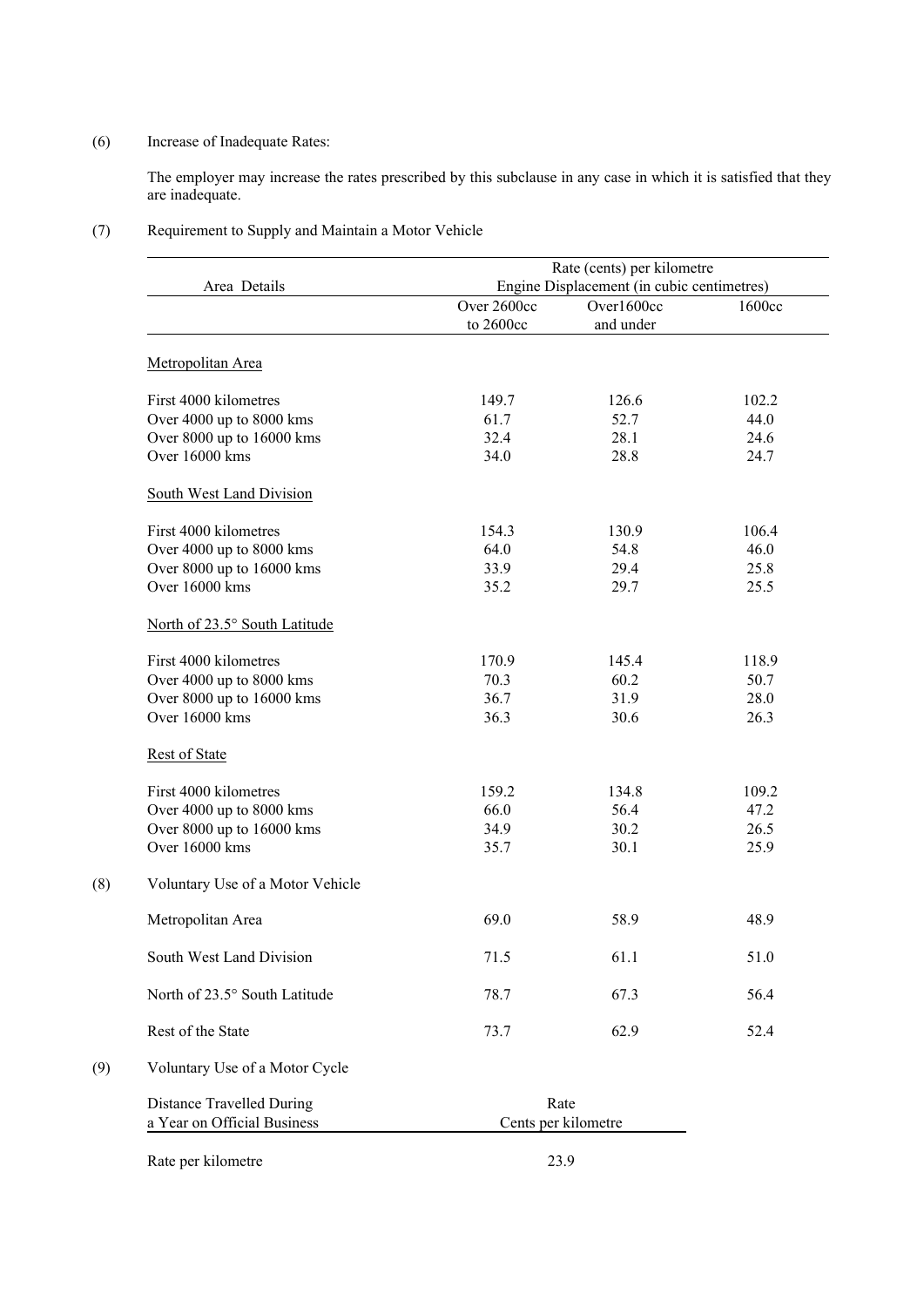# (6) Increase of Inadequate Rates:

The employer may increase the rates prescribed by this subclause in any case in which it is satisfied that they are inadequate.

# (7) Requirement to Supply and Maintain a Motor Vehicle

| Area Details                     |             | Rate (cents) per kilometre                               |        |
|----------------------------------|-------------|----------------------------------------------------------|--------|
|                                  | Over 2600cc | Engine Displacement (in cubic centimetres)<br>Over1600cc | 1600cc |
|                                  | to 2600cc   | and under                                                |        |
| Metropolitan Area                |             |                                                          |        |
| First 4000 kilometres            | 149.7       | 126.6                                                    | 102.2  |
| Over 4000 up to 8000 kms         | 61.7        | 52.7                                                     | 44.0   |
| Over 8000 up to 16000 kms        | 32.4        | 28.1                                                     | 24.6   |
| Over 16000 kms                   | 34.0        | 28.8                                                     | 24.7   |
| South West Land Division         |             |                                                          |        |
| First 4000 kilometres            | 154.3       | 130.9                                                    | 106.4  |
| Over 4000 up to 8000 kms         | 64.0        | 54.8                                                     | 46.0   |
| Over 8000 up to 16000 kms        | 33.9        | 29.4                                                     | 25.8   |
| Over 16000 kms                   | 35.2        | 29.7                                                     | 25.5   |
| North of 23.5° South Latitude    |             |                                                          |        |
| First 4000 kilometres            | 170.9       | 145.4                                                    | 118.9  |
| Over 4000 up to 8000 kms         | 70.3        | 60.2                                                     | 50.7   |
| Over 8000 up to 16000 kms        | 36.7        | 31.9                                                     | 28.0   |
| Over 16000 kms                   | 36.3        | 30.6                                                     | 26.3   |
| <b>Rest of State</b>             |             |                                                          |        |
| First 4000 kilometres            | 159.2       | 134.8                                                    | 109.2  |
| Over 4000 up to 8000 kms         | 66.0        | 56.4                                                     | 47.2   |
| Over 8000 up to 16000 kms        | 34.9        | 30.2                                                     | 26.5   |
| Over 16000 kms                   | 35.7        | 30.1                                                     | 25.9   |
| Voluntary Use of a Motor Vehicle |             |                                                          |        |
| Metropolitan Area                | 69.0        | 58.9                                                     | 48.9   |
| South West Land Division         | 71.5        | 61.1                                                     | 51.0   |
| North of 23.5° South Latitude    | 78.7        | 67.3                                                     | 56.4   |
| Rest of the State                | 73.7        | 62.9                                                     | 52.4   |
| Voluntary Use of a Motor Cycle   |             |                                                          |        |
| <b>Distance Travelled During</b> |             | Rate                                                     |        |
| a Year on Official Business      |             | Cents per kilometre                                      |        |

Rate per kilometre 23.9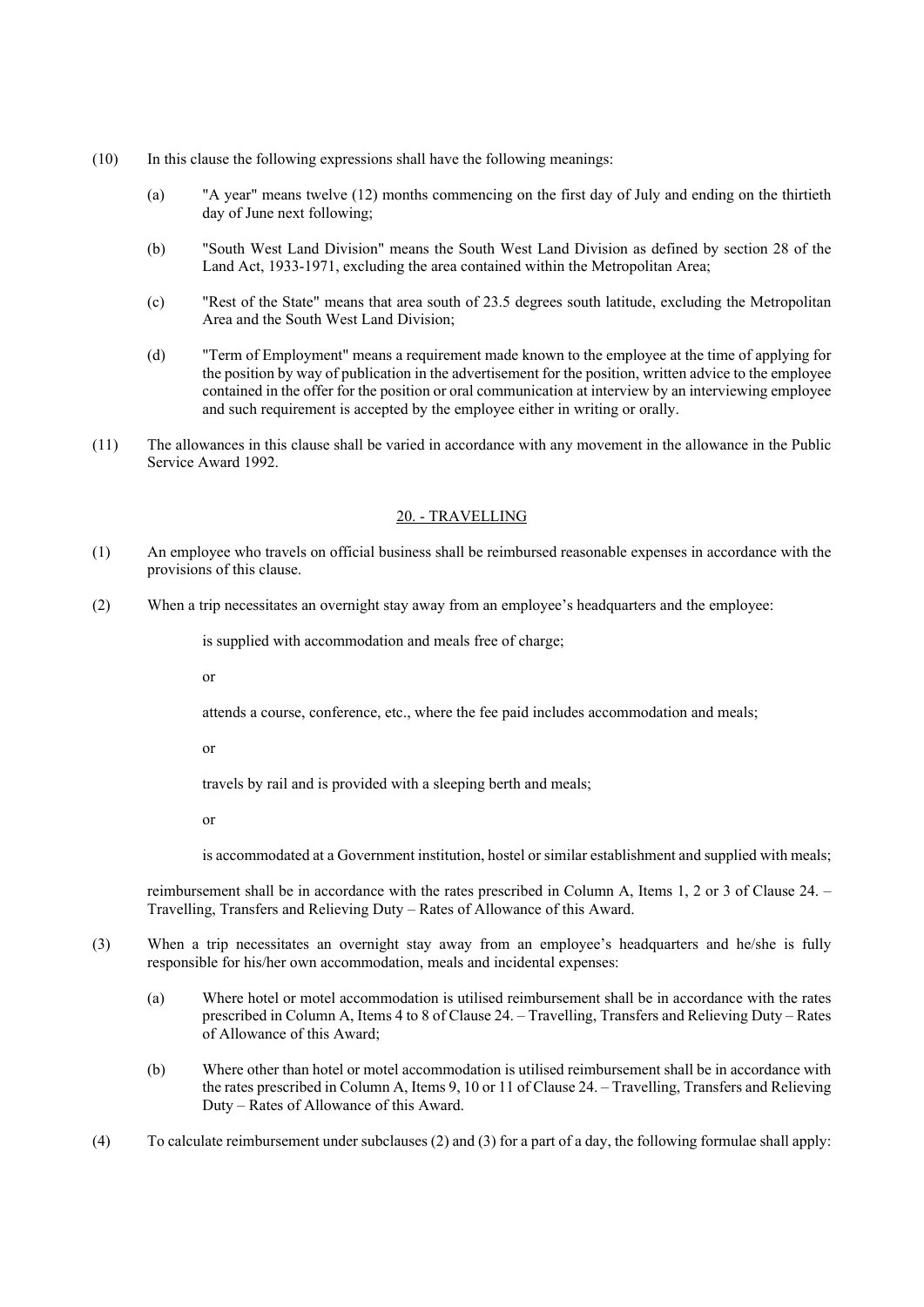- (10) In this clause the following expressions shall have the following meanings:
	- (a) "A year" means twelve (12) months commencing on the first day of July and ending on the thirtieth day of June next following;
	- (b) "South West Land Division" means the South West Land Division as defined by section 28 of the Land Act, 1933-1971, excluding the area contained within the Metropolitan Area;
	- (c) "Rest of the State" means that area south of 23.5 degrees south latitude, excluding the Metropolitan Area and the South West Land Division;
	- (d) "Term of Employment" means a requirement made known to the employee at the time of applying for the position by way of publication in the advertisement for the position, written advice to the employee contained in the offer for the position or oral communication at interview by an interviewing employee and such requirement is accepted by the employee either in writing or orally.
- (11) The allowances in this clause shall be varied in accordance with any movement in the allowance in the Public Service Award 1992.

## 20. - TRAVELLING

- (1) An employee who travels on official business shall be reimbursed reasonable expenses in accordance with the provisions of this clause.
- (2) When a trip necessitates an overnight stay away from an employee's headquarters and the employee:

is supplied with accommodation and meals free of charge;

or

attends a course, conference, etc., where the fee paid includes accommodation and meals;

or

travels by rail and is provided with a sleeping berth and meals;

or

is accommodated at a Government institution, hostel or similar establishment and supplied with meals;

reimbursement shall be in accordance with the rates prescribed in Column A, Items 1, 2 or 3 of Clause 24. – Travelling, Transfers and Relieving Duty – Rates of Allowance of this Award.

- (3) When a trip necessitates an overnight stay away from an employee's headquarters and he/she is fully responsible for his/her own accommodation, meals and incidental expenses:
	- (a) Where hotel or motel accommodation is utilised reimbursement shall be in accordance with the rates prescribed in Column A, Items 4 to 8 of Clause 24. – Travelling, Transfers and Relieving Duty – Rates of Allowance of this Award;
	- (b) Where other than hotel or motel accommodation is utilised reimbursement shall be in accordance with the rates prescribed in Column A, Items 9, 10 or 11 of Clause 24. – Travelling, Transfers and Relieving Duty – Rates of Allowance of this Award.
- (4) To calculate reimbursement under subclauses (2) and (3) for a part of a day, the following formulae shall apply: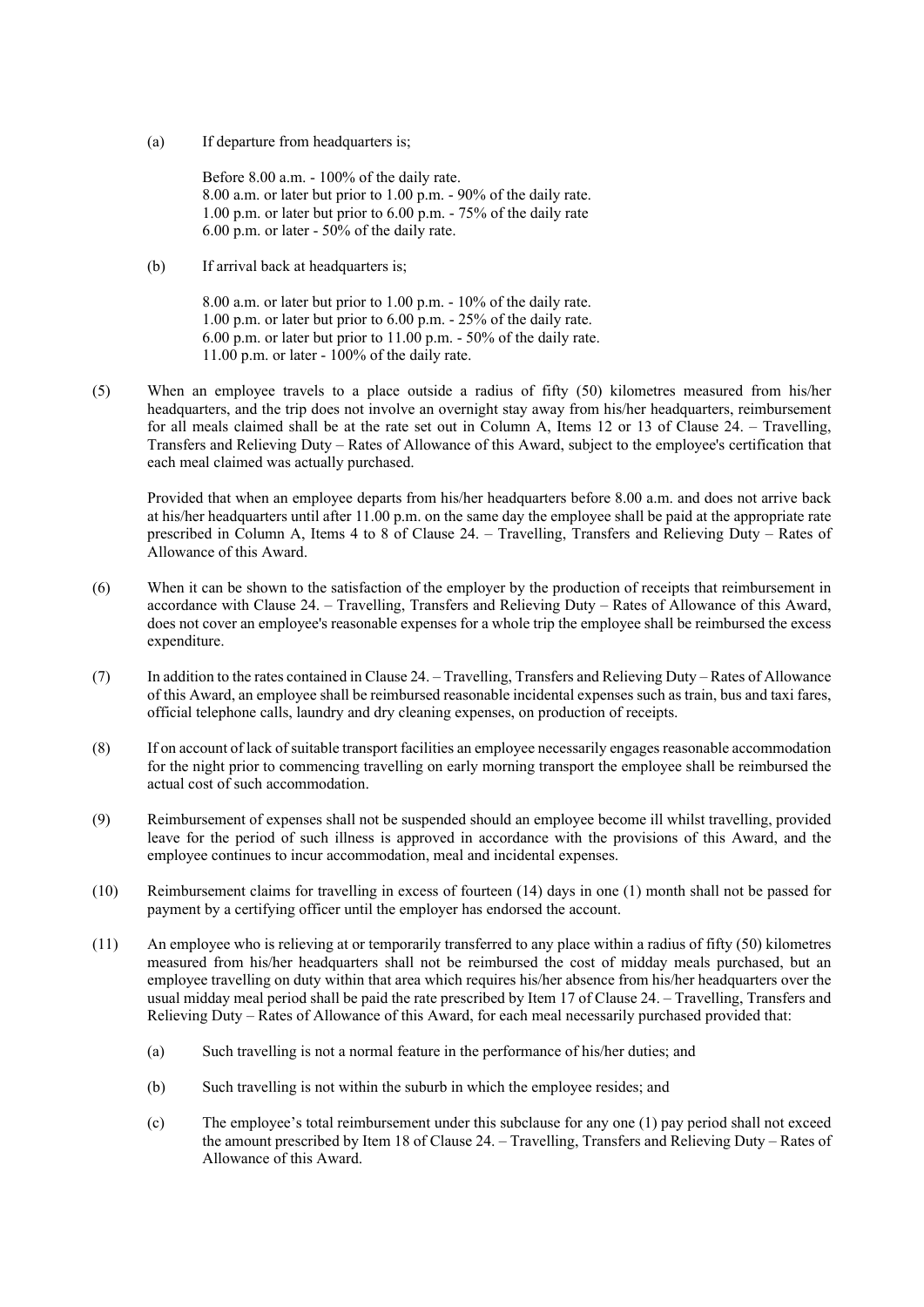(a) If departure from headquarters is;

Before 8.00 a.m. - 100% of the daily rate. 8.00 a.m. or later but prior to 1.00 p.m. - 90% of the daily rate. 1.00 p.m. or later but prior to 6.00 p.m. - 75% of the daily rate 6.00 p.m. or later - 50% of the daily rate.

(b) If arrival back at headquarters is;

8.00 a.m. or later but prior to 1.00 p.m. - 10% of the daily rate. 1.00 p.m. or later but prior to 6.00 p.m. - 25% of the daily rate. 6.00 p.m. or later but prior to 11.00 p.m. - 50% of the daily rate. 11.00 p.m. or later - 100% of the daily rate.

(5) When an employee travels to a place outside a radius of fifty (50) kilometres measured from his/her headquarters, and the trip does not involve an overnight stay away from his/her headquarters, reimbursement for all meals claimed shall be at the rate set out in Column A, Items 12 or 13 of Clause 24. – Travelling, Transfers and Relieving Duty – Rates of Allowance of this Award, subject to the employee's certification that each meal claimed was actually purchased.

Provided that when an employee departs from his/her headquarters before 8.00 a.m. and does not arrive back at his/her headquarters until after 11.00 p.m. on the same day the employee shall be paid at the appropriate rate prescribed in Column A, Items 4 to 8 of Clause 24. – Travelling, Transfers and Relieving Duty – Rates of Allowance of this Award.

- (6) When it can be shown to the satisfaction of the employer by the production of receipts that reimbursement in accordance with Clause 24. – Travelling, Transfers and Relieving Duty – Rates of Allowance of this Award, does not cover an employee's reasonable expenses for a whole trip the employee shall be reimbursed the excess expenditure.
- (7) In addition to the rates contained in Clause 24. Travelling, Transfers and Relieving Duty Rates of Allowance of this Award, an employee shall be reimbursed reasonable incidental expenses such as train, bus and taxi fares, official telephone calls, laundry and dry cleaning expenses, on production of receipts.
- (8) If on account of lack of suitable transport facilities an employee necessarily engages reasonable accommodation for the night prior to commencing travelling on early morning transport the employee shall be reimbursed the actual cost of such accommodation.
- (9) Reimbursement of expenses shall not be suspended should an employee become ill whilst travelling, provided leave for the period of such illness is approved in accordance with the provisions of this Award, and the employee continues to incur accommodation, meal and incidental expenses.
- (10) Reimbursement claims for travelling in excess of fourteen (14) days in one (1) month shall not be passed for payment by a certifying officer until the employer has endorsed the account.
- (11) An employee who is relieving at or temporarily transferred to any place within a radius of fifty (50) kilometres measured from his/her headquarters shall not be reimbursed the cost of midday meals purchased, but an employee travelling on duty within that area which requires his/her absence from his/her headquarters over the usual midday meal period shall be paid the rate prescribed by Item 17 of Clause 24. – Travelling, Transfers and Relieving Duty – Rates of Allowance of this Award, for each meal necessarily purchased provided that:
	- (a) Such travelling is not a normal feature in the performance of his/her duties; and
	- (b) Such travelling is not within the suburb in which the employee resides; and
	- (c) The employee's total reimbursement under this subclause for any one (1) pay period shall not exceed the amount prescribed by Item 18 of Clause 24. – Travelling, Transfers and Relieving Duty – Rates of Allowance of this Award.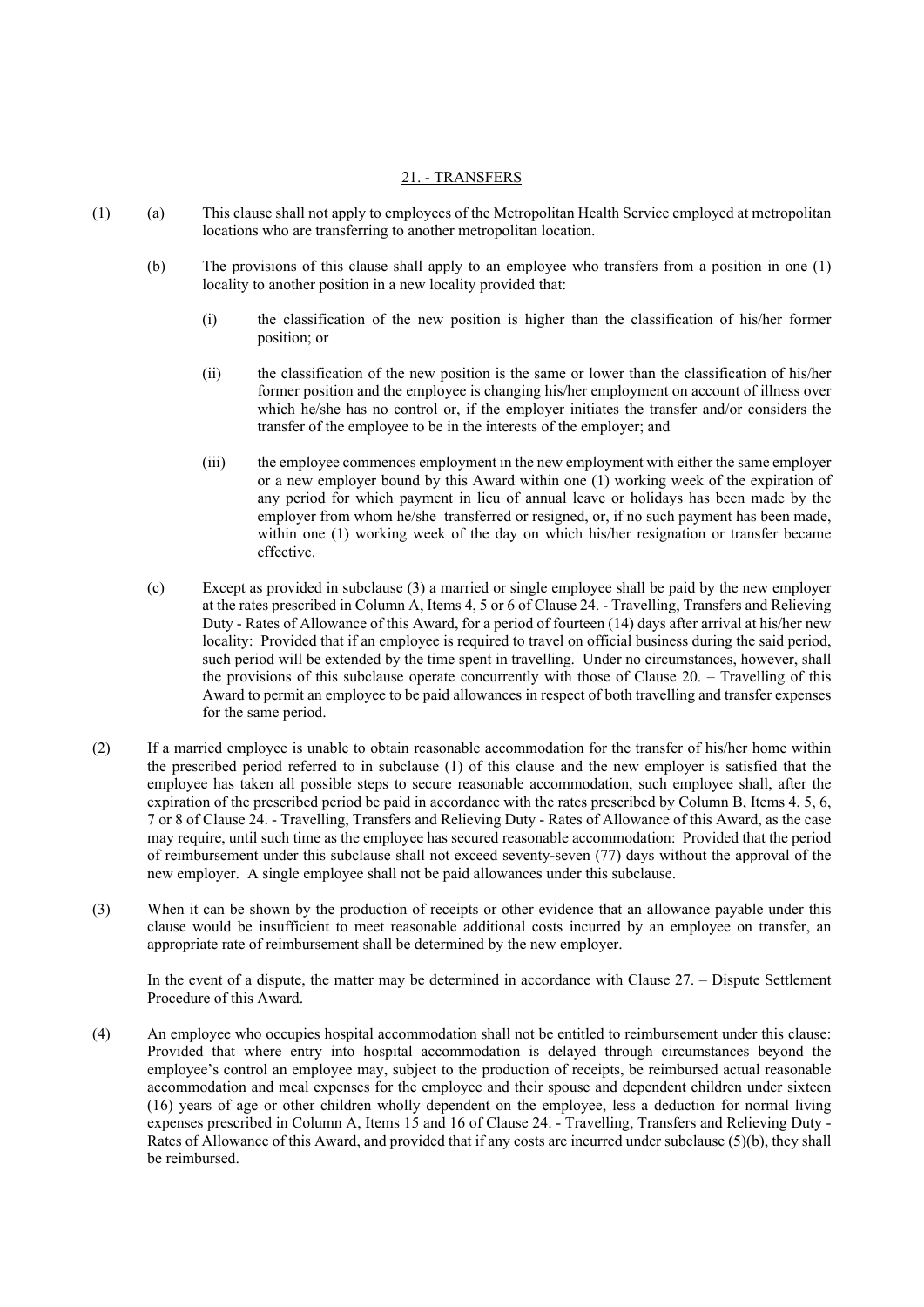## 21. - TRANSFERS

- (1) (a) This clause shall not apply to employees of the Metropolitan Health Service employed at metropolitan locations who are transferring to another metropolitan location.
	- (b) The provisions of this clause shall apply to an employee who transfers from a position in one (1) locality to another position in a new locality provided that:
		- (i) the classification of the new position is higher than the classification of his/her former position; or
		- (ii) the classification of the new position is the same or lower than the classification of his/her former position and the employee is changing his/her employment on account of illness over which he/she has no control or, if the employer initiates the transfer and/or considers the transfer of the employee to be in the interests of the employer; and
		- (iii) the employee commences employment in the new employment with either the same employer or a new employer bound by this Award within one (1) working week of the expiration of any period for which payment in lieu of annual leave or holidays has been made by the employer from whom he/she transferred or resigned, or, if no such payment has been made, within one (1) working week of the day on which his/her resignation or transfer became effective.
	- (c) Except as provided in subclause (3) a married or single employee shall be paid by the new employer at the rates prescribed in Column A, Items 4, 5 or 6 of Clause 24. - Travelling, Transfers and Relieving Duty - Rates of Allowance of this Award, for a period of fourteen (14) days after arrival at his/her new locality: Provided that if an employee is required to travel on official business during the said period, such period will be extended by the time spent in travelling. Under no circumstances, however, shall the provisions of this subclause operate concurrently with those of Clause 20. – Travelling of this Award to permit an employee to be paid allowances in respect of both travelling and transfer expenses for the same period.
- (2) If a married employee is unable to obtain reasonable accommodation for the transfer of his/her home within the prescribed period referred to in subclause (1) of this clause and the new employer is satisfied that the employee has taken all possible steps to secure reasonable accommodation, such employee shall, after the expiration of the prescribed period be paid in accordance with the rates prescribed by Column B, Items 4, 5, 6, 7 or 8 of Clause 24. - Travelling, Transfers and Relieving Duty - Rates of Allowance of this Award, as the case may require, until such time as the employee has secured reasonable accommodation: Provided that the period of reimbursement under this subclause shall not exceed seventy-seven (77) days without the approval of the new employer. A single employee shall not be paid allowances under this subclause.
- (3) When it can be shown by the production of receipts or other evidence that an allowance payable under this clause would be insufficient to meet reasonable additional costs incurred by an employee on transfer, an appropriate rate of reimbursement shall be determined by the new employer.

In the event of a dispute, the matter may be determined in accordance with Clause 27. – Dispute Settlement Procedure of this Award.

(4) An employee who occupies hospital accommodation shall not be entitled to reimbursement under this clause: Provided that where entry into hospital accommodation is delayed through circumstances beyond the employee's control an employee may, subject to the production of receipts, be reimbursed actual reasonable accommodation and meal expenses for the employee and their spouse and dependent children under sixteen (16) years of age or other children wholly dependent on the employee, less a deduction for normal living expenses prescribed in Column A, Items 15 and 16 of Clause 24. - Travelling, Transfers and Relieving Duty - Rates of Allowance of this Award, and provided that if any costs are incurred under subclause (5)(b), they shall be reimbursed.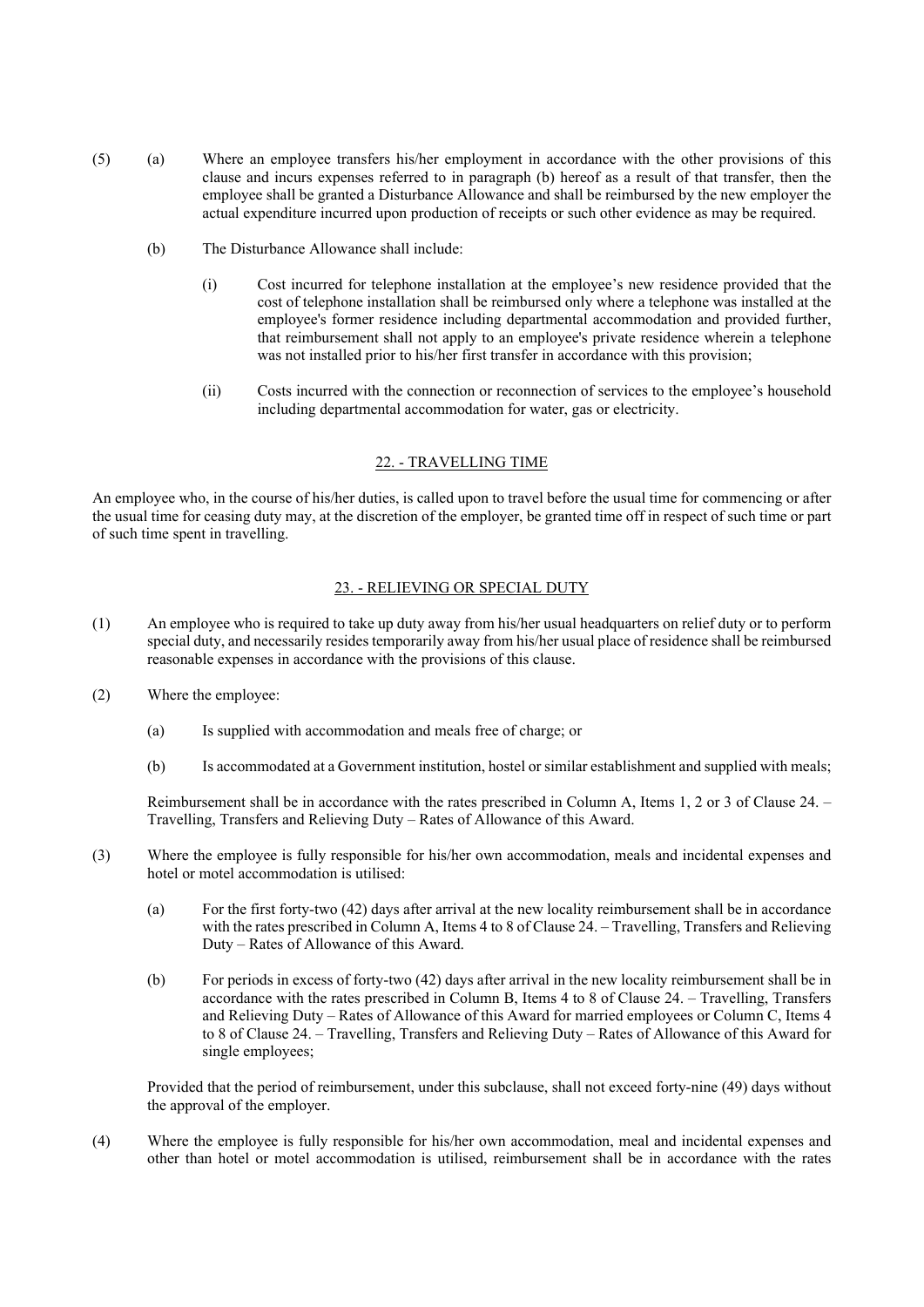- (5) (a) Where an employee transfers his/her employment in accordance with the other provisions of this clause and incurs expenses referred to in paragraph (b) hereof as a result of that transfer, then the employee shall be granted a Disturbance Allowance and shall be reimbursed by the new employer the actual expenditure incurred upon production of receipts or such other evidence as may be required.
	- (b) The Disturbance Allowance shall include:
		- (i) Cost incurred for telephone installation at the employee's new residence provided that the cost of telephone installation shall be reimbursed only where a telephone was installed at the employee's former residence including departmental accommodation and provided further, that reimbursement shall not apply to an employee's private residence wherein a telephone was not installed prior to his/her first transfer in accordance with this provision;
		- (ii) Costs incurred with the connection or reconnection of services to the employee's household including departmental accommodation for water, gas or electricity.

#### 22. - TRAVELLING TIME

An employee who, in the course of his/her duties, is called upon to travel before the usual time for commencing or after the usual time for ceasing duty may, at the discretion of the employer, be granted time off in respect of such time or part of such time spent in travelling.

#### 23. - RELIEVING OR SPECIAL DUTY

- (1) An employee who is required to take up duty away from his/her usual headquarters on relief duty or to perform special duty, and necessarily resides temporarily away from his/her usual place of residence shall be reimbursed reasonable expenses in accordance with the provisions of this clause.
- (2) Where the employee:
	- (a) Is supplied with accommodation and meals free of charge; or
	- (b) Is accommodated at a Government institution, hostel or similar establishment and supplied with meals;

Reimbursement shall be in accordance with the rates prescribed in Column A, Items 1, 2 or 3 of Clause 24. – Travelling, Transfers and Relieving Duty – Rates of Allowance of this Award.

- (3) Where the employee is fully responsible for his/her own accommodation, meals and incidental expenses and hotel or motel accommodation is utilised:
	- (a) For the first forty-two (42) days after arrival at the new locality reimbursement shall be in accordance with the rates prescribed in Column A, Items 4 to 8 of Clause 24. – Travelling, Transfers and Relieving Duty – Rates of Allowance of this Award.
	- (b) For periods in excess of forty-two (42) days after arrival in the new locality reimbursement shall be in accordance with the rates prescribed in Column B, Items 4 to 8 of Clause 24. – Travelling, Transfers and Relieving Duty – Rates of Allowance of this Award for married employees or Column C, Items 4 to 8 of Clause 24. – Travelling, Transfers and Relieving Duty – Rates of Allowance of this Award for single employees;

Provided that the period of reimbursement, under this subclause, shall not exceed forty-nine (49) days without the approval of the employer.

(4) Where the employee is fully responsible for his/her own accommodation, meal and incidental expenses and other than hotel or motel accommodation is utilised, reimbursement shall be in accordance with the rates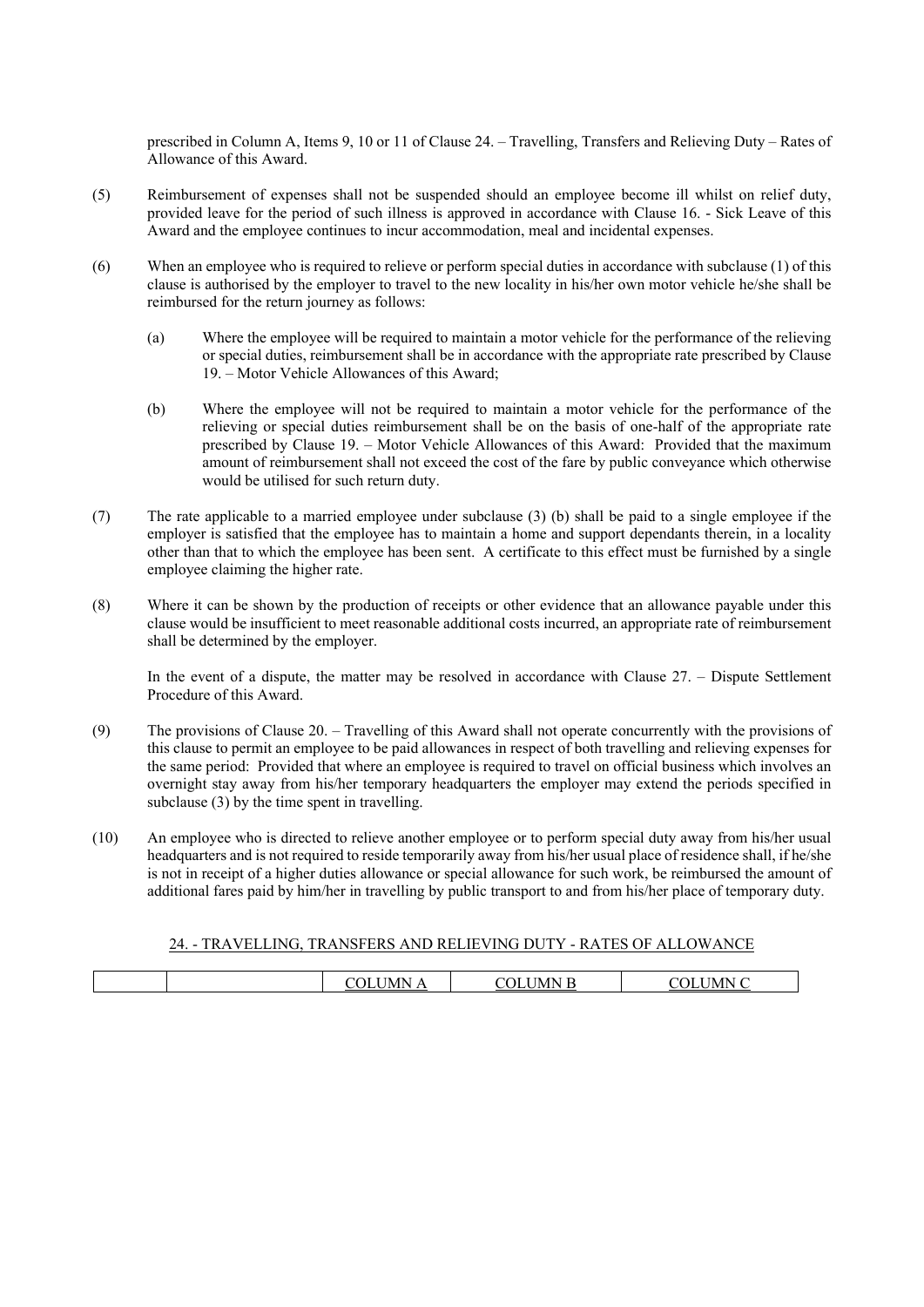prescribed in Column A, Items 9, 10 or 11 of Clause 24. – Travelling, Transfers and Relieving Duty – Rates of Allowance of this Award.

- (5) Reimbursement of expenses shall not be suspended should an employee become ill whilst on relief duty, provided leave for the period of such illness is approved in accordance with Clause 16. - Sick Leave of this Award and the employee continues to incur accommodation, meal and incidental expenses.
- (6) When an employee who is required to relieve or perform special duties in accordance with subclause (1) of this clause is authorised by the employer to travel to the new locality in his/her own motor vehicle he/she shall be reimbursed for the return journey as follows:
	- (a) Where the employee will be required to maintain a motor vehicle for the performance of the relieving or special duties, reimbursement shall be in accordance with the appropriate rate prescribed by Clause 19. – Motor Vehicle Allowances of this Award;
	- (b) Where the employee will not be required to maintain a motor vehicle for the performance of the relieving or special duties reimbursement shall be on the basis of one-half of the appropriate rate prescribed by Clause 19. – Motor Vehicle Allowances of this Award: Provided that the maximum amount of reimbursement shall not exceed the cost of the fare by public conveyance which otherwise would be utilised for such return duty.
- (7) The rate applicable to a married employee under subclause (3) (b) shall be paid to a single employee if the employer is satisfied that the employee has to maintain a home and support dependants therein, in a locality other than that to which the employee has been sent. A certificate to this effect must be furnished by a single employee claiming the higher rate.
- (8) Where it can be shown by the production of receipts or other evidence that an allowance payable under this clause would be insufficient to meet reasonable additional costs incurred, an appropriate rate of reimbursement shall be determined by the employer.

In the event of a dispute, the matter may be resolved in accordance with Clause 27. – Dispute Settlement Procedure of this Award.

- (9) The provisions of Clause 20. Travelling of this Award shall not operate concurrently with the provisions of this clause to permit an employee to be paid allowances in respect of both travelling and relieving expenses for the same period: Provided that where an employee is required to travel on official business which involves an overnight stay away from his/her temporary headquarters the employer may extend the periods specified in subclause (3) by the time spent in travelling.
- (10) An employee who is directed to relieve another employee or to perform special duty away from his/her usual headquarters and is not required to reside temporarily away from his/her usual place of residence shall, if he/she is not in receipt of a higher duties allowance or special allowance for such work, be reimbursed the amount of additional fares paid by him/her in travelling by public transport to and from his/her place of temporary duty.

## 24. - TRAVELLING, TRANSFERS AND RELIEVING DUTY - RATES OF ALLOWANCE

|  |  | -13 | MN. | $\mathbf{A}$ |
|--|--|-----|-----|--------------|
|--|--|-----|-----|--------------|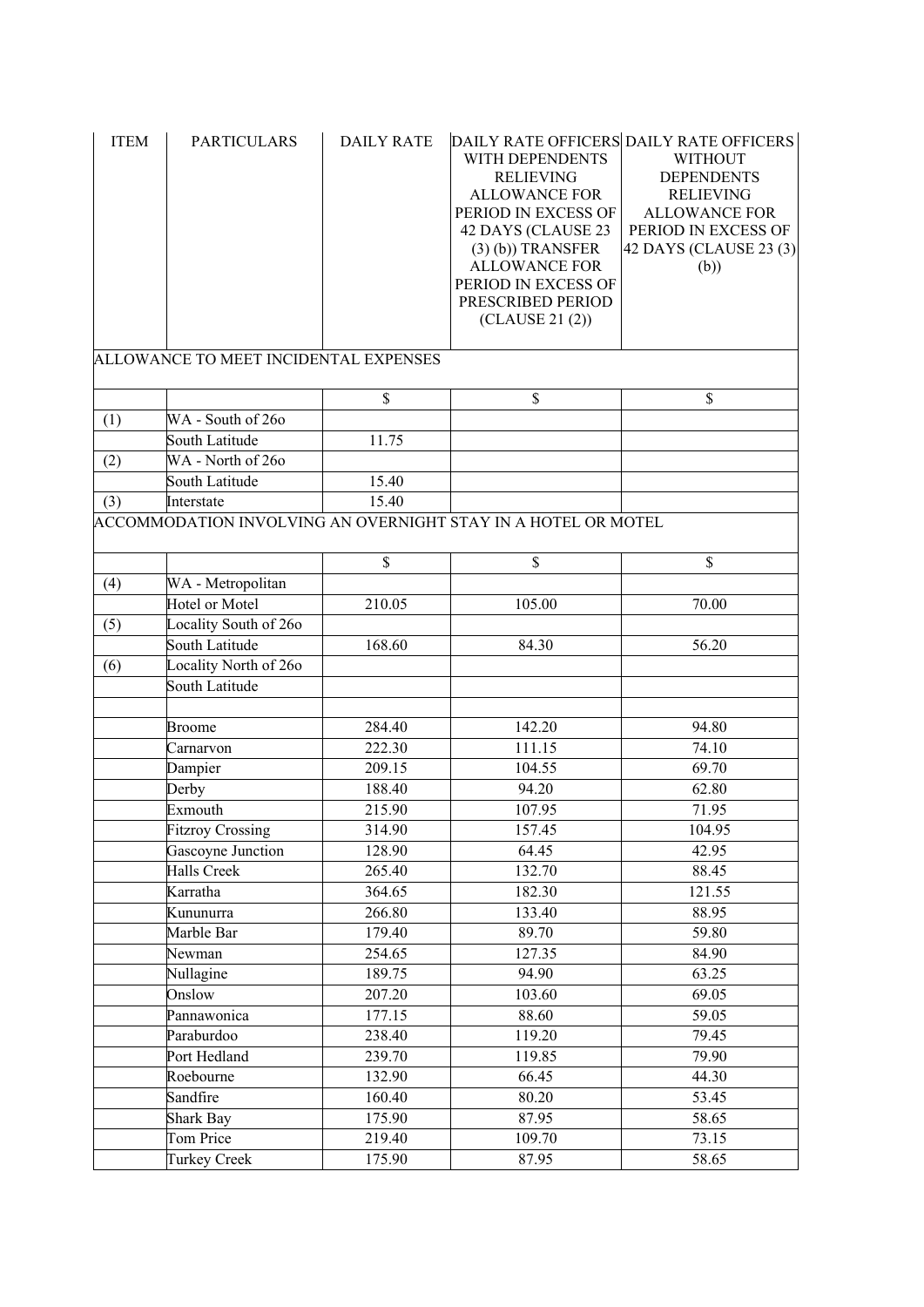| <b>ITEM</b> | <b>PARTICULARS</b>                    | <b>DAILY RATE</b> | WITH DEPENDENTS<br><b>RELIEVING</b><br><b>ALLOWANCE FOR</b><br>PERIOD IN EXCESS OF<br>42 DAYS (CLAUSE 23<br>$(3)$ (b)) TRANSFER<br><b>ALLOWANCE FOR</b><br>PERIOD IN EXCESS OF<br>PRESCRIBED PERIOD<br>(CLAUSE 21 (2)) | DAILY RATE OFFICERS DAILY RATE OFFICERS<br><b>WITHOUT</b><br><b>DEPENDENTS</b><br><b>RELIEVING</b><br><b>ALLOWANCE FOR</b><br>PERIOD IN EXCESS OF<br>42 DAYS (CLAUSE 23 (3)<br>(b)) |
|-------------|---------------------------------------|-------------------|------------------------------------------------------------------------------------------------------------------------------------------------------------------------------------------------------------------------|-------------------------------------------------------------------------------------------------------------------------------------------------------------------------------------|
|             | ALLOWANCE TO MEET INCIDENTAL EXPENSES |                   |                                                                                                                                                                                                                        |                                                                                                                                                                                     |
|             |                                       | \$                | \$                                                                                                                                                                                                                     | \$                                                                                                                                                                                  |
| (1)         | WA - South of 260                     |                   |                                                                                                                                                                                                                        |                                                                                                                                                                                     |
|             | South Latitude                        | 11.75             |                                                                                                                                                                                                                        |                                                                                                                                                                                     |
| (2)         | WA - North of 260                     |                   |                                                                                                                                                                                                                        |                                                                                                                                                                                     |
|             | South Latitude                        | 15.40             |                                                                                                                                                                                                                        |                                                                                                                                                                                     |
|             | Interstate                            | 15.40             |                                                                                                                                                                                                                        |                                                                                                                                                                                     |
| (3)         |                                       |                   | ACCOMMODATION INVOLVING AN OVERNIGHT STAY IN A HOTEL OR MOTEL                                                                                                                                                          |                                                                                                                                                                                     |
|             |                                       |                   |                                                                                                                                                                                                                        |                                                                                                                                                                                     |
|             |                                       | \$                | \$                                                                                                                                                                                                                     | \$                                                                                                                                                                                  |
|             | WA - Metropolitan                     |                   |                                                                                                                                                                                                                        |                                                                                                                                                                                     |
| (4)         | Hotel or Motel                        | 210.05            | 105.00                                                                                                                                                                                                                 | 70.00                                                                                                                                                                               |
|             | Locality South of 260                 |                   |                                                                                                                                                                                                                        |                                                                                                                                                                                     |
| (5)         | South Latitude                        | 168.60            | 84.30                                                                                                                                                                                                                  | 56.20                                                                                                                                                                               |
| (6)         | Locality North of 260                 |                   |                                                                                                                                                                                                                        |                                                                                                                                                                                     |
|             | South Latitude                        |                   |                                                                                                                                                                                                                        |                                                                                                                                                                                     |
|             |                                       |                   |                                                                                                                                                                                                                        |                                                                                                                                                                                     |
|             | <b>Broome</b>                         | 284.40            | 142.20                                                                                                                                                                                                                 | 94.80                                                                                                                                                                               |
|             | Carnarvon                             | 222.30            | 111.15                                                                                                                                                                                                                 | 74.10                                                                                                                                                                               |
|             | Dampier                               | 209.15            | 104.55                                                                                                                                                                                                                 | 69.70                                                                                                                                                                               |
|             | Derby                                 | 188.40            | 94.20                                                                                                                                                                                                                  | 62.80                                                                                                                                                                               |
|             | Exmouth                               | 215.90            | 107.95                                                                                                                                                                                                                 | 71.95                                                                                                                                                                               |
|             | <b>Fitzroy Crossing</b>               | 314.90            | 157.45                                                                                                                                                                                                                 | 104.95                                                                                                                                                                              |
|             | Gascoyne Junction                     | 128.90            | 64.45                                                                                                                                                                                                                  | 42.95                                                                                                                                                                               |
|             | Halls Creek                           | 265.40            | 132.70                                                                                                                                                                                                                 | 88.45                                                                                                                                                                               |
|             | Karratha                              | 364.65            | 182.30                                                                                                                                                                                                                 | 121.55                                                                                                                                                                              |
|             | Kununurra                             | 266.80            | 133.40                                                                                                                                                                                                                 | 88.95                                                                                                                                                                               |
|             | Marble Bar                            | 179.40            | 89.70                                                                                                                                                                                                                  | 59.80                                                                                                                                                                               |
|             | Newman                                | 254.65            | 127.35                                                                                                                                                                                                                 | 84.90                                                                                                                                                                               |
|             | Nullagine                             | 189.75            | 94.90                                                                                                                                                                                                                  | 63.25                                                                                                                                                                               |
|             | Onslow                                | 207.20            | 103.60                                                                                                                                                                                                                 | 69.05                                                                                                                                                                               |
|             | Pannawonica                           | 177.15            | 88.60                                                                                                                                                                                                                  | 59.05                                                                                                                                                                               |
|             | Paraburdoo                            | 238.40            | 119.20                                                                                                                                                                                                                 | 79.45                                                                                                                                                                               |
|             | Port Hedland                          | 239.70            | 119.85                                                                                                                                                                                                                 | 79.90                                                                                                                                                                               |
|             | Roebourne                             | 132.90            | 66.45                                                                                                                                                                                                                  | 44.30                                                                                                                                                                               |
|             | Sandfire                              | 160.40            | 80.20                                                                                                                                                                                                                  | 53.45                                                                                                                                                                               |
|             | Shark Bay                             | 175.90            | 87.95                                                                                                                                                                                                                  | 58.65                                                                                                                                                                               |
|             | Tom Price                             | 219.40            | 109.70                                                                                                                                                                                                                 | 73.15                                                                                                                                                                               |
|             | <b>Turkey Creek</b>                   | 175.90            | 87.95                                                                                                                                                                                                                  | 58.65                                                                                                                                                                               |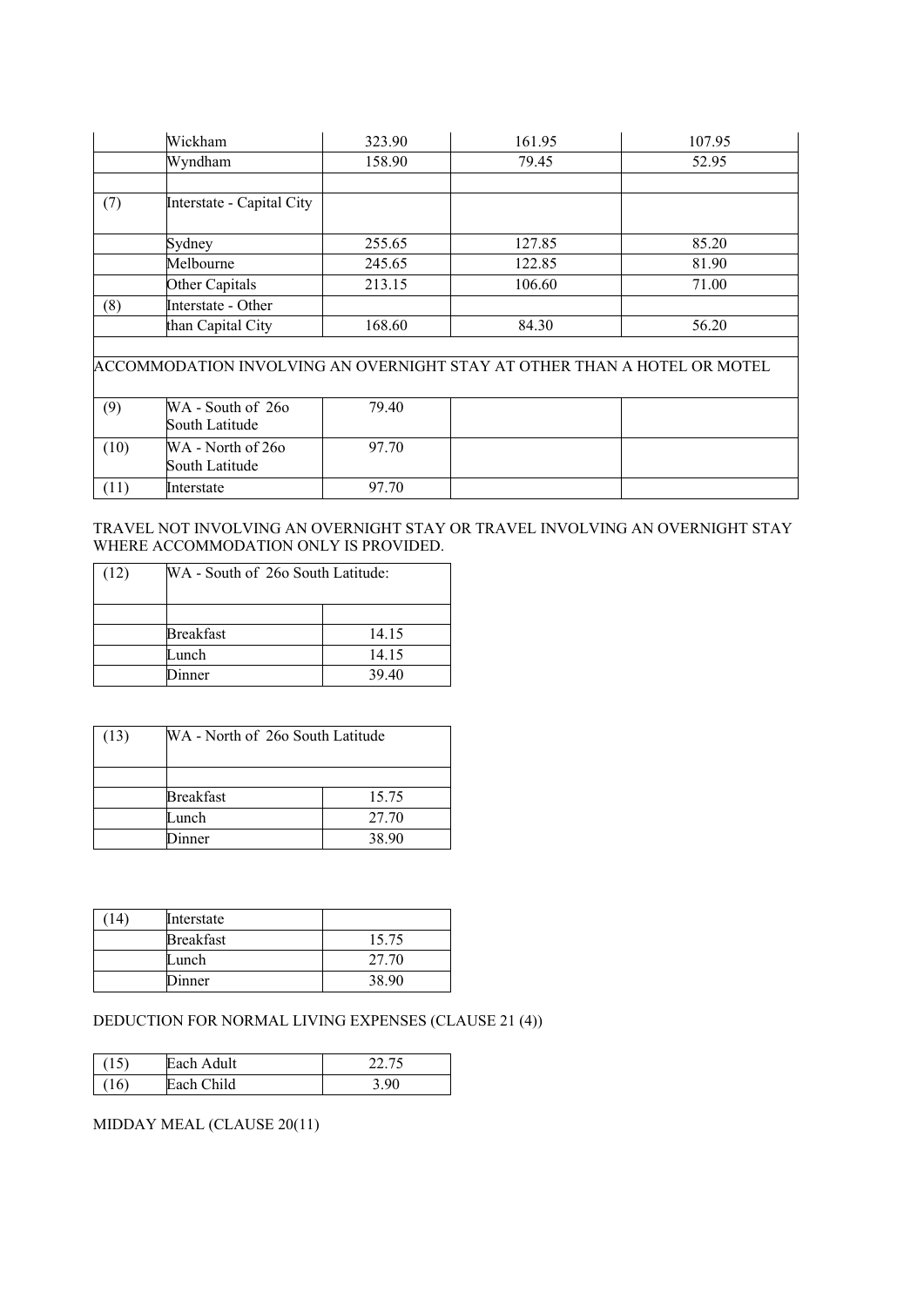|     | Wickham                                                                  | 323.90 | 161.95 | 107.95 |
|-----|--------------------------------------------------------------------------|--------|--------|--------|
|     | Wyndham                                                                  | 158.90 | 79.45  | 52.95  |
|     |                                                                          |        |        |        |
| (7) | Interstate - Capital City                                                |        |        |        |
|     | Sydney                                                                   | 255.65 | 127.85 | 85.20  |
|     | Melbourne                                                                | 245.65 | 122.85 | 81.90  |
|     | Other Capitals                                                           | 213.15 | 106.60 | 71.00  |
| (8) | Interstate - Other                                                       |        |        |        |
|     | than Capital City                                                        | 168.60 | 84.30  | 56.20  |
|     |                                                                          |        |        |        |
|     | ACCOMMODATION INVOLVING AN OVERNIGHT STAY AT OTHER THAN A HOTEL OR MOTEL |        |        |        |
|     |                                                                          |        |        |        |
| (9) | WA - South of 260<br>South Latitude                                      | 79.40  |        |        |

|      | South Latitude                      |       |  |
|------|-------------------------------------|-------|--|
| (10) | WA - North of 260<br>South Latitude | 97.70 |  |
| (11) | Interstate                          | 97.70 |  |

## TRAVEL NOT INVOLVING AN OVERNIGHT STAY OR TRAVEL INVOLVING AN OVERNIGHT STAY WHERE ACCOMMODATION ONLY IS PROVIDED.

| (12) | WA - South of 260 South Latitude: |       |
|------|-----------------------------------|-------|
|      |                                   |       |
|      | <b>Breakfast</b>                  | 14.15 |
|      | Lunch                             | 14.15 |
|      | inner                             | 39.40 |

| (13) | WA - North of 260 South Latitude |       |
|------|----------------------------------|-------|
|      |                                  |       |
|      | <b>Breakfast</b>                 | 15.75 |
|      | Lunch                            | 27.70 |
|      | inner                            | 38.90 |

| 14 | Interstate       |       |
|----|------------------|-------|
|    | <b>Breakfast</b> | 15.75 |
|    | Lunch            | 27.70 |
|    | Dinner           | 38.90 |

# DEDUCTION FOR NORMAL LIVING EXPENSES (CLAUSE 21 (4))

|         | Each Adult | 12.75 |
|---------|------------|-------|
| L<br>ΙV | Each Child | Q۵    |

# MIDDAY MEAL (CLAUSE 20(11)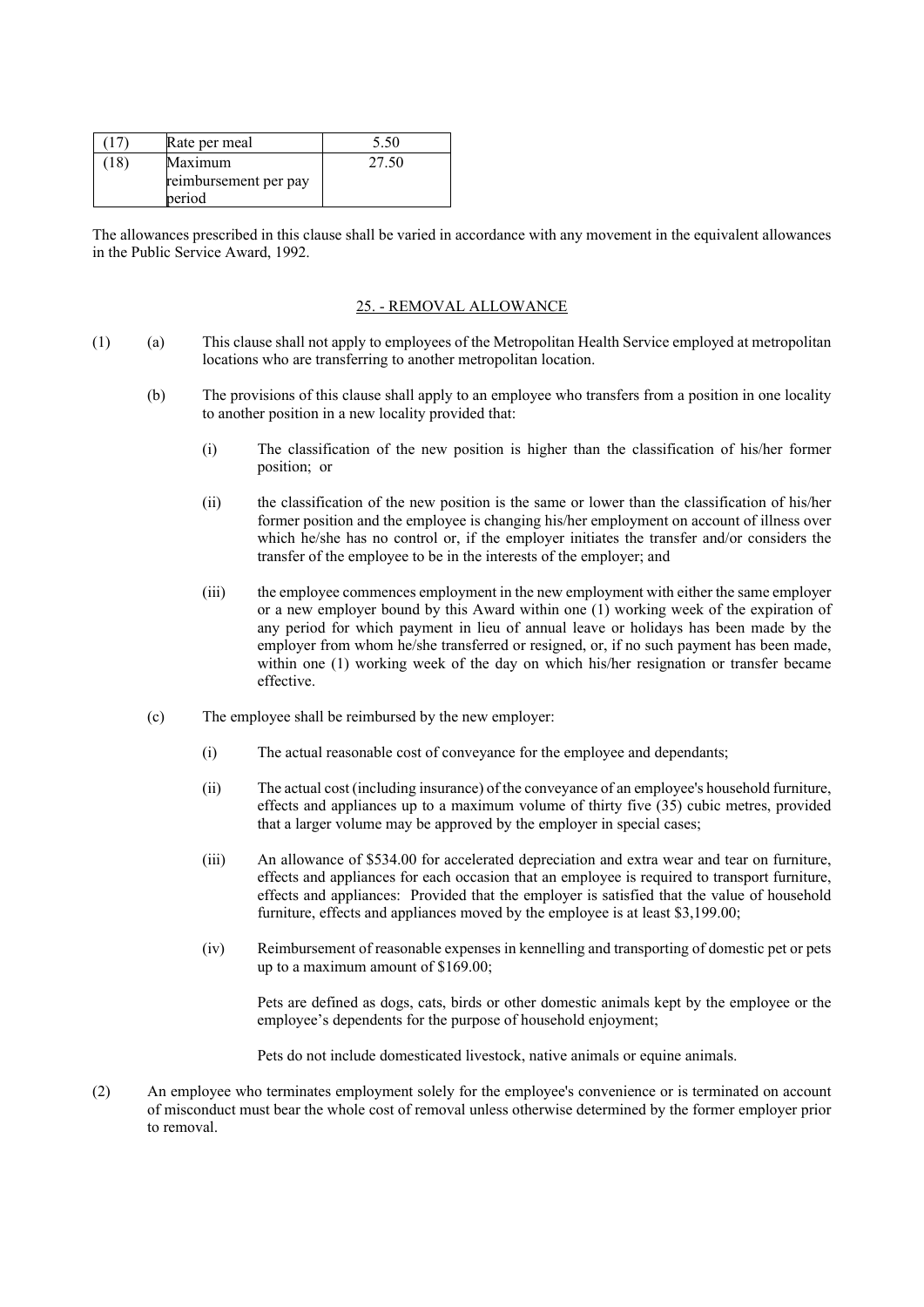|     | Rate per meal         | 5.50  |
|-----|-----------------------|-------|
| 18) | Maximum               | 27.50 |
|     | reimbursement per pay |       |
|     | period                |       |

The allowances prescribed in this clause shall be varied in accordance with any movement in the equivalent allowances in the Public Service Award, 1992.

#### 25. - REMOVAL ALLOWANCE

- (1) (a) This clause shall not apply to employees of the Metropolitan Health Service employed at metropolitan locations who are transferring to another metropolitan location.
	- (b) The provisions of this clause shall apply to an employee who transfers from a position in one locality to another position in a new locality provided that:
		- (i) The classification of the new position is higher than the classification of his/her former position; or
		- (ii) the classification of the new position is the same or lower than the classification of his/her former position and the employee is changing his/her employment on account of illness over which he/she has no control or, if the employer initiates the transfer and/or considers the transfer of the employee to be in the interests of the employer; and
		- (iii) the employee commences employment in the new employment with either the same employer or a new employer bound by this Award within one (1) working week of the expiration of any period for which payment in lieu of annual leave or holidays has been made by the employer from whom he/she transferred or resigned, or, if no such payment has been made, within one (1) working week of the day on which his/her resignation or transfer became effective.
	- (c) The employee shall be reimbursed by the new employer:
		- (i) The actual reasonable cost of conveyance for the employee and dependants;
		- (ii) The actual cost (including insurance) of the conveyance of an employee's household furniture, effects and appliances up to a maximum volume of thirty five (35) cubic metres, provided that a larger volume may be approved by the employer in special cases;
		- (iii) An allowance of \$534.00 for accelerated depreciation and extra wear and tear on furniture, effects and appliances for each occasion that an employee is required to transport furniture, effects and appliances: Provided that the employer is satisfied that the value of household furniture, effects and appliances moved by the employee is at least \$3,199.00;
		- (iv) Reimbursement of reasonable expenses in kennelling and transporting of domestic pet or pets up to a maximum amount of \$169.00;

Pets are defined as dogs, cats, birds or other domestic animals kept by the employee or the employee's dependents for the purpose of household enjoyment;

Pets do not include domesticated livestock, native animals or equine animals.

(2) An employee who terminates employment solely for the employee's convenience or is terminated on account of misconduct must bear the whole cost of removal unless otherwise determined by the former employer prior to removal.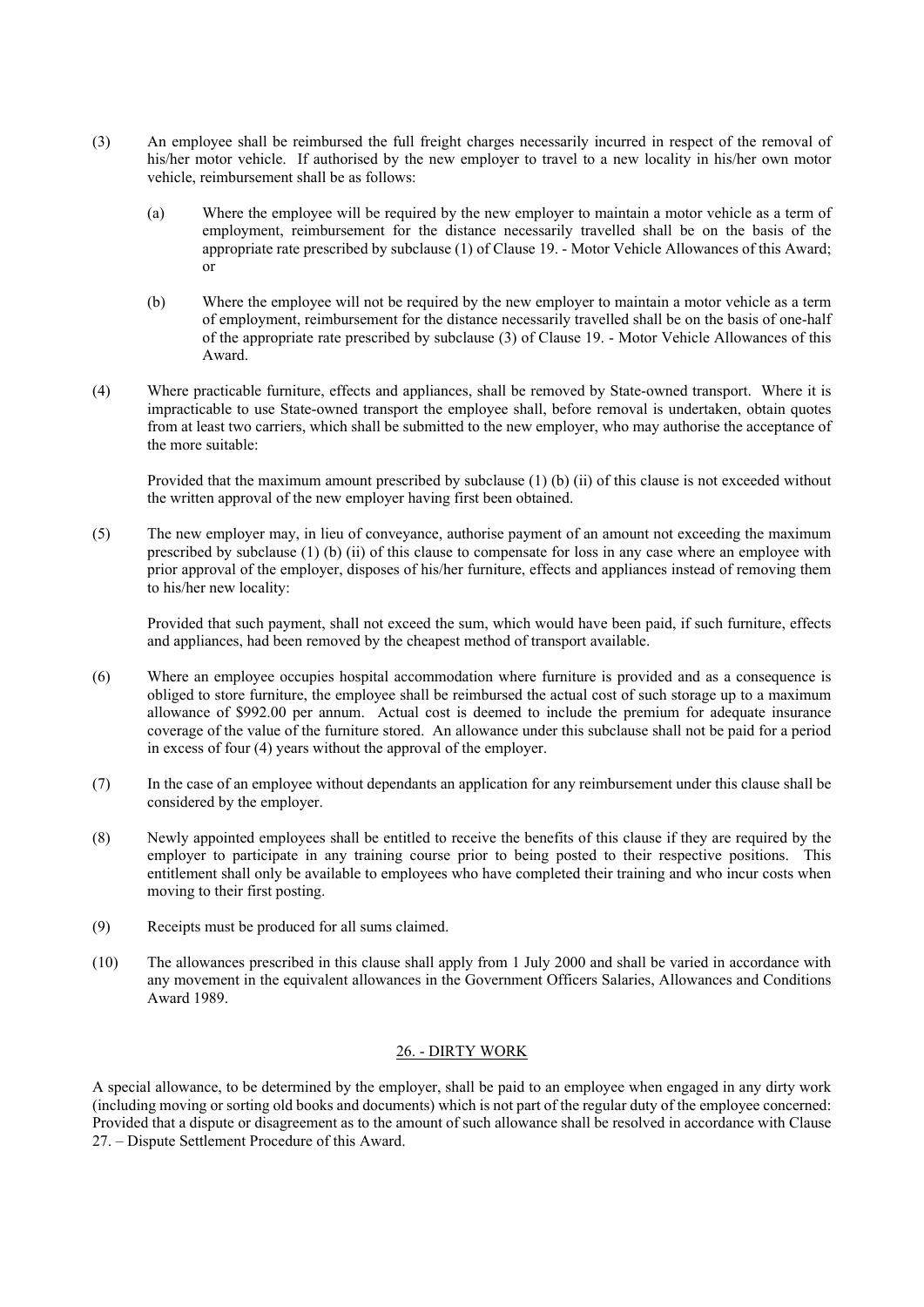- (3) An employee shall be reimbursed the full freight charges necessarily incurred in respect of the removal of his/her motor vehicle. If authorised by the new employer to travel to a new locality in his/her own motor vehicle, reimbursement shall be as follows:
	- (a) Where the employee will be required by the new employer to maintain a motor vehicle as a term of employment, reimbursement for the distance necessarily travelled shall be on the basis of the appropriate rate prescribed by subclause (1) of Clause 19. - Motor Vehicle Allowances of this Award; or
	- (b) Where the employee will not be required by the new employer to maintain a motor vehicle as a term of employment, reimbursement for the distance necessarily travelled shall be on the basis of one-half of the appropriate rate prescribed by subclause (3) of Clause 19. - Motor Vehicle Allowances of this Award.
- (4) Where practicable furniture, effects and appliances, shall be removed by State-owned transport. Where it is impracticable to use State-owned transport the employee shall, before removal is undertaken, obtain quotes from at least two carriers, which shall be submitted to the new employer, who may authorise the acceptance of the more suitable:

Provided that the maximum amount prescribed by subclause (1) (b) (ii) of this clause is not exceeded without the written approval of the new employer having first been obtained.

(5) The new employer may, in lieu of conveyance, authorise payment of an amount not exceeding the maximum prescribed by subclause (1) (b) (ii) of this clause to compensate for loss in any case where an employee with prior approval of the employer, disposes of his/her furniture, effects and appliances instead of removing them to his/her new locality:

Provided that such payment, shall not exceed the sum, which would have been paid, if such furniture, effects and appliances, had been removed by the cheapest method of transport available.

- (6) Where an employee occupies hospital accommodation where furniture is provided and as a consequence is obliged to store furniture, the employee shall be reimbursed the actual cost of such storage up to a maximum allowance of \$992.00 per annum. Actual cost is deemed to include the premium for adequate insurance coverage of the value of the furniture stored. An allowance under this subclause shall not be paid for a period in excess of four (4) years without the approval of the employer.
- (7) In the case of an employee without dependants an application for any reimbursement under this clause shall be considered by the employer.
- (8) Newly appointed employees shall be entitled to receive the benefits of this clause if they are required by the employer to participate in any training course prior to being posted to their respective positions. This entitlement shall only be available to employees who have completed their training and who incur costs when moving to their first posting.
- (9) Receipts must be produced for all sums claimed.
- (10) The allowances prescribed in this clause shall apply from 1 July 2000 and shall be varied in accordance with any movement in the equivalent allowances in the Government Officers Salaries, Allowances and Conditions Award 1989.

## 26. - DIRTY WORK

A special allowance, to be determined by the employer, shall be paid to an employee when engaged in any dirty work (including moving or sorting old books and documents) which is not part of the regular duty of the employee concerned: Provided that a dispute or disagreement as to the amount of such allowance shall be resolved in accordance with Clause 27. – Dispute Settlement Procedure of this Award.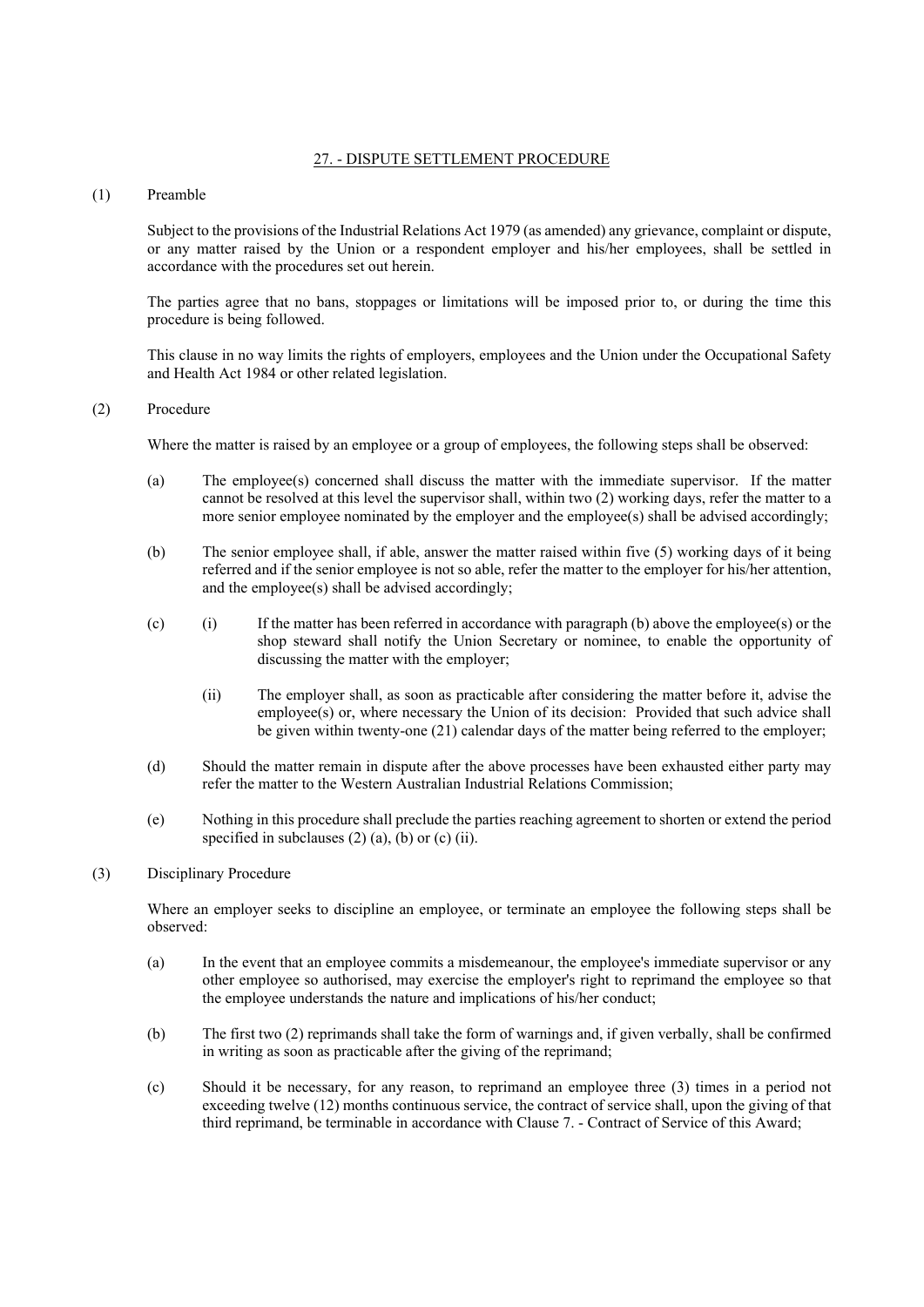## 27. - DISPUTE SETTLEMENT PROCEDURE

## (1) Preamble

Subject to the provisions of the Industrial Relations Act 1979 (as amended) any grievance, complaint or dispute, or any matter raised by the Union or a respondent employer and his/her employees, shall be settled in accordance with the procedures set out herein.

The parties agree that no bans, stoppages or limitations will be imposed prior to, or during the time this procedure is being followed.

This clause in no way limits the rights of employers, employees and the Union under the Occupational Safety and Health Act 1984 or other related legislation.

## (2) Procedure

Where the matter is raised by an employee or a group of employees, the following steps shall be observed:

- (a) The employee(s) concerned shall discuss the matter with the immediate supervisor. If the matter cannot be resolved at this level the supervisor shall, within two (2) working days, refer the matter to a more senior employee nominated by the employer and the employee(s) shall be advised accordingly;
- (b) The senior employee shall, if able, answer the matter raised within five (5) working days of it being referred and if the senior employee is not so able, refer the matter to the employer for his/her attention, and the employee(s) shall be advised accordingly;
- (c) (i) If the matter has been referred in accordance with paragraph (b) above the employee(s) or the shop steward shall notify the Union Secretary or nominee, to enable the opportunity of discussing the matter with the employer;
	- (ii) The employer shall, as soon as practicable after considering the matter before it, advise the employee(s) or, where necessary the Union of its decision: Provided that such advice shall be given within twenty-one (21) calendar days of the matter being referred to the employer;
- (d) Should the matter remain in dispute after the above processes have been exhausted either party may refer the matter to the Western Australian Industrial Relations Commission;
- (e) Nothing in this procedure shall preclude the parties reaching agreement to shorten or extend the period specified in subclauses  $(2)$   $(a)$ ,  $(b)$  or  $(c)$   $(ii)$ .

#### (3) Disciplinary Procedure

Where an employer seeks to discipline an employee, or terminate an employee the following steps shall be observed:

- (a) In the event that an employee commits a misdemeanour, the employee's immediate supervisor or any other employee so authorised, may exercise the employer's right to reprimand the employee so that the employee understands the nature and implications of his/her conduct;
- (b) The first two (2) reprimands shall take the form of warnings and, if given verbally, shall be confirmed in writing as soon as practicable after the giving of the reprimand;
- (c) Should it be necessary, for any reason, to reprimand an employee three (3) times in a period not exceeding twelve (12) months continuous service, the contract of service shall, upon the giving of that third reprimand, be terminable in accordance with Clause 7. - Contract of Service of this Award;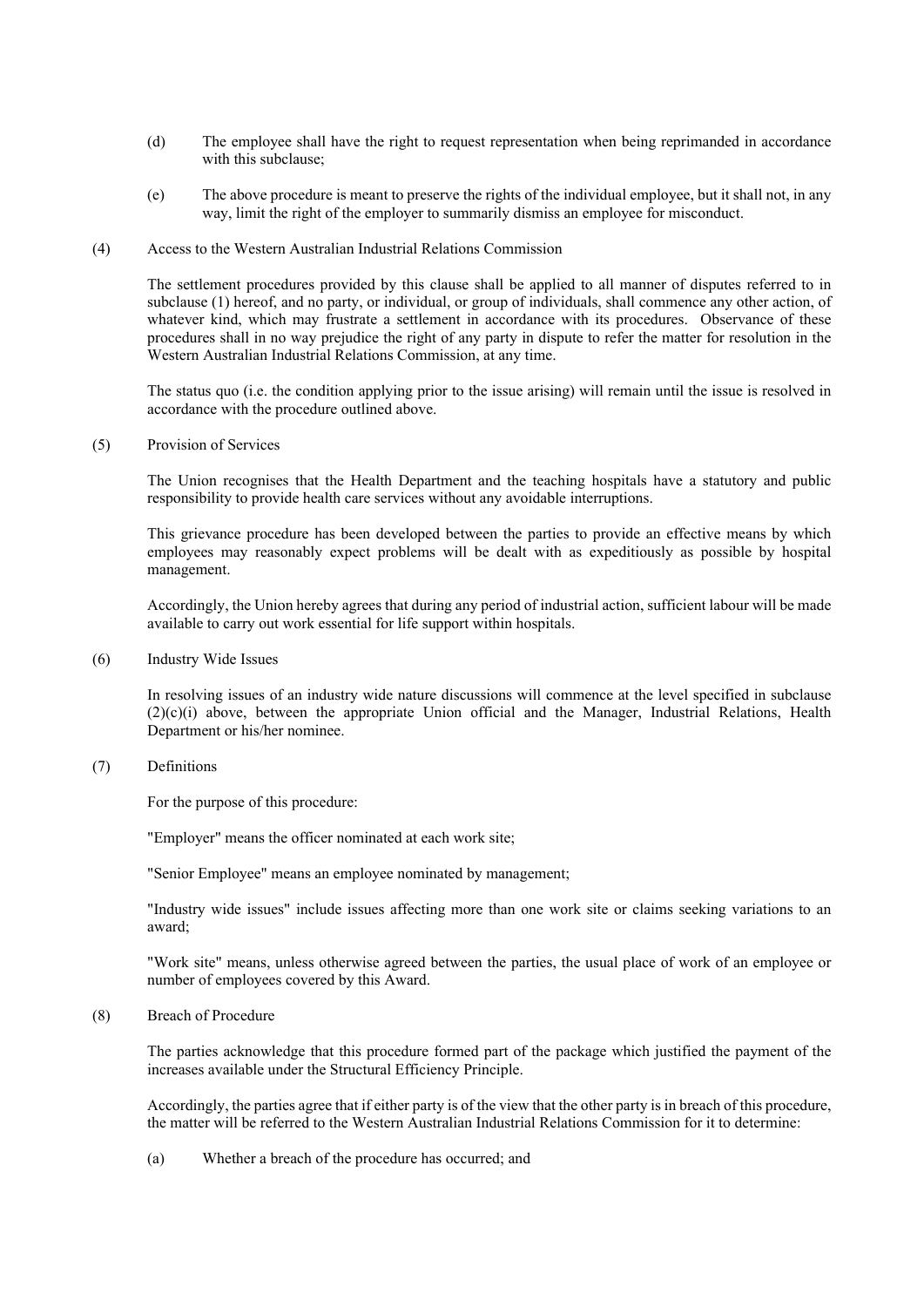- (d) The employee shall have the right to request representation when being reprimanded in accordance with this subclause;
- (e) The above procedure is meant to preserve the rights of the individual employee, but it shall not, in any way, limit the right of the employer to summarily dismiss an employee for misconduct.
- (4) Access to the Western Australian Industrial Relations Commission

The settlement procedures provided by this clause shall be applied to all manner of disputes referred to in subclause (1) hereof, and no party, or individual, or group of individuals, shall commence any other action, of whatever kind, which may frustrate a settlement in accordance with its procedures. Observance of these procedures shall in no way prejudice the right of any party in dispute to refer the matter for resolution in the Western Australian Industrial Relations Commission, at any time.

The status quo (i.e. the condition applying prior to the issue arising) will remain until the issue is resolved in accordance with the procedure outlined above.

(5) Provision of Services

The Union recognises that the Health Department and the teaching hospitals have a statutory and public responsibility to provide health care services without any avoidable interruptions.

This grievance procedure has been developed between the parties to provide an effective means by which employees may reasonably expect problems will be dealt with as expeditiously as possible by hospital management.

Accordingly, the Union hereby agrees that during any period of industrial action, sufficient labour will be made available to carry out work essential for life support within hospitals.

(6) Industry Wide Issues

In resolving issues of an industry wide nature discussions will commence at the level specified in subclause (2)(c)(i) above, between the appropriate Union official and the Manager, Industrial Relations, Health Department or his/her nominee.

(7) Definitions

For the purpose of this procedure:

"Employer" means the officer nominated at each work site;

"Senior Employee" means an employee nominated by management;

"Industry wide issues" include issues affecting more than one work site or claims seeking variations to an award;

"Work site" means, unless otherwise agreed between the parties, the usual place of work of an employee or number of employees covered by this Award.

(8) Breach of Procedure

The parties acknowledge that this procedure formed part of the package which justified the payment of the increases available under the Structural Efficiency Principle.

Accordingly, the parties agree that if either party is of the view that the other party is in breach of this procedure, the matter will be referred to the Western Australian Industrial Relations Commission for it to determine:

(a) Whether a breach of the procedure has occurred; and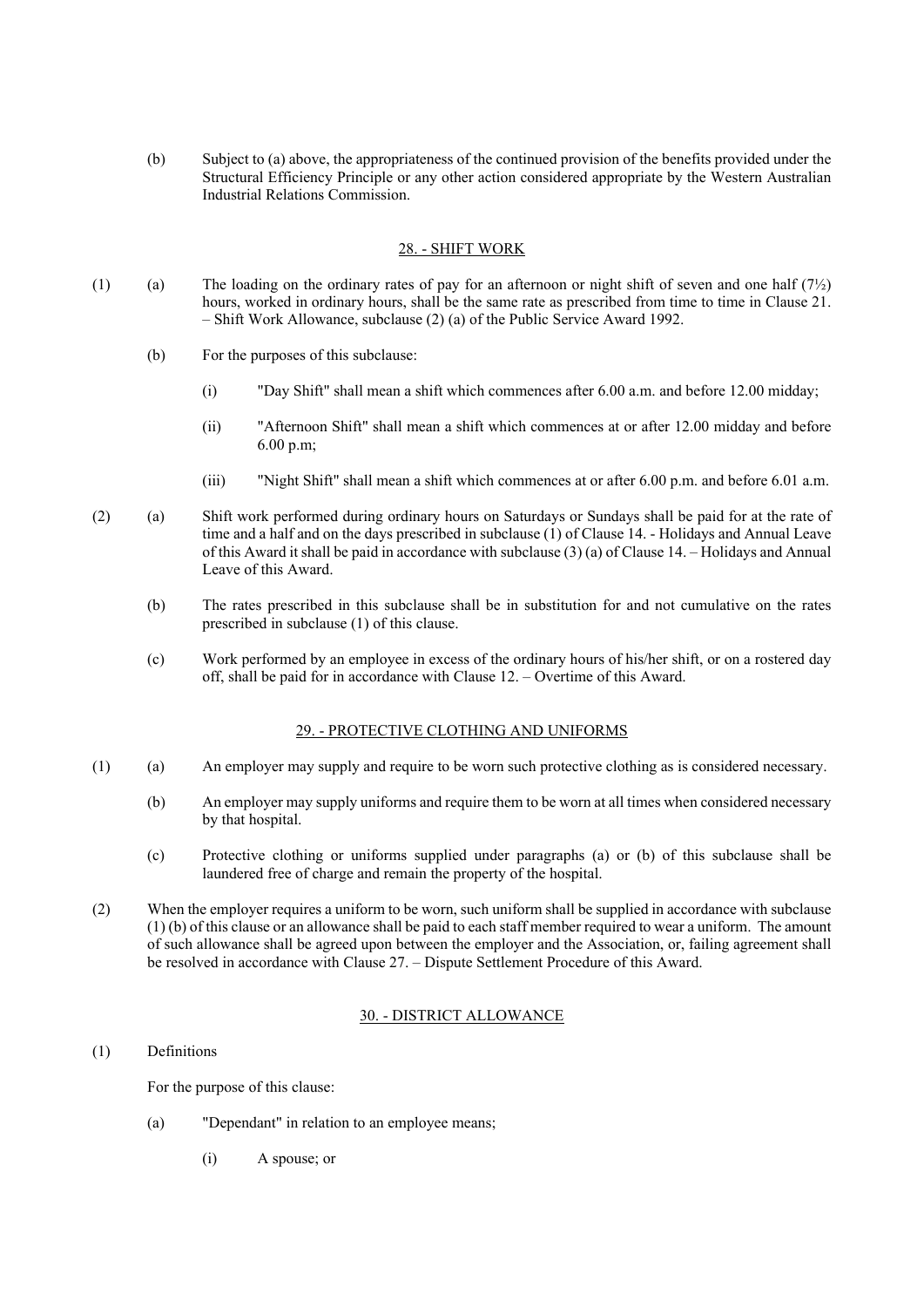(b) Subject to (a) above, the appropriateness of the continued provision of the benefits provided under the Structural Efficiency Principle or any other action considered appropriate by the Western Australian Industrial Relations Commission.

#### 28. - SHIFT WORK

- (1) (a) The loading on the ordinary rates of pay for an afternoon or night shift of seven and one half  $(7\frac{1}{2})$ hours, worked in ordinary hours, shall be the same rate as prescribed from time to time in Clause 21. – Shift Work Allowance, subclause (2) (a) of the Public Service Award 1992.
	- (b) For the purposes of this subclause:
		- (i) "Day Shift" shall mean a shift which commences after 6.00 a.m. and before 12.00 midday;
		- (ii) "Afternoon Shift" shall mean a shift which commences at or after 12.00 midday and before 6.00 p.m;
		- (iii) "Night Shift" shall mean a shift which commences at or after 6.00 p.m. and before 6.01 a.m.
- (2) (a) Shift work performed during ordinary hours on Saturdays or Sundays shall be paid for at the rate of time and a half and on the days prescribed in subclause (1) of Clause 14. - Holidays and Annual Leave of this Award it shall be paid in accordance with subclause (3) (a) of Clause 14. – Holidays and Annual Leave of this Award.
	- (b) The rates prescribed in this subclause shall be in substitution for and not cumulative on the rates prescribed in subclause (1) of this clause.
	- (c) Work performed by an employee in excess of the ordinary hours of his/her shift, or on a rostered day off, shall be paid for in accordance with Clause 12. – Overtime of this Award.

#### 29. - PROTECTIVE CLOTHING AND UNIFORMS

- (1) (a) An employer may supply and require to be worn such protective clothing as is considered necessary.
	- (b) An employer may supply uniforms and require them to be worn at all times when considered necessary by that hospital.
	- (c) Protective clothing or uniforms supplied under paragraphs (a) or (b) of this subclause shall be laundered free of charge and remain the property of the hospital.
- (2) When the employer requires a uniform to be worn, such uniform shall be supplied in accordance with subclause (1) (b) of this clause or an allowance shall be paid to each staff member required to wear a uniform. The amount of such allowance shall be agreed upon between the employer and the Association, or, failing agreement shall be resolved in accordance with Clause 27. – Dispute Settlement Procedure of this Award.

## 30. - DISTRICT ALLOWANCE

(1) Definitions

For the purpose of this clause:

- (a) "Dependant" in relation to an employee means;
	- (i) A spouse; or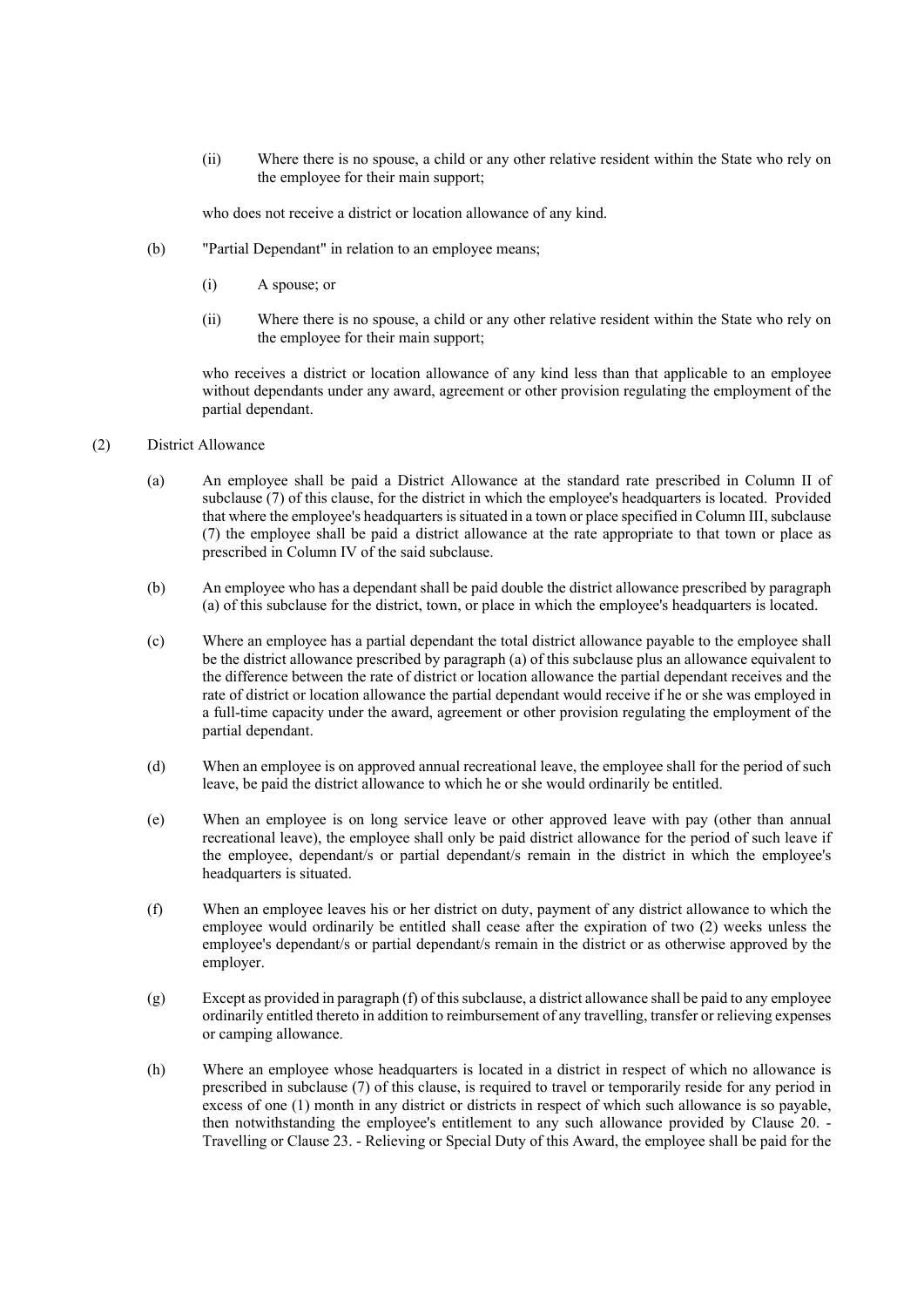(ii) Where there is no spouse, a child or any other relative resident within the State who rely on the employee for their main support;

who does not receive a district or location allowance of any kind.

- (b) "Partial Dependant" in relation to an employee means;
	- (i) A spouse; or
	- (ii) Where there is no spouse, a child or any other relative resident within the State who rely on the employee for their main support;

who receives a district or location allowance of any kind less than that applicable to an employee without dependants under any award, agreement or other provision regulating the employment of the partial dependant.

- (2) District Allowance
	- (a) An employee shall be paid a District Allowance at the standard rate prescribed in Column II of subclause (7) of this clause, for the district in which the employee's headquarters is located. Provided that where the employee's headquarters is situated in a town or place specified in Column III, subclause (7) the employee shall be paid a district allowance at the rate appropriate to that town or place as prescribed in Column IV of the said subclause.
	- (b) An employee who has a dependant shall be paid double the district allowance prescribed by paragraph (a) of this subclause for the district, town, or place in which the employee's headquarters is located.
	- (c) Where an employee has a partial dependant the total district allowance payable to the employee shall be the district allowance prescribed by paragraph (a) of this subclause plus an allowance equivalent to the difference between the rate of district or location allowance the partial dependant receives and the rate of district or location allowance the partial dependant would receive if he or she was employed in a full-time capacity under the award, agreement or other provision regulating the employment of the partial dependant.
	- (d) When an employee is on approved annual recreational leave, the employee shall for the period of such leave, be paid the district allowance to which he or she would ordinarily be entitled.
	- (e) When an employee is on long service leave or other approved leave with pay (other than annual recreational leave), the employee shall only be paid district allowance for the period of such leave if the employee, dependant/s or partial dependant/s remain in the district in which the employee's headquarters is situated.
	- (f) When an employee leaves his or her district on duty, payment of any district allowance to which the employee would ordinarily be entitled shall cease after the expiration of two (2) weeks unless the employee's dependant/s or partial dependant/s remain in the district or as otherwise approved by the employer.
	- (g) Except as provided in paragraph (f) of this subclause, a district allowance shall be paid to any employee ordinarily entitled thereto in addition to reimbursement of any travelling, transfer or relieving expenses or camping allowance.
	- (h) Where an employee whose headquarters is located in a district in respect of which no allowance is prescribed in subclause (7) of this clause, is required to travel or temporarily reside for any period in excess of one (1) month in any district or districts in respect of which such allowance is so payable, then notwithstanding the employee's entitlement to any such allowance provided by Clause 20. - Travelling or Clause 23. - Relieving or Special Duty of this Award, the employee shall be paid for the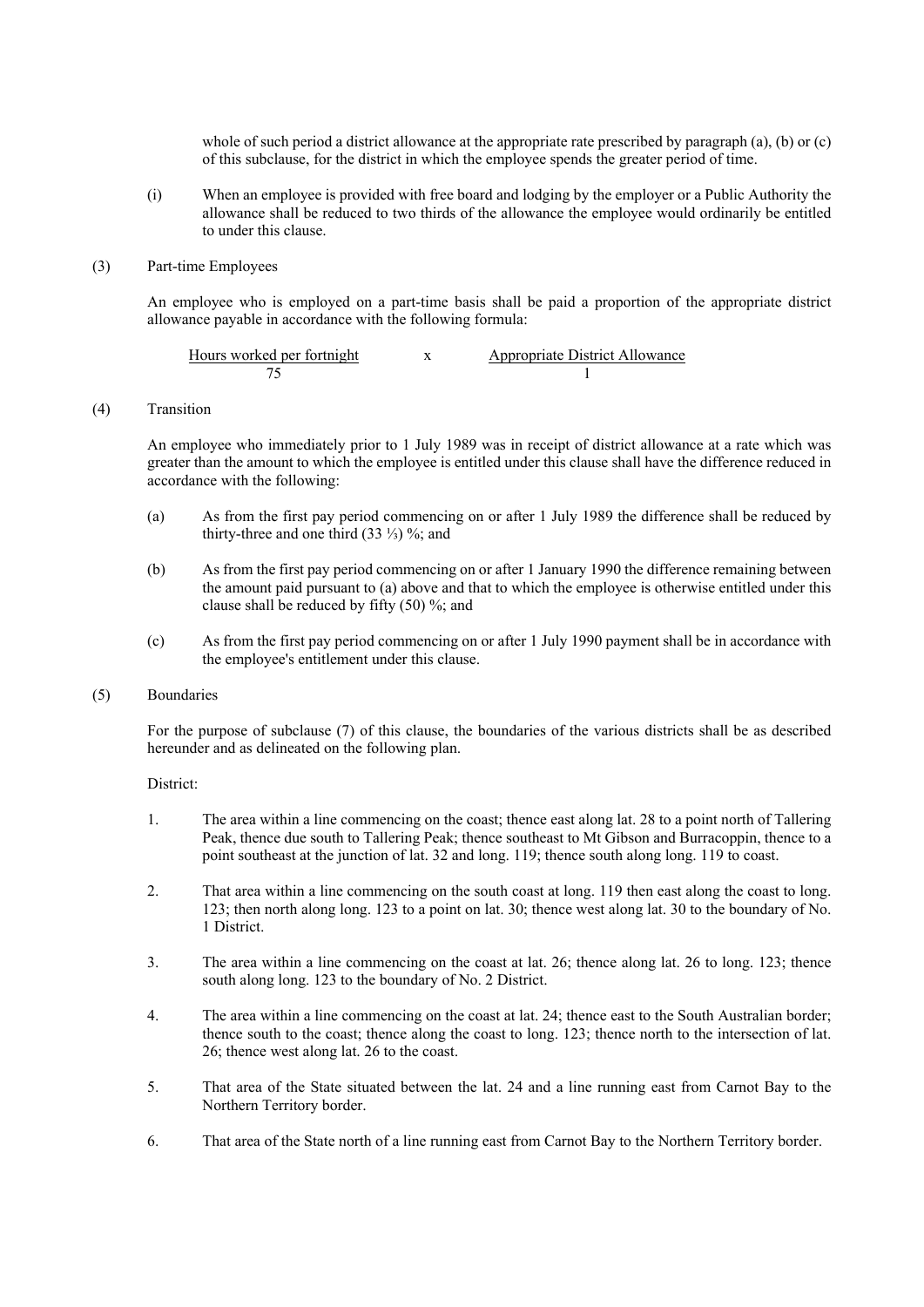whole of such period a district allowance at the appropriate rate prescribed by paragraph (a), (b) or (c) of this subclause, for the district in which the employee spends the greater period of time.

(i) When an employee is provided with free board and lodging by the employer or a Public Authority the allowance shall be reduced to two thirds of the allowance the employee would ordinarily be entitled to under this clause.

#### (3) Part-time Employees

An employee who is employed on a part-time basis shall be paid a proportion of the appropriate district allowance payable in accordance with the following formula:

| Hours worked per fortnight | Appropriate District Allowance |
|----------------------------|--------------------------------|
|                            |                                |

(4) Transition

An employee who immediately prior to 1 July 1989 was in receipt of district allowance at a rate which was greater than the amount to which the employee is entitled under this clause shall have the difference reduced in accordance with the following:

- (a) As from the first pay period commencing on or after 1 July 1989 the difference shall be reduced by thirty-three and one third  $(33\frac{1}{3})\%$ ; and
- (b) As from the first pay period commencing on or after 1 January 1990 the difference remaining between the amount paid pursuant to (a) above and that to which the employee is otherwise entitled under this clause shall be reduced by fifty (50) %; and
- (c) As from the first pay period commencing on or after 1 July 1990 payment shall be in accordance with the employee's entitlement under this clause.

## (5) Boundaries

For the purpose of subclause (7) of this clause, the boundaries of the various districts shall be as described hereunder and as delineated on the following plan.

District:

- 1. The area within a line commencing on the coast; thence east along lat. 28 to a point north of Tallering Peak, thence due south to Tallering Peak; thence southeast to Mt Gibson and Burracoppin, thence to a point southeast at the junction of lat. 32 and long. 119; thence south along long. 119 to coast.
- 2. That area within a line commencing on the south coast at long. 119 then east along the coast to long. 123; then north along long. 123 to a point on lat. 30; thence west along lat. 30 to the boundary of No. 1 District.
- 3. The area within a line commencing on the coast at lat. 26; thence along lat. 26 to long. 123; thence south along long. 123 to the boundary of No. 2 District.
- 4. The area within a line commencing on the coast at lat. 24; thence east to the South Australian border; thence south to the coast; thence along the coast to long. 123; thence north to the intersection of lat. 26; thence west along lat. 26 to the coast.
- 5. That area of the State situated between the lat. 24 and a line running east from Carnot Bay to the Northern Territory border.
- 6. That area of the State north of a line running east from Carnot Bay to the Northern Territory border.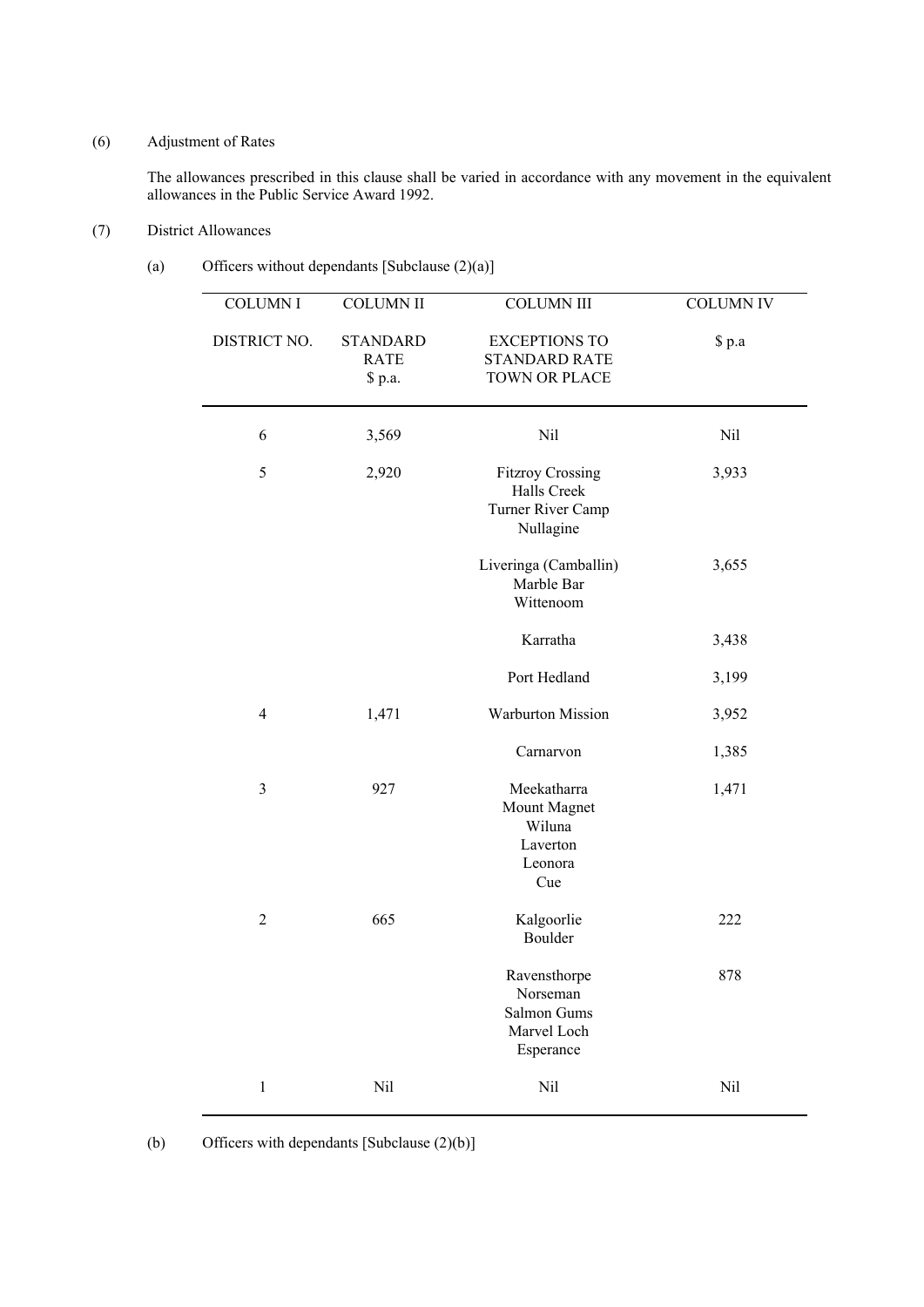# (6) Adjustment of Rates

The allowances prescribed in this clause shall be varied in accordance with any movement in the equivalent allowances in the Public Service Award 1992.

# (7) District Allowances

# (a) Officers without dependants [Subclause (2)(a)]

| <b>COLUMN I</b> | <b>COLUMN II</b>                          | <b>COLUMN III</b>                                                        | <b>COLUMN IV</b> |
|-----------------|-------------------------------------------|--------------------------------------------------------------------------|------------------|
| DISTRICT NO.    | <b>STANDARD</b><br><b>RATE</b><br>\$ p.a. | <b>EXCEPTIONS TO</b><br><b>STANDARD RATE</b><br><b>TOWN OR PLACE</b>     | \$ p.a           |
| 6               | 3,569                                     | Nil                                                                      | Nil              |
| 5               | 2,920                                     | <b>Fitzroy Crossing</b><br>Halls Creek<br>Turner River Camp<br>Nullagine | 3,933            |
|                 |                                           | Liveringa (Camballin)<br>Marble Bar<br>Wittenoom                         | 3,655            |
|                 |                                           | Karratha                                                                 | 3,438            |
|                 |                                           | Port Hedland                                                             | 3,199            |
| $\overline{4}$  | 1,471                                     | Warburton Mission                                                        | 3,952            |
|                 |                                           | Carnarvon                                                                | 1,385            |
| $\mathfrak{Z}$  | 927                                       | Meekatharra<br>Mount Magnet<br>Wiluna<br>Laverton<br>Leonora<br>Cue      | 1,471            |
| $\overline{2}$  | 665                                       | Kalgoorlie<br>Boulder                                                    | 222              |
|                 |                                           | Ravensthorpe<br>Norseman<br>Salmon Gums<br>Marvel Loch<br>Esperance      | 878              |
| $\,1$           | Nil                                       | Nil                                                                      | Nil              |

<sup>(</sup>b) Officers with dependants [Subclause (2)(b)]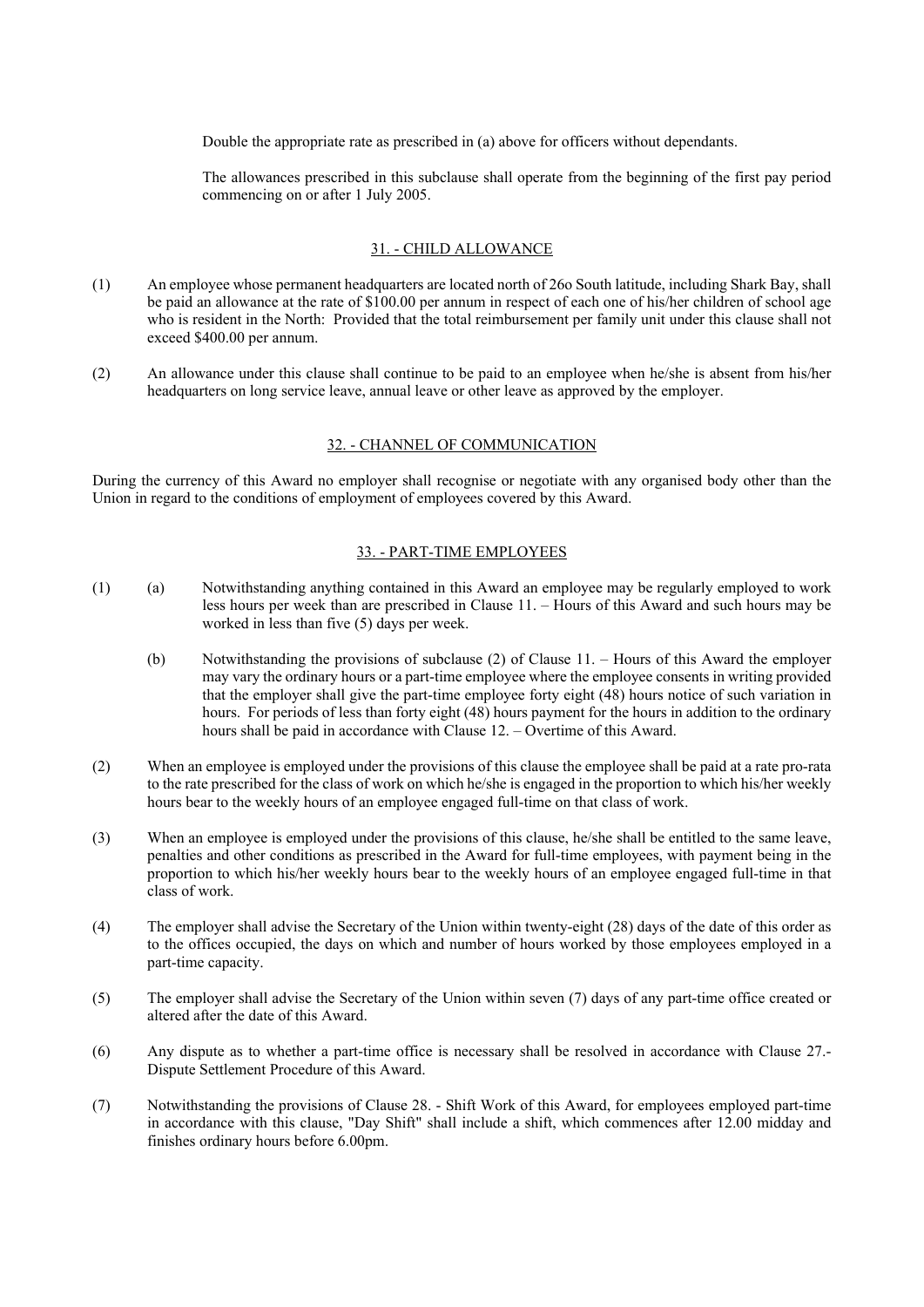Double the appropriate rate as prescribed in (a) above for officers without dependants.

The allowances prescribed in this subclause shall operate from the beginning of the first pay period commencing on or after 1 July 2005.

#### 31. - CHILD ALLOWANCE

- (1) An employee whose permanent headquarters are located north of 26o South latitude, including Shark Bay, shall be paid an allowance at the rate of \$100.00 per annum in respect of each one of his/her children of school age who is resident in the North: Provided that the total reimbursement per family unit under this clause shall not exceed \$400.00 per annum.
- (2) An allowance under this clause shall continue to be paid to an employee when he/she is absent from his/her headquarters on long service leave, annual leave or other leave as approved by the employer.

#### 32. - CHANNEL OF COMMUNICATION

During the currency of this Award no employer shall recognise or negotiate with any organised body other than the Union in regard to the conditions of employment of employees covered by this Award.

## 33. - PART-TIME EMPLOYEES

- (1) (a) Notwithstanding anything contained in this Award an employee may be regularly employed to work less hours per week than are prescribed in Clause 11. – Hours of this Award and such hours may be worked in less than five (5) days per week.
	- (b) Notwithstanding the provisions of subclause (2) of Clause 11. Hours of this Award the employer may vary the ordinary hours or a part-time employee where the employee consents in writing provided that the employer shall give the part-time employee forty eight (48) hours notice of such variation in hours. For periods of less than forty eight (48) hours payment for the hours in addition to the ordinary hours shall be paid in accordance with Clause 12. – Overtime of this Award.
- (2) When an employee is employed under the provisions of this clause the employee shall be paid at a rate pro-rata to the rate prescribed for the class of work on which he/she is engaged in the proportion to which his/her weekly hours bear to the weekly hours of an employee engaged full-time on that class of work.
- (3) When an employee is employed under the provisions of this clause, he/she shall be entitled to the same leave, penalties and other conditions as prescribed in the Award for full-time employees, with payment being in the proportion to which his/her weekly hours bear to the weekly hours of an employee engaged full-time in that class of work.
- (4) The employer shall advise the Secretary of the Union within twenty-eight (28) days of the date of this order as to the offices occupied, the days on which and number of hours worked by those employees employed in a part-time capacity.
- (5) The employer shall advise the Secretary of the Union within seven (7) days of any part-time office created or altered after the date of this Award.
- (6) Any dispute as to whether a part-time office is necessary shall be resolved in accordance with Clause 27.- Dispute Settlement Procedure of this Award.
- (7) Notwithstanding the provisions of Clause 28. Shift Work of this Award, for employees employed part-time in accordance with this clause, "Day Shift" shall include a shift, which commences after 12.00 midday and finishes ordinary hours before 6.00pm.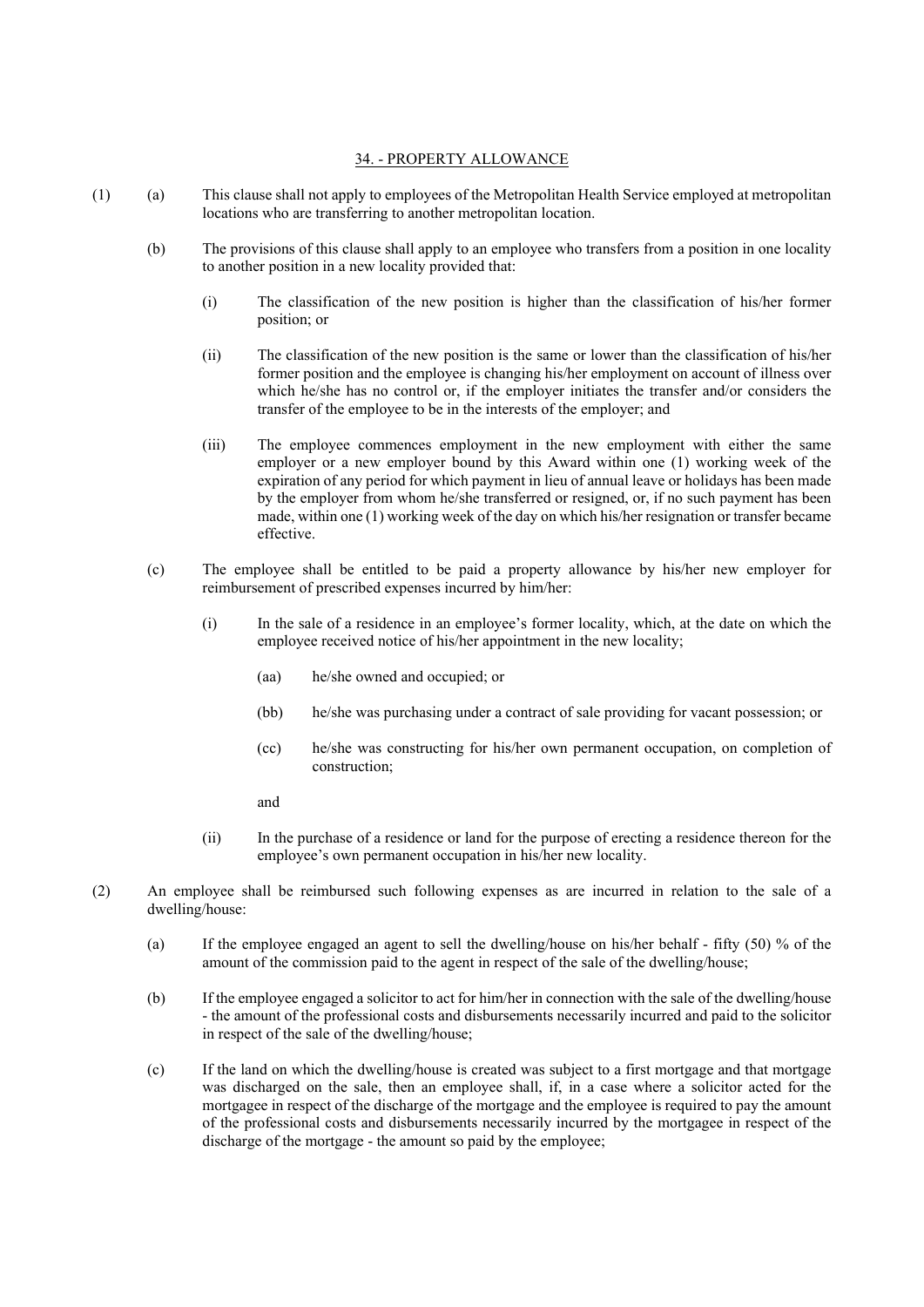## 34. - PROPERTY ALLOWANCE

- (1) (a) This clause shall not apply to employees of the Metropolitan Health Service employed at metropolitan locations who are transferring to another metropolitan location.
	- (b) The provisions of this clause shall apply to an employee who transfers from a position in one locality to another position in a new locality provided that:
		- (i) The classification of the new position is higher than the classification of his/her former position; or
		- (ii) The classification of the new position is the same or lower than the classification of his/her former position and the employee is changing his/her employment on account of illness over which he/she has no control or, if the employer initiates the transfer and/or considers the transfer of the employee to be in the interests of the employer; and
		- (iii) The employee commences employment in the new employment with either the same employer or a new employer bound by this Award within one (1) working week of the expiration of any period for which payment in lieu of annual leave or holidays has been made by the employer from whom he/she transferred or resigned, or, if no such payment has been made, within one (1) working week of the day on which his/her resignation or transfer became effective.
	- (c) The employee shall be entitled to be paid a property allowance by his/her new employer for reimbursement of prescribed expenses incurred by him/her:
		- (i) In the sale of a residence in an employee's former locality, which, at the date on which the employee received notice of his/her appointment in the new locality;
			- (aa) he/she owned and occupied; or
			- (bb) he/she was purchasing under a contract of sale providing for vacant possession; or
			- (cc) he/she was constructing for his/her own permanent occupation, on completion of construction;
			- and
		- (ii) In the purchase of a residence or land for the purpose of erecting a residence thereon for the employee's own permanent occupation in his/her new locality.
- (2) An employee shall be reimbursed such following expenses as are incurred in relation to the sale of a dwelling/house:
	- (a) If the employee engaged an agent to sell the dwelling/house on his/her behalf fifty (50) % of the amount of the commission paid to the agent in respect of the sale of the dwelling/house;
	- (b) If the employee engaged a solicitor to act for him/her in connection with the sale of the dwelling/house - the amount of the professional costs and disbursements necessarily incurred and paid to the solicitor in respect of the sale of the dwelling/house;
	- (c) If the land on which the dwelling/house is created was subject to a first mortgage and that mortgage was discharged on the sale, then an employee shall, if, in a case where a solicitor acted for the mortgagee in respect of the discharge of the mortgage and the employee is required to pay the amount of the professional costs and disbursements necessarily incurred by the mortgagee in respect of the discharge of the mortgage - the amount so paid by the employee;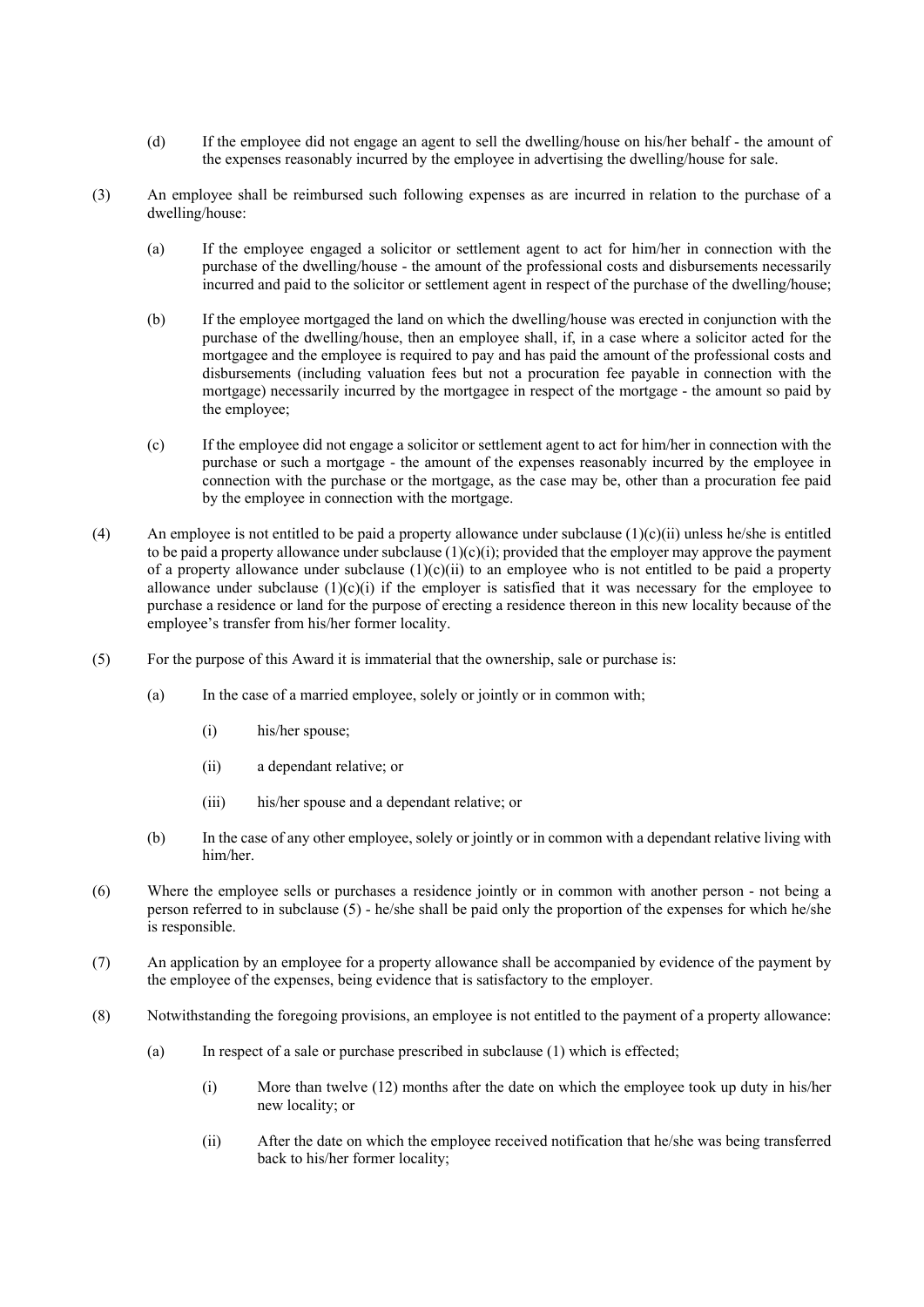- (d) If the employee did not engage an agent to sell the dwelling/house on his/her behalf the amount of the expenses reasonably incurred by the employee in advertising the dwelling/house for sale.
- (3) An employee shall be reimbursed such following expenses as are incurred in relation to the purchase of a dwelling/house:
	- (a) If the employee engaged a solicitor or settlement agent to act for him/her in connection with the purchase of the dwelling/house - the amount of the professional costs and disbursements necessarily incurred and paid to the solicitor or settlement agent in respect of the purchase of the dwelling/house;
	- (b) If the employee mortgaged the land on which the dwelling/house was erected in conjunction with the purchase of the dwelling/house, then an employee shall, if, in a case where a solicitor acted for the mortgagee and the employee is required to pay and has paid the amount of the professional costs and disbursements (including valuation fees but not a procuration fee payable in connection with the mortgage) necessarily incurred by the mortgagee in respect of the mortgage - the amount so paid by the employee;
	- (c) If the employee did not engage a solicitor or settlement agent to act for him/her in connection with the purchase or such a mortgage - the amount of the expenses reasonably incurred by the employee in connection with the purchase or the mortgage, as the case may be, other than a procuration fee paid by the employee in connection with the mortgage.
- (4) An employee is not entitled to be paid a property allowance under subclause  $(1)(c)(ii)$  unless he/she is entitled to be paid a property allowance under subclause  $(1)(c)(i)$ ; provided that the employer may approve the payment of a property allowance under subclause  $(1)(c)(ii)$  to an employee who is not entitled to be paid a property allowance under subclause  $(1)(c)(i)$  if the employer is satisfied that it was necessary for the employee to purchase a residence or land for the purpose of erecting a residence thereon in this new locality because of the employee's transfer from his/her former locality.
- (5) For the purpose of this Award it is immaterial that the ownership, sale or purchase is:
	- (a) In the case of a married employee, solely or jointly or in common with;
		- (i) his/her spouse;
		- (ii) a dependant relative; or
		- (iii) his/her spouse and a dependant relative; or
	- (b) In the case of any other employee, solely or jointly or in common with a dependant relative living with him/her.
- (6) Where the employee sells or purchases a residence jointly or in common with another person not being a person referred to in subclause (5) - he/she shall be paid only the proportion of the expenses for which he/she is responsible.
- (7) An application by an employee for a property allowance shall be accompanied by evidence of the payment by the employee of the expenses, being evidence that is satisfactory to the employer.
- (8) Notwithstanding the foregoing provisions, an employee is not entitled to the payment of a property allowance:
	- (a) In respect of a sale or purchase prescribed in subclause (1) which is effected;
		- (i) More than twelve (12) months after the date on which the employee took up duty in his/her new locality; or
		- (ii) After the date on which the employee received notification that he/she was being transferred back to his/her former locality;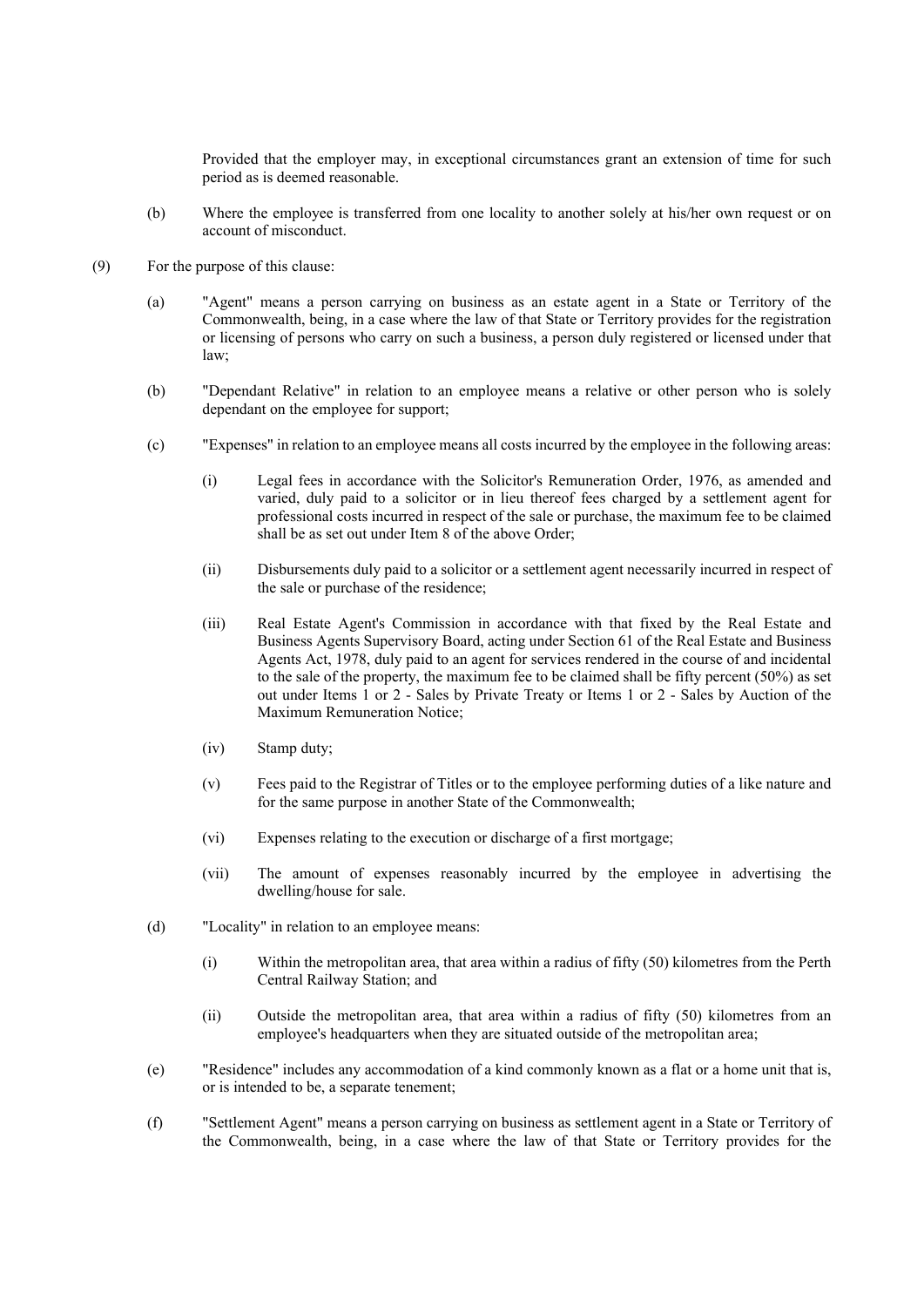Provided that the employer may, in exceptional circumstances grant an extension of time for such period as is deemed reasonable.

- (b) Where the employee is transferred from one locality to another solely at his/her own request or on account of misconduct.
- (9) For the purpose of this clause:
	- (a) "Agent" means a person carrying on business as an estate agent in a State or Territory of the Commonwealth, being, in a case where the law of that State or Territory provides for the registration or licensing of persons who carry on such a business, a person duly registered or licensed under that law;
	- (b) "Dependant Relative" in relation to an employee means a relative or other person who is solely dependant on the employee for support;
	- (c) "Expenses" in relation to an employee means all costs incurred by the employee in the following areas:
		- (i) Legal fees in accordance with the Solicitor's Remuneration Order, 1976, as amended and varied, duly paid to a solicitor or in lieu thereof fees charged by a settlement agent for professional costs incurred in respect of the sale or purchase, the maximum fee to be claimed shall be as set out under Item 8 of the above Order;
		- (ii) Disbursements duly paid to a solicitor or a settlement agent necessarily incurred in respect of the sale or purchase of the residence;
		- (iii) Real Estate Agent's Commission in accordance with that fixed by the Real Estate and Business Agents Supervisory Board, acting under Section 61 of the Real Estate and Business Agents Act, 1978, duly paid to an agent for services rendered in the course of and incidental to the sale of the property, the maximum fee to be claimed shall be fifty percent (50%) as set out under Items 1 or 2 - Sales by Private Treaty or Items 1 or 2 - Sales by Auction of the Maximum Remuneration Notice;
		- (iv) Stamp duty;
		- (v) Fees paid to the Registrar of Titles or to the employee performing duties of a like nature and for the same purpose in another State of the Commonwealth;
		- (vi) Expenses relating to the execution or discharge of a first mortgage;
		- (vii) The amount of expenses reasonably incurred by the employee in advertising the dwelling/house for sale.
	- (d) "Locality" in relation to an employee means:
		- (i) Within the metropolitan area, that area within a radius of fifty (50) kilometres from the Perth Central Railway Station; and
		- (ii) Outside the metropolitan area, that area within a radius of fifty (50) kilometres from an employee's headquarters when they are situated outside of the metropolitan area;
	- (e) "Residence" includes any accommodation of a kind commonly known as a flat or a home unit that is, or is intended to be, a separate tenement;
	- (f) "Settlement Agent" means a person carrying on business as settlement agent in a State or Territory of the Commonwealth, being, in a case where the law of that State or Territory provides for the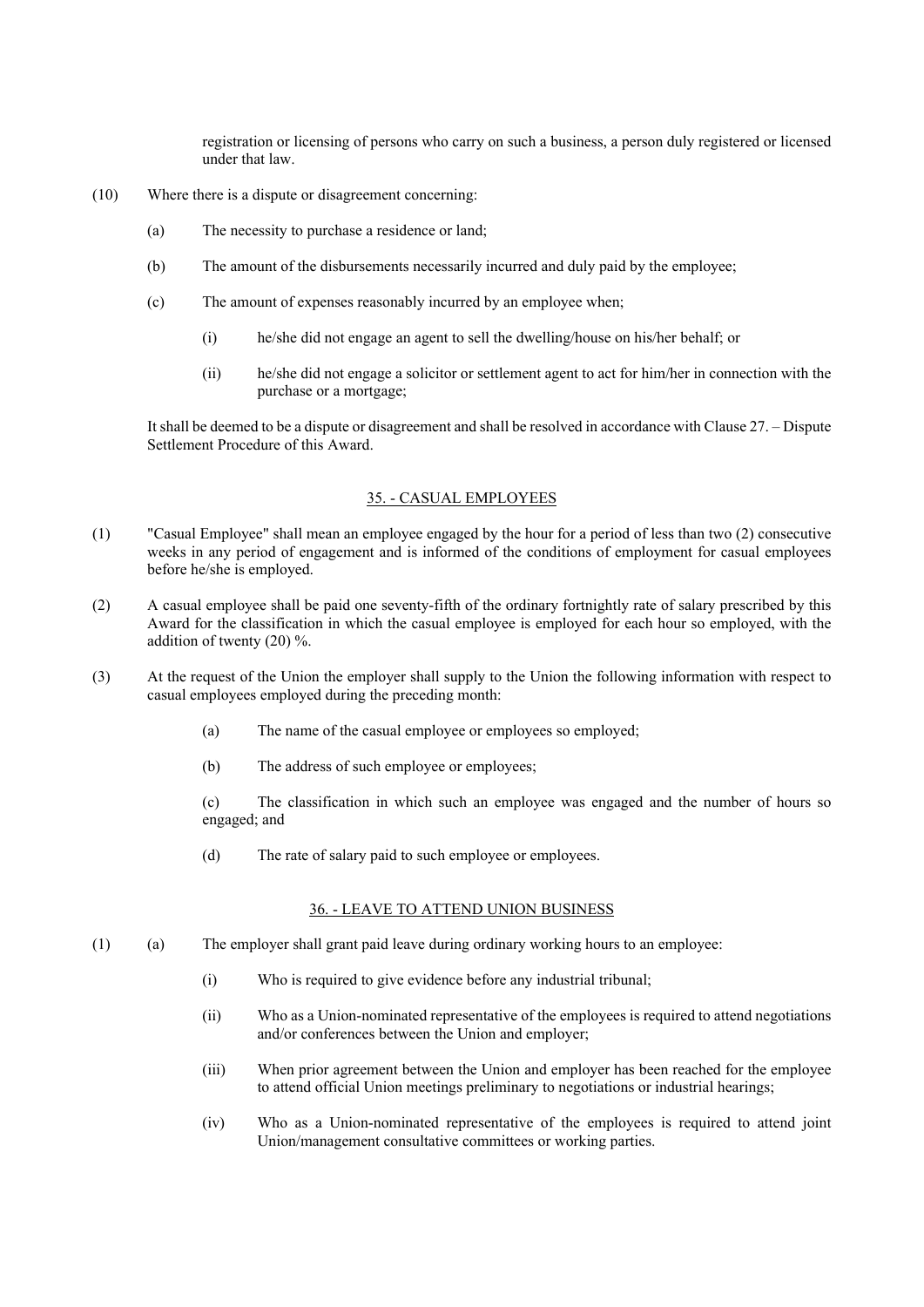registration or licensing of persons who carry on such a business, a person duly registered or licensed under that law.

- (10) Where there is a dispute or disagreement concerning:
	- (a) The necessity to purchase a residence or land;
	- (b) The amount of the disbursements necessarily incurred and duly paid by the employee;
	- (c) The amount of expenses reasonably incurred by an employee when;
		- (i) he/she did not engage an agent to sell the dwelling/house on his/her behalf; or
		- (ii) he/she did not engage a solicitor or settlement agent to act for him/her in connection with the purchase or a mortgage;

It shall be deemed to be a dispute or disagreement and shall be resolved in accordance with Clause 27. – Dispute Settlement Procedure of this Award.

## 35. - CASUAL EMPLOYEES

- (1) "Casual Employee" shall mean an employee engaged by the hour for a period of less than two (2) consecutive weeks in any period of engagement and is informed of the conditions of employment for casual employees before he/she is employed.
- (2) A casual employee shall be paid one seventy-fifth of the ordinary fortnightly rate of salary prescribed by this Award for the classification in which the casual employee is employed for each hour so employed, with the addition of twenty (20) %.
- (3) At the request of the Union the employer shall supply to the Union the following information with respect to casual employees employed during the preceding month:
	- (a) The name of the casual employee or employees so employed;
	- (b) The address of such employee or employees;

(c) The classification in which such an employee was engaged and the number of hours so engaged; and

(d) The rate of salary paid to such employee or employees.

# 36. - LEAVE TO ATTEND UNION BUSINESS

- (1) (a) The employer shall grant paid leave during ordinary working hours to an employee:
	- (i) Who is required to give evidence before any industrial tribunal;
	- (ii) Who as a Union-nominated representative of the employees is required to attend negotiations and/or conferences between the Union and employer;
	- (iii) When prior agreement between the Union and employer has been reached for the employee to attend official Union meetings preliminary to negotiations or industrial hearings;
	- (iv) Who as a Union-nominated representative of the employees is required to attend joint Union/management consultative committees or working parties.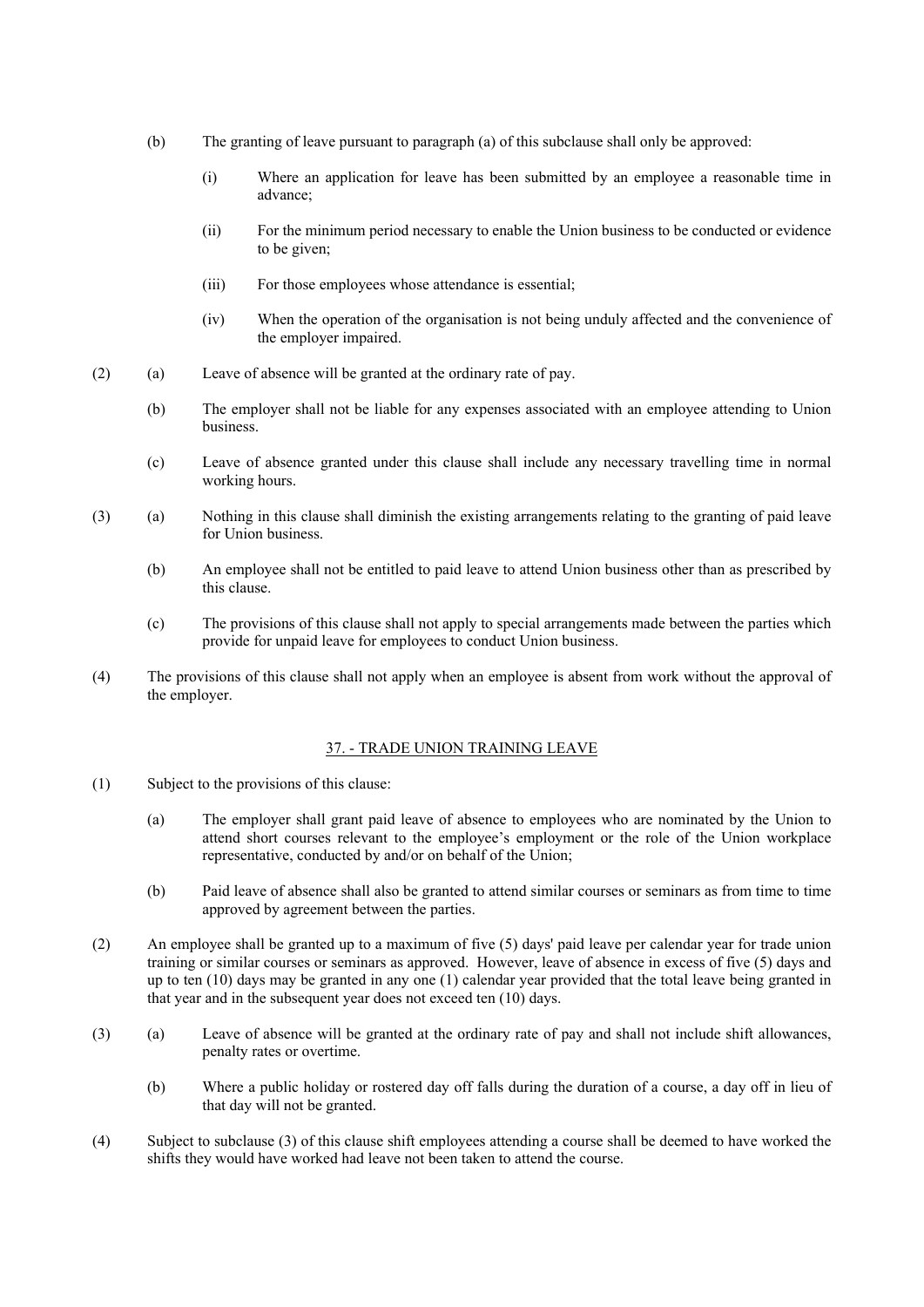- (b) The granting of leave pursuant to paragraph (a) of this subclause shall only be approved:
	- (i) Where an application for leave has been submitted by an employee a reasonable time in advance;
	- (ii) For the minimum period necessary to enable the Union business to be conducted or evidence to be given;
	- (iii) For those employees whose attendance is essential;
	- (iv) When the operation of the organisation is not being unduly affected and the convenience of the employer impaired.
- (2) (a) Leave of absence will be granted at the ordinary rate of pay.
	- (b) The employer shall not be liable for any expenses associated with an employee attending to Union business.
	- (c) Leave of absence granted under this clause shall include any necessary travelling time in normal working hours.
- (3) (a) Nothing in this clause shall diminish the existing arrangements relating to the granting of paid leave for Union business.
	- (b) An employee shall not be entitled to paid leave to attend Union business other than as prescribed by this clause.
	- (c) The provisions of this clause shall not apply to special arrangements made between the parties which provide for unpaid leave for employees to conduct Union business.
- (4) The provisions of this clause shall not apply when an employee is absent from work without the approval of the employer.

#### 37. - TRADE UNION TRAINING LEAVE

- (1) Subject to the provisions of this clause:
	- (a) The employer shall grant paid leave of absence to employees who are nominated by the Union to attend short courses relevant to the employee's employment or the role of the Union workplace representative, conducted by and/or on behalf of the Union;
	- (b) Paid leave of absence shall also be granted to attend similar courses or seminars as from time to time approved by agreement between the parties.
- (2) An employee shall be granted up to a maximum of five (5) days' paid leave per calendar year for trade union training or similar courses or seminars as approved. However, leave of absence in excess of five (5) days and up to ten (10) days may be granted in any one (1) calendar year provided that the total leave being granted in that year and in the subsequent year does not exceed ten (10) days.
- (3) (a) Leave of absence will be granted at the ordinary rate of pay and shall not include shift allowances, penalty rates or overtime.
	- (b) Where a public holiday or rostered day off falls during the duration of a course, a day off in lieu of that day will not be granted.
- (4) Subject to subclause (3) of this clause shift employees attending a course shall be deemed to have worked the shifts they would have worked had leave not been taken to attend the course.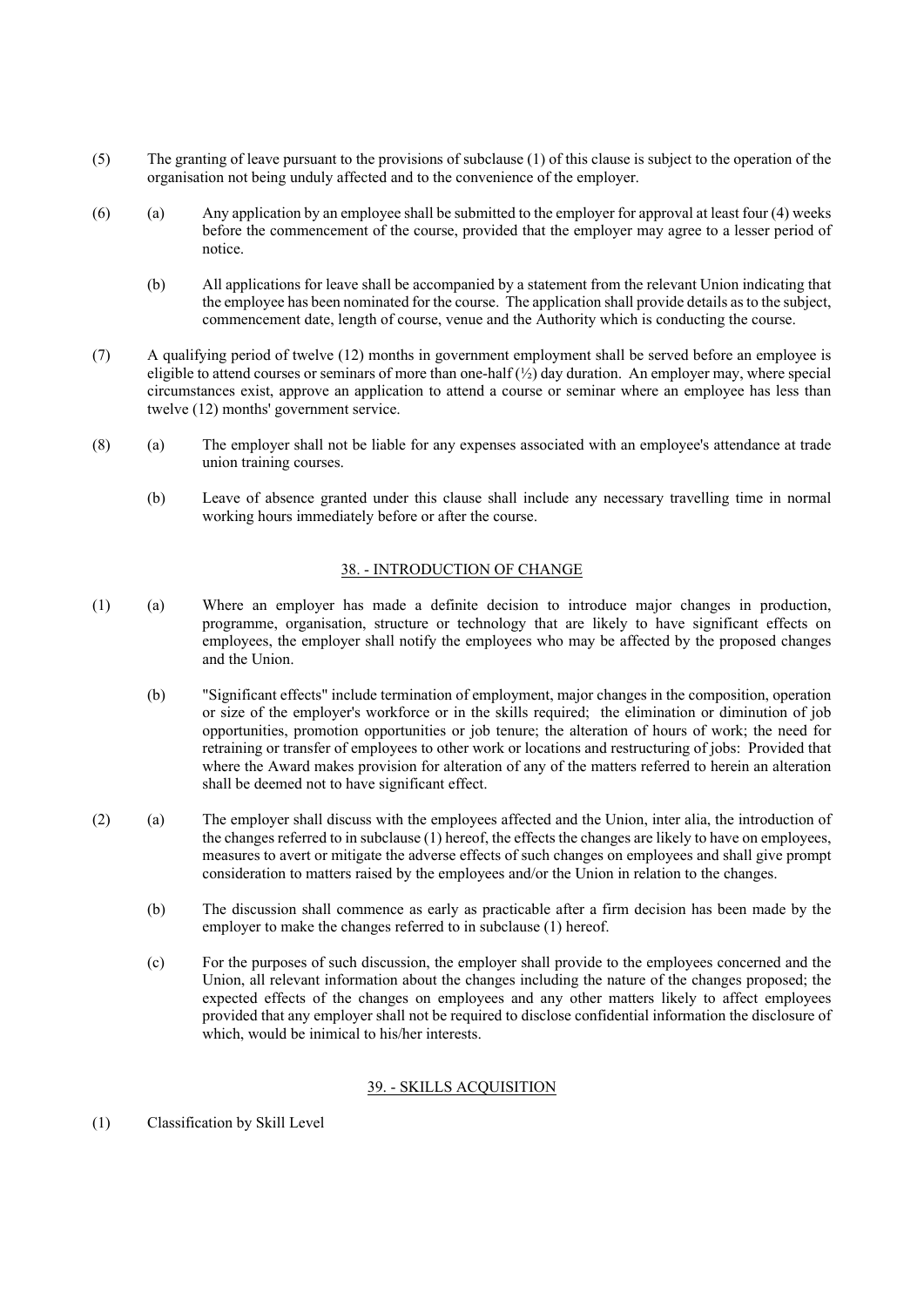- (5) The granting of leave pursuant to the provisions of subclause (1) of this clause is subject to the operation of the organisation not being unduly affected and to the convenience of the employer.
- (6) (a) Any application by an employee shall be submitted to the employer for approval at least four (4) weeks before the commencement of the course, provided that the employer may agree to a lesser period of notice.
	- (b) All applications for leave shall be accompanied by a statement from the relevant Union indicating that the employee has been nominated for the course. The application shall provide details as to the subject, commencement date, length of course, venue and the Authority which is conducting the course.
- (7) A qualifying period of twelve (12) months in government employment shall be served before an employee is eligible to attend courses or seminars of more than one-half  $\binom{1}{2}$  day duration. An employer may, where special circumstances exist, approve an application to attend a course or seminar where an employee has less than twelve (12) months' government service.
- (8) (a) The employer shall not be liable for any expenses associated with an employee's attendance at trade union training courses.
	- (b) Leave of absence granted under this clause shall include any necessary travelling time in normal working hours immediately before or after the course.

## 38. - INTRODUCTION OF CHANGE

- (1) (a) Where an employer has made a definite decision to introduce major changes in production, programme, organisation, structure or technology that are likely to have significant effects on employees, the employer shall notify the employees who may be affected by the proposed changes and the Union.
	- (b) "Significant effects" include termination of employment, major changes in the composition, operation or size of the employer's workforce or in the skills required; the elimination or diminution of job opportunities, promotion opportunities or job tenure; the alteration of hours of work; the need for retraining or transfer of employees to other work or locations and restructuring of jobs: Provided that where the Award makes provision for alteration of any of the matters referred to herein an alteration shall be deemed not to have significant effect.
- (2) (a) The employer shall discuss with the employees affected and the Union, inter alia, the introduction of the changes referred to in subclause (1) hereof, the effects the changes are likely to have on employees, measures to avert or mitigate the adverse effects of such changes on employees and shall give prompt consideration to matters raised by the employees and/or the Union in relation to the changes.
	- (b) The discussion shall commence as early as practicable after a firm decision has been made by the employer to make the changes referred to in subclause (1) hereof.
	- (c) For the purposes of such discussion, the employer shall provide to the employees concerned and the Union, all relevant information about the changes including the nature of the changes proposed; the expected effects of the changes on employees and any other matters likely to affect employees provided that any employer shall not be required to disclose confidential information the disclosure of which, would be inimical to his/her interests.

## 39. - SKILLS ACQUISITION

(1) Classification by Skill Level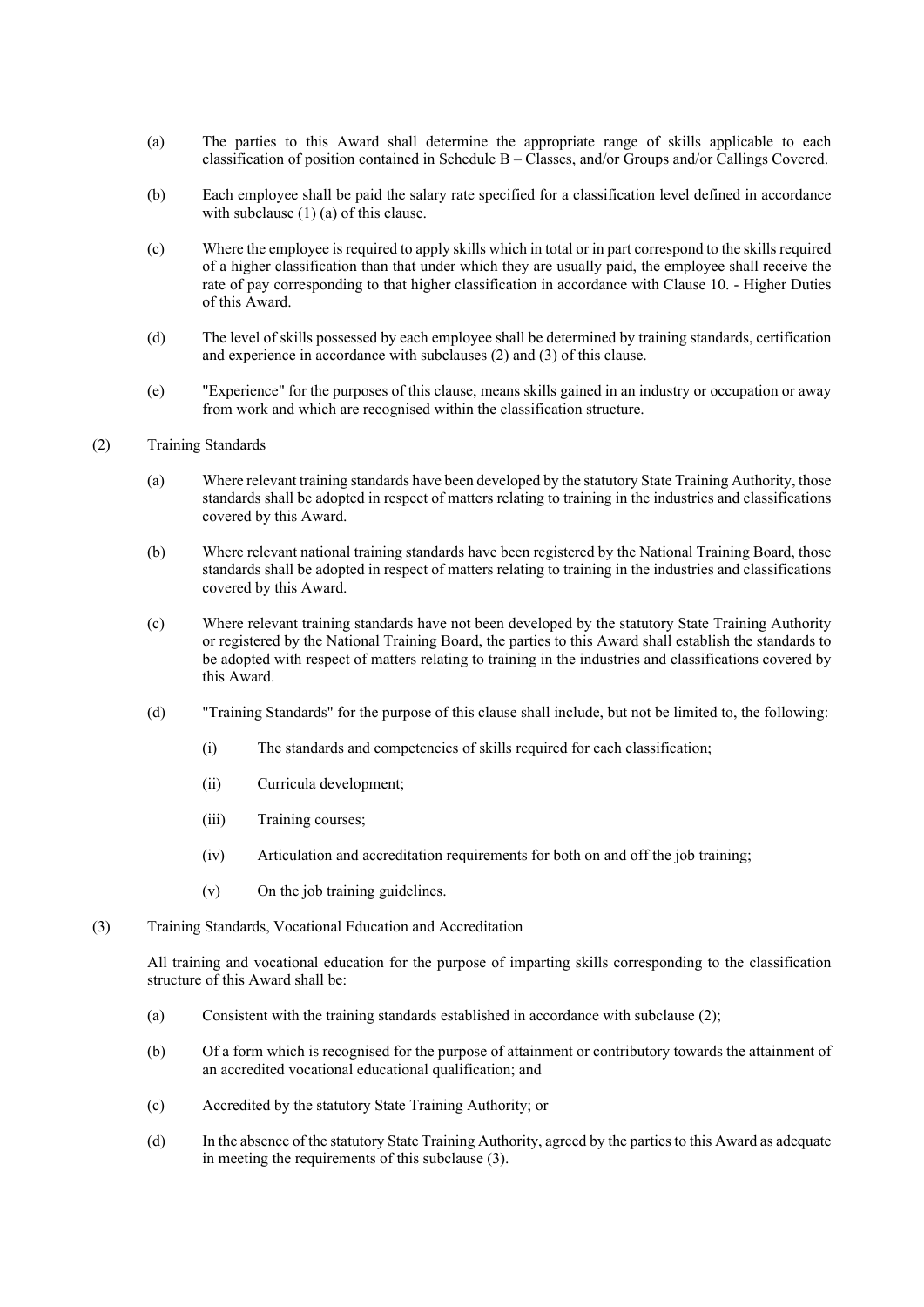- (a) The parties to this Award shall determine the appropriate range of skills applicable to each classification of position contained in Schedule B – Classes, and/or Groups and/or Callings Covered.
- (b) Each employee shall be paid the salary rate specified for a classification level defined in accordance with subclause (1) (a) of this clause.
- (c) Where the employee is required to apply skills which in total or in part correspond to the skills required of a higher classification than that under which they are usually paid, the employee shall receive the rate of pay corresponding to that higher classification in accordance with Clause 10. - Higher Duties of this Award.
- (d) The level of skills possessed by each employee shall be determined by training standards, certification and experience in accordance with subclauses (2) and (3) of this clause.
- (e) "Experience" for the purposes of this clause, means skills gained in an industry or occupation or away from work and which are recognised within the classification structure.
- (2) Training Standards
	- (a) Where relevant training standards have been developed by the statutory State Training Authority, those standards shall be adopted in respect of matters relating to training in the industries and classifications covered by this Award.
	- (b) Where relevant national training standards have been registered by the National Training Board, those standards shall be adopted in respect of matters relating to training in the industries and classifications covered by this Award.
	- (c) Where relevant training standards have not been developed by the statutory State Training Authority or registered by the National Training Board, the parties to this Award shall establish the standards to be adopted with respect of matters relating to training in the industries and classifications covered by this Award.
	- (d) "Training Standards" for the purpose of this clause shall include, but not be limited to, the following:
		- (i) The standards and competencies of skills required for each classification;
		- (ii) Curricula development;
		- (iii) Training courses;
		- (iv) Articulation and accreditation requirements for both on and off the job training;
		- (v) On the job training guidelines.
- (3) Training Standards, Vocational Education and Accreditation

All training and vocational education for the purpose of imparting skills corresponding to the classification structure of this Award shall be:

- (a) Consistent with the training standards established in accordance with subclause (2);
- (b) Of a form which is recognised for the purpose of attainment or contributory towards the attainment of an accredited vocational educational qualification; and
- (c) Accredited by the statutory State Training Authority; or
- (d) In the absence of the statutory State Training Authority, agreed by the parties to this Award as adequate in meeting the requirements of this subclause (3).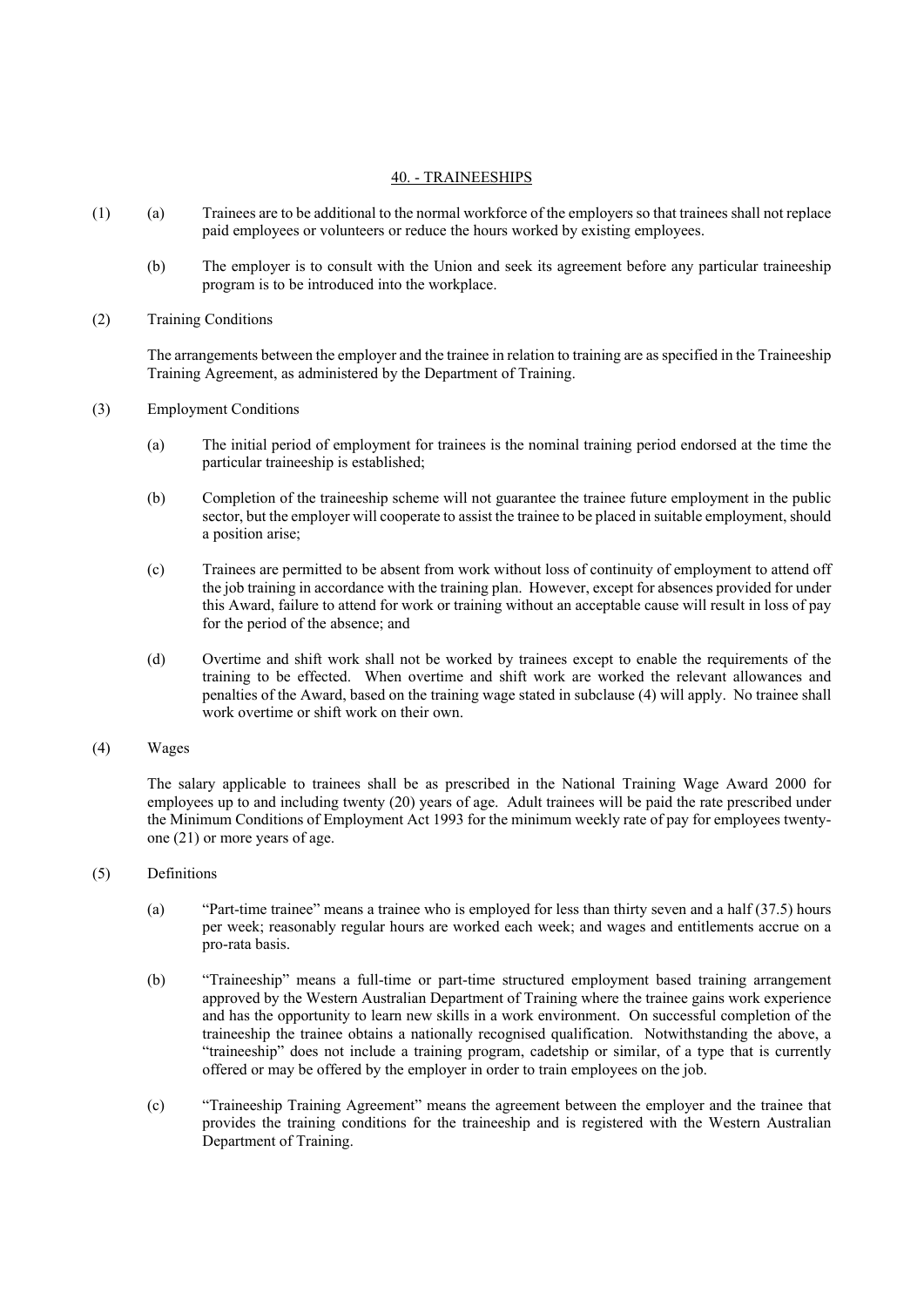## 40. - TRAINEESHIPS

- (1) (a) Trainees are to be additional to the normal workforce of the employers so that trainees shall not replace paid employees or volunteers or reduce the hours worked by existing employees.
	- (b) The employer is to consult with the Union and seek its agreement before any particular traineeship program is to be introduced into the workplace.
- (2) Training Conditions

The arrangements between the employer and the trainee in relation to training are as specified in the Traineeship Training Agreement, as administered by the Department of Training.

- (3) Employment Conditions
	- (a) The initial period of employment for trainees is the nominal training period endorsed at the time the particular traineeship is established;
	- (b) Completion of the traineeship scheme will not guarantee the trainee future employment in the public sector, but the employer will cooperate to assist the trainee to be placed in suitable employment, should a position arise;
	- (c) Trainees are permitted to be absent from work without loss of continuity of employment to attend off the job training in accordance with the training plan. However, except for absences provided for under this Award, failure to attend for work or training without an acceptable cause will result in loss of pay for the period of the absence; and
	- (d) Overtime and shift work shall not be worked by trainees except to enable the requirements of the training to be effected. When overtime and shift work are worked the relevant allowances and penalties of the Award, based on the training wage stated in subclause (4) will apply. No trainee shall work overtime or shift work on their own.
- (4) Wages

The salary applicable to trainees shall be as prescribed in the National Training Wage Award 2000 for employees up to and including twenty (20) years of age. Adult trainees will be paid the rate prescribed under the Minimum Conditions of Employment Act 1993 for the minimum weekly rate of pay for employees twentyone (21) or more years of age.

- (5) Definitions
	- (a) "Part-time trainee" means a trainee who is employed for less than thirty seven and a half (37.5) hours per week; reasonably regular hours are worked each week; and wages and entitlements accrue on a pro-rata basis.
	- (b) "Traineeship" means a full-time or part-time structured employment based training arrangement approved by the Western Australian Department of Training where the trainee gains work experience and has the opportunity to learn new skills in a work environment. On successful completion of the traineeship the trainee obtains a nationally recognised qualification. Notwithstanding the above, a "traineeship" does not include a training program, cadetship or similar, of a type that is currently offered or may be offered by the employer in order to train employees on the job.
	- (c) "Traineeship Training Agreement" means the agreement between the employer and the trainee that provides the training conditions for the traineeship and is registered with the Western Australian Department of Training.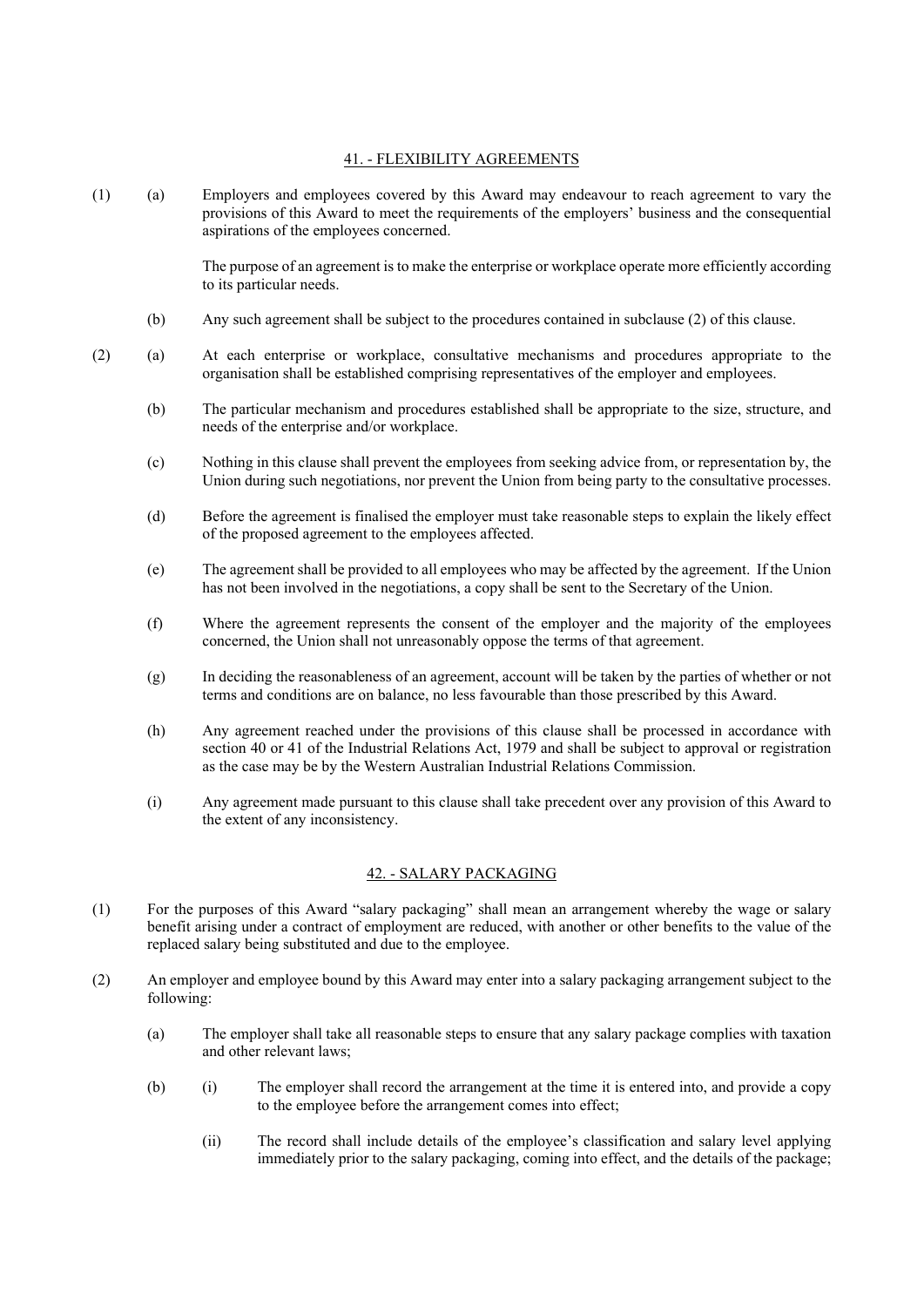## 41. - FLEXIBILITY AGREEMENTS

(1) (a) Employers and employees covered by this Award may endeavour to reach agreement to vary the provisions of this Award to meet the requirements of the employers' business and the consequential aspirations of the employees concerned.

> The purpose of an agreement is to make the enterprise or workplace operate more efficiently according to its particular needs.

- (b) Any such agreement shall be subject to the procedures contained in subclause (2) of this clause.
- (2) (a) At each enterprise or workplace, consultative mechanisms and procedures appropriate to the organisation shall be established comprising representatives of the employer and employees.
	- (b) The particular mechanism and procedures established shall be appropriate to the size, structure, and needs of the enterprise and/or workplace.
	- (c) Nothing in this clause shall prevent the employees from seeking advice from, or representation by, the Union during such negotiations, nor prevent the Union from being party to the consultative processes.
	- (d) Before the agreement is finalised the employer must take reasonable steps to explain the likely effect of the proposed agreement to the employees affected.
	- (e) The agreement shall be provided to all employees who may be affected by the agreement. If the Union has not been involved in the negotiations, a copy shall be sent to the Secretary of the Union.
	- (f) Where the agreement represents the consent of the employer and the majority of the employees concerned, the Union shall not unreasonably oppose the terms of that agreement.
	- (g) In deciding the reasonableness of an agreement, account will be taken by the parties of whether or not terms and conditions are on balance, no less favourable than those prescribed by this Award.
	- (h) Any agreement reached under the provisions of this clause shall be processed in accordance with section 40 or 41 of the Industrial Relations Act, 1979 and shall be subject to approval or registration as the case may be by the Western Australian Industrial Relations Commission.
	- (i) Any agreement made pursuant to this clause shall take precedent over any provision of this Award to the extent of any inconsistency.

# 42. - SALARY PACKAGING

- (1) For the purposes of this Award "salary packaging" shall mean an arrangement whereby the wage or salary benefit arising under a contract of employment are reduced, with another or other benefits to the value of the replaced salary being substituted and due to the employee.
- (2) An employer and employee bound by this Award may enter into a salary packaging arrangement subject to the following:
	- (a) The employer shall take all reasonable steps to ensure that any salary package complies with taxation and other relevant laws;
	- (b) (i) The employer shall record the arrangement at the time it is entered into, and provide a copy to the employee before the arrangement comes into effect;
		- (ii) The record shall include details of the employee's classification and salary level applying immediately prior to the salary packaging, coming into effect, and the details of the package;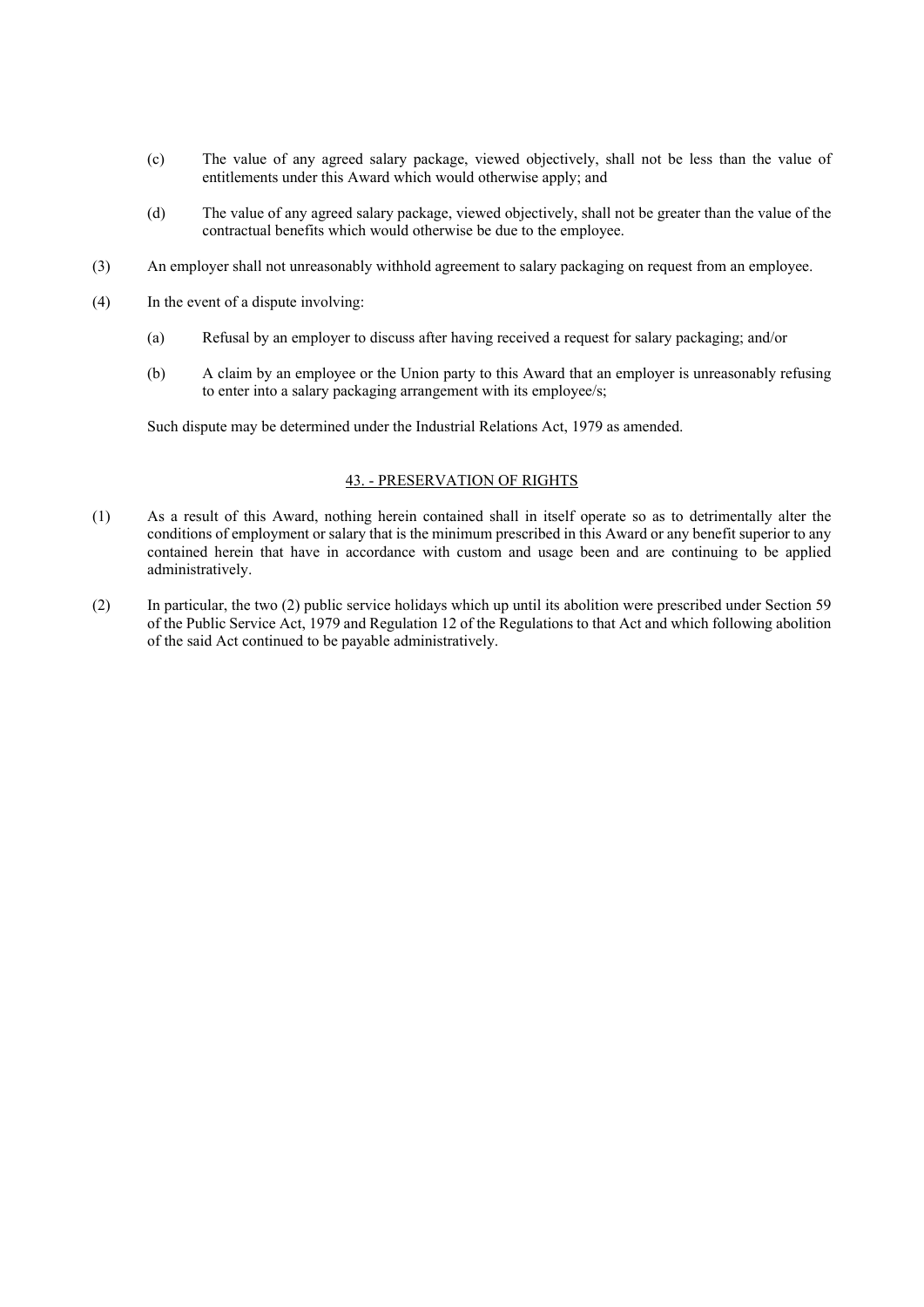- (c) The value of any agreed salary package, viewed objectively, shall not be less than the value of entitlements under this Award which would otherwise apply; and
- (d) The value of any agreed salary package, viewed objectively, shall not be greater than the value of the contractual benefits which would otherwise be due to the employee.
- (3) An employer shall not unreasonably withhold agreement to salary packaging on request from an employee.
- (4) In the event of a dispute involving:
	- (a) Refusal by an employer to discuss after having received a request for salary packaging; and/or
	- (b) A claim by an employee or the Union party to this Award that an employer is unreasonably refusing to enter into a salary packaging arrangement with its employee/s;

Such dispute may be determined under the Industrial Relations Act, 1979 as amended.

#### 43. - PRESERVATION OF RIGHTS

- (1) As a result of this Award, nothing herein contained shall in itself operate so as to detrimentally alter the conditions of employment or salary that is the minimum prescribed in this Award or any benefit superior to any contained herein that have in accordance with custom and usage been and are continuing to be applied administratively.
- (2) In particular, the two (2) public service holidays which up until its abolition were prescribed under Section 59 of the Public Service Act, 1979 and Regulation 12 of the Regulations to that Act and which following abolition of the said Act continued to be payable administratively.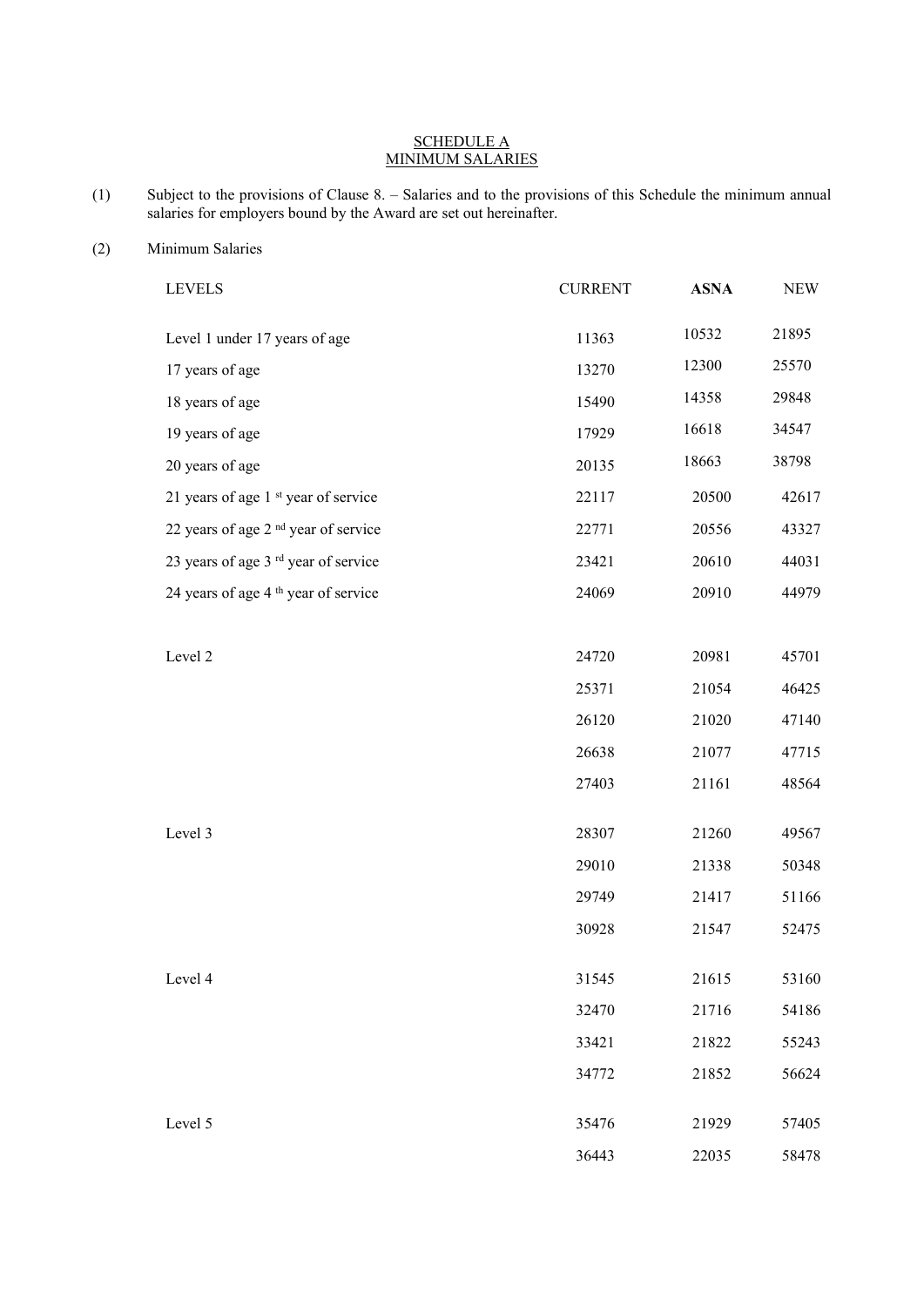#### SCHEDULE A MINIMUM SALARIES

- (1) Subject to the provisions of Clause 8. Salaries and to the provisions of this Schedule the minimum annual salaries for employers bound by the Award are set out hereinafter.
- (2) Minimum Salaries

| <b>LEVELS</b>                                   | <b>CURRENT</b> | <b>ASNA</b> | <b>NEW</b> |
|-------------------------------------------------|----------------|-------------|------------|
| Level 1 under 17 years of age                   | 11363          | 10532       | 21895      |
| 17 years of age                                 | 13270          | 12300       | 25570      |
| 18 years of age                                 | 15490          | 14358       | 29848      |
| 19 years of age                                 | 17929          | 16618       | 34547      |
| 20 years of age                                 | 20135          | 18663       | 38798      |
| 21 years of age 1 <sup>st</sup> year of service | 22117          | 20500       | 42617      |
| 22 years of age 2 <sup>nd</sup> year of service | 22771          | 20556       | 43327      |
| 23 years of age 3 <sup>rd</sup> year of service | 23421          | 20610       | 44031      |
| 24 years of age 4 <sup>th</sup> year of service | 24069          | 20910       | 44979      |
|                                                 |                |             |            |
| Level 2                                         | 24720          | 20981       | 45701      |
|                                                 | 25371          | 21054       | 46425      |
|                                                 | 26120          | 21020       | 47140      |
|                                                 | 26638          | 21077       | 47715      |
|                                                 | 27403          | 21161       | 48564      |
| Level 3                                         | 28307          | 21260       | 49567      |
|                                                 | 29010          | 21338       | 50348      |
|                                                 | 29749          | 21417       | 51166      |
|                                                 | 30928          | 21547       | 52475      |
|                                                 |                |             |            |
| Level 4                                         | 31545          | 21615       | 53160      |
|                                                 | 32470          | 21716       | 54186      |
|                                                 | 33421          | 21822       | 55243      |
|                                                 | 34772          | 21852       | 56624      |
| Level 5                                         | 35476          | 21929       | 57405      |
|                                                 | 36443          | 22035       | 58478      |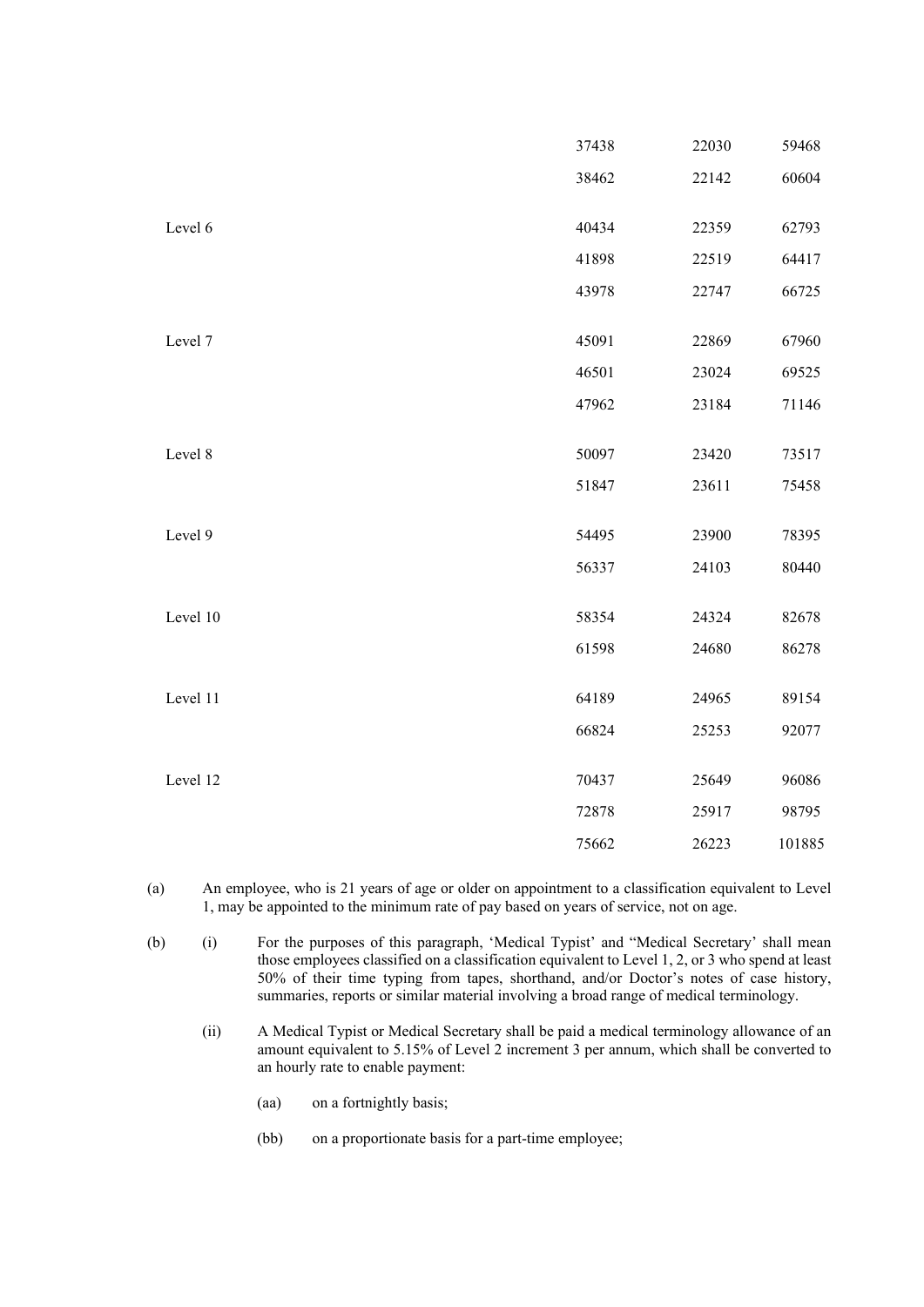|          | 37438 | 22030 | 59468  |
|----------|-------|-------|--------|
|          | 38462 | 22142 | 60604  |
|          |       |       |        |
| Level 6  | 40434 | 22359 | 62793  |
|          | 41898 | 22519 | 64417  |
|          | 43978 | 22747 | 66725  |
|          |       |       |        |
| Level 7  | 45091 | 22869 | 67960  |
|          | 46501 | 23024 | 69525  |
|          | 47962 | 23184 | 71146  |
|          |       |       |        |
| Level 8  | 50097 | 23420 | 73517  |
|          | 51847 | 23611 | 75458  |
| Level 9  | 54495 | 23900 | 78395  |
|          |       |       |        |
|          | 56337 | 24103 | 80440  |
| Level 10 | 58354 | 24324 | 82678  |
|          | 61598 | 24680 | 86278  |
|          |       |       |        |
| Level 11 | 64189 | 24965 | 89154  |
|          | 66824 | 25253 | 92077  |
| Level 12 | 70437 |       |        |
|          |       | 25649 | 96086  |
|          | 72878 | 25917 | 98795  |
|          | 75662 | 26223 | 101885 |

- (a) An employee, who is 21 years of age or older on appointment to a classification equivalent to Level 1, may be appointed to the minimum rate of pay based on years of service, not on age.
- (b) (i) For the purposes of this paragraph, 'Medical Typist' and "Medical Secretary' shall mean those employees classified on a classification equivalent to Level 1, 2, or 3 who spend at least 50% of their time typing from tapes, shorthand, and/or Doctor's notes of case history, summaries, reports or similar material involving a broad range of medical terminology.
	- (ii) A Medical Typist or Medical Secretary shall be paid a medical terminology allowance of an amount equivalent to 5.15% of Level 2 increment 3 per annum, which shall be converted to an hourly rate to enable payment:
		- (aa) on a fortnightly basis;
		- (bb) on a proportionate basis for a part-time employee;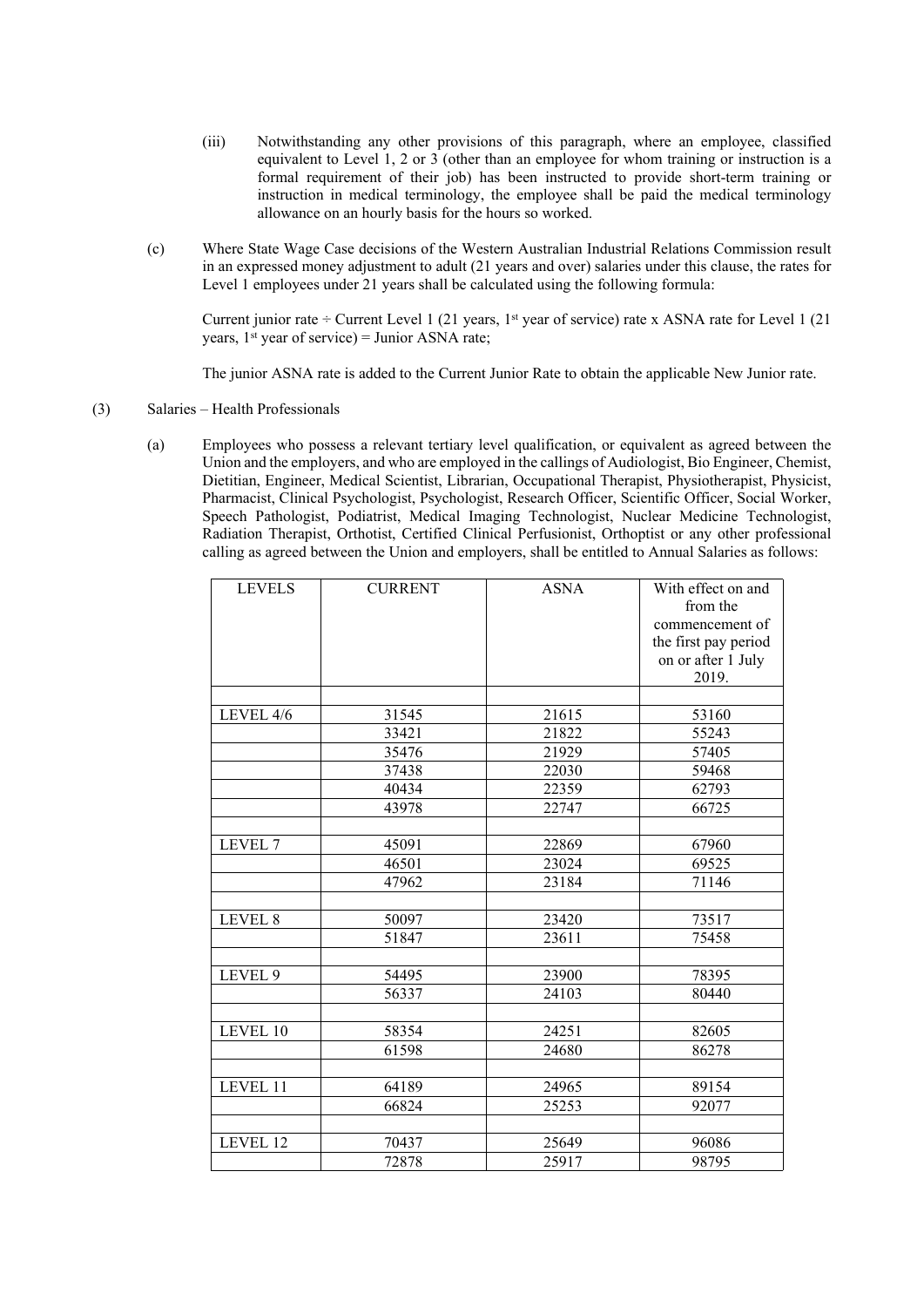- (iii) Notwithstanding any other provisions of this paragraph, where an employee, classified equivalent to Level 1, 2 or 3 (other than an employee for whom training or instruction is a formal requirement of their job) has been instructed to provide short-term training or instruction in medical terminology, the employee shall be paid the medical terminology allowance on an hourly basis for the hours so worked.
- (c) Where State Wage Case decisions of the Western Australian Industrial Relations Commission result in an expressed money adjustment to adult (21 years and over) salaries under this clause, the rates for Level 1 employees under 21 years shall be calculated using the following formula:

Current junior rate  $\div$  Current Level 1 (21 years, 1<sup>st</sup> year of service) rate x ASNA rate for Level 1 (21 years,  $1<sup>st</sup>$  year of service) = Junior ASNA rate;

The junior ASNA rate is added to the Current Junior Rate to obtain the applicable New Junior rate.

- (3) Salaries Health Professionals
	- (a) Employees who possess a relevant tertiary level qualification, or equivalent as agreed between the Union and the employers, and who are employed in the callings of Audiologist, Bio Engineer, Chemist, Dietitian, Engineer, Medical Scientist, Librarian, Occupational Therapist, Physiotherapist, Physicist, Pharmacist, Clinical Psychologist, Psychologist, Research Officer, Scientific Officer, Social Worker, Speech Pathologist, Podiatrist, Medical Imaging Technologist, Nuclear Medicine Technologist, Radiation Therapist, Orthotist, Certified Clinical Perfusionist, Orthoptist or any other professional calling as agreed between the Union and employers, shall be entitled to Annual Salaries as follows:

| <b>LEVELS</b>       | <b>CURRENT</b> | <b>ASNA</b> | With effect on and<br>from the<br>commencement of |
|---------------------|----------------|-------------|---------------------------------------------------|
|                     |                |             | the first pay period                              |
|                     |                |             | on or after 1 July                                |
|                     |                |             | 2019.                                             |
| LEVEL 4/6           | 31545          | 21615       | 53160                                             |
|                     | 33421          | 21822       | 55243                                             |
|                     | 35476          | 21929       | 57405                                             |
|                     | 37438          | 22030       | 59468                                             |
|                     | 40434          | 22359       | 62793                                             |
|                     | 43978          | 22747       | 66725                                             |
|                     |                |             |                                                   |
| LEVEL 7             | 45091          | 22869       | 67960                                             |
|                     | 46501          | 23024       | 69525                                             |
|                     | 47962          | 23184       | 71146                                             |
|                     |                |             |                                                   |
| LEVEL 8             | 50097          | 23420       | 73517                                             |
|                     | 51847          | 23611       | 75458                                             |
|                     |                |             |                                                   |
| LEVEL 9             | 54495          | 23900       | 78395                                             |
|                     | 56337          | 24103       | 80440                                             |
|                     |                |             |                                                   |
| LEVEL 10            | 58354          | 24251       | 82605                                             |
|                     | 61598          | 24680       | 86278                                             |
|                     |                |             |                                                   |
| LEVEL <sub>11</sub> | 64189          | 24965       | 89154                                             |
|                     | 66824          | 25253       | 92077                                             |
|                     |                |             |                                                   |
| LEVEL 12            | 70437          | 25649       | 96086                                             |
|                     | 72878          | 25917       | 98795                                             |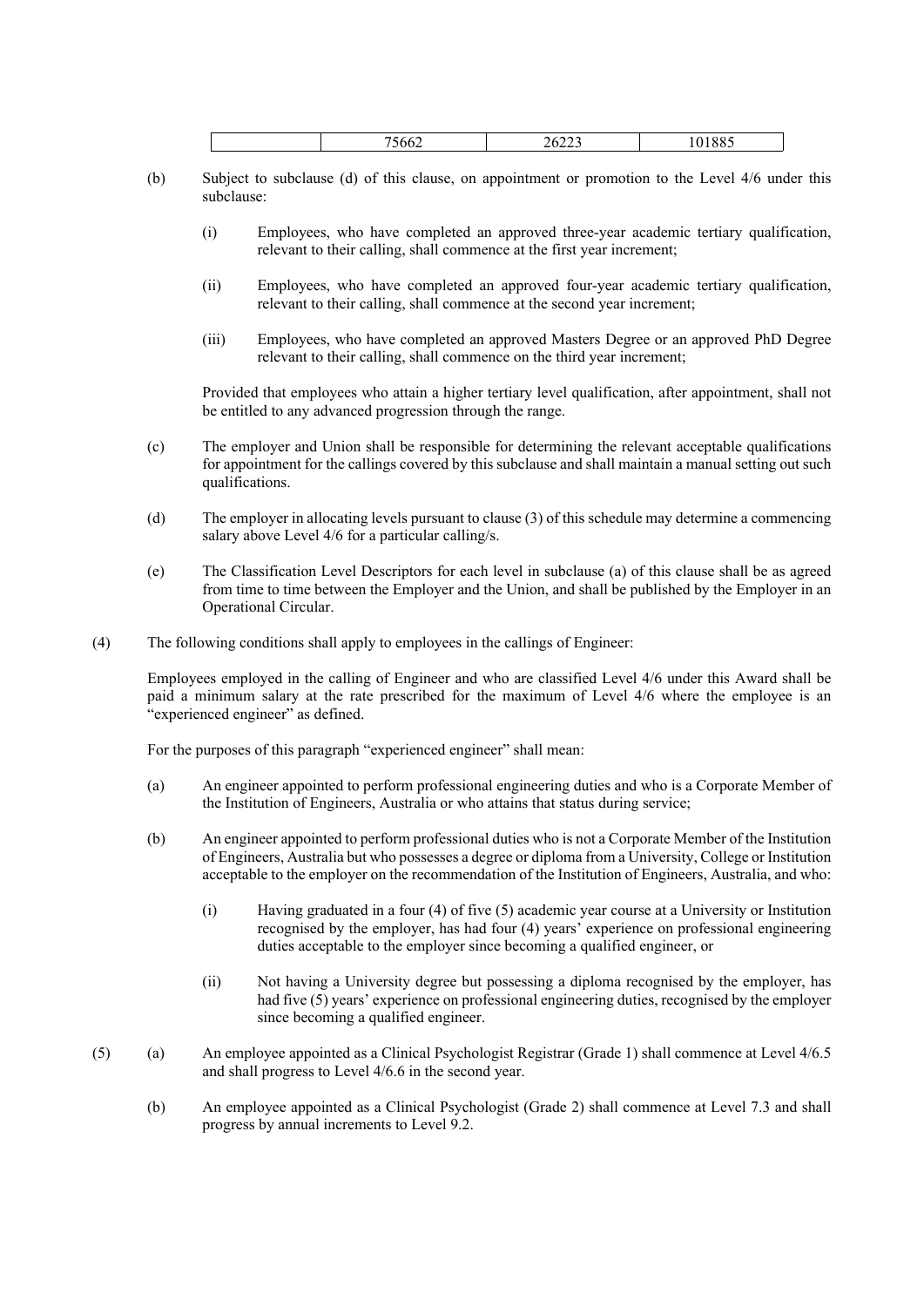- (b) Subject to subclause (d) of this clause, on appointment or promotion to the Level 4/6 under this subclause:
	- (i) Employees, who have completed an approved three-year academic tertiary qualification, relevant to their calling, shall commence at the first year increment;
	- (ii) Employees, who have completed an approved four-year academic tertiary qualification, relevant to their calling, shall commence at the second year increment;
	- (iii) Employees, who have completed an approved Masters Degree or an approved PhD Degree relevant to their calling, shall commence on the third year increment;

Provided that employees who attain a higher tertiary level qualification, after appointment, shall not be entitled to any advanced progression through the range.

- (c) The employer and Union shall be responsible for determining the relevant acceptable qualifications for appointment for the callings covered by this subclause and shall maintain a manual setting out such qualifications.
- (d) The employer in allocating levels pursuant to clause (3) of this schedule may determine a commencing salary above Level 4/6 for a particular calling/s.
- (e) The Classification Level Descriptors for each level in subclause (a) of this clause shall be as agreed from time to time between the Employer and the Union, and shall be published by the Employer in an Operational Circular.
- (4) The following conditions shall apply to employees in the callings of Engineer:

Employees employed in the calling of Engineer and who are classified Level 4/6 under this Award shall be paid a minimum salary at the rate prescribed for the maximum of Level 4/6 where the employee is an "experienced engineer" as defined.

For the purposes of this paragraph "experienced engineer" shall mean:

- (a) An engineer appointed to perform professional engineering duties and who is a Corporate Member of the Institution of Engineers, Australia or who attains that status during service;
- (b) An engineer appointed to perform professional duties who is not a Corporate Member of the Institution of Engineers, Australia but who possesses a degree or diploma from a University, College or Institution acceptable to the employer on the recommendation of the Institution of Engineers, Australia, and who:
	- (i) Having graduated in a four (4) of five (5) academic year course at a University or Institution recognised by the employer, has had four (4) years' experience on professional engineering duties acceptable to the employer since becoming a qualified engineer, or
	- (ii) Not having a University degree but possessing a diploma recognised by the employer, has had five (5) years' experience on professional engineering duties, recognised by the employer since becoming a qualified engineer.
- (5) (a) An employee appointed as a Clinical Psychologist Registrar (Grade 1) shall commence at Level 4/6.5 and shall progress to Level 4/6.6 in the second year.
	- (b) An employee appointed as a Clinical Psychologist (Grade 2) shall commence at Level 7.3 and shall progress by annual increments to Level 9.2.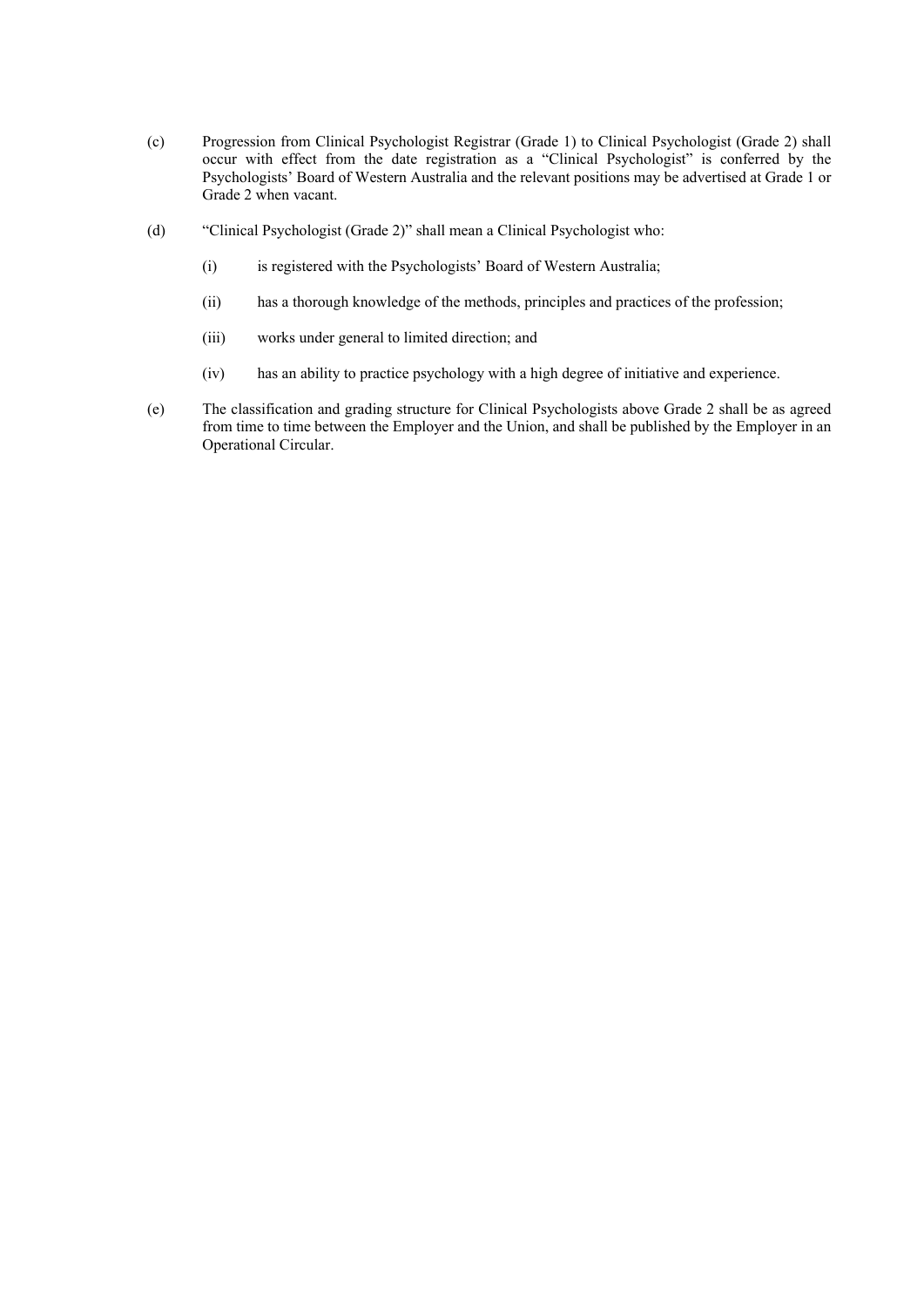- (c) Progression from Clinical Psychologist Registrar (Grade 1) to Clinical Psychologist (Grade 2) shall occur with effect from the date registration as a "Clinical Psychologist" is conferred by the Psychologists' Board of Western Australia and the relevant positions may be advertised at Grade 1 or Grade 2 when vacant.
- (d) "Clinical Psychologist (Grade 2)" shall mean a Clinical Psychologist who:
	- (i) is registered with the Psychologists' Board of Western Australia;
	- (ii) has a thorough knowledge of the methods, principles and practices of the profession;
	- (iii) works under general to limited direction; and
	- (iv) has an ability to practice psychology with a high degree of initiative and experience.
- (e) The classification and grading structure for Clinical Psychologists above Grade 2 shall be as agreed from time to time between the Employer and the Union, and shall be published by the Employer in an Operational Circular.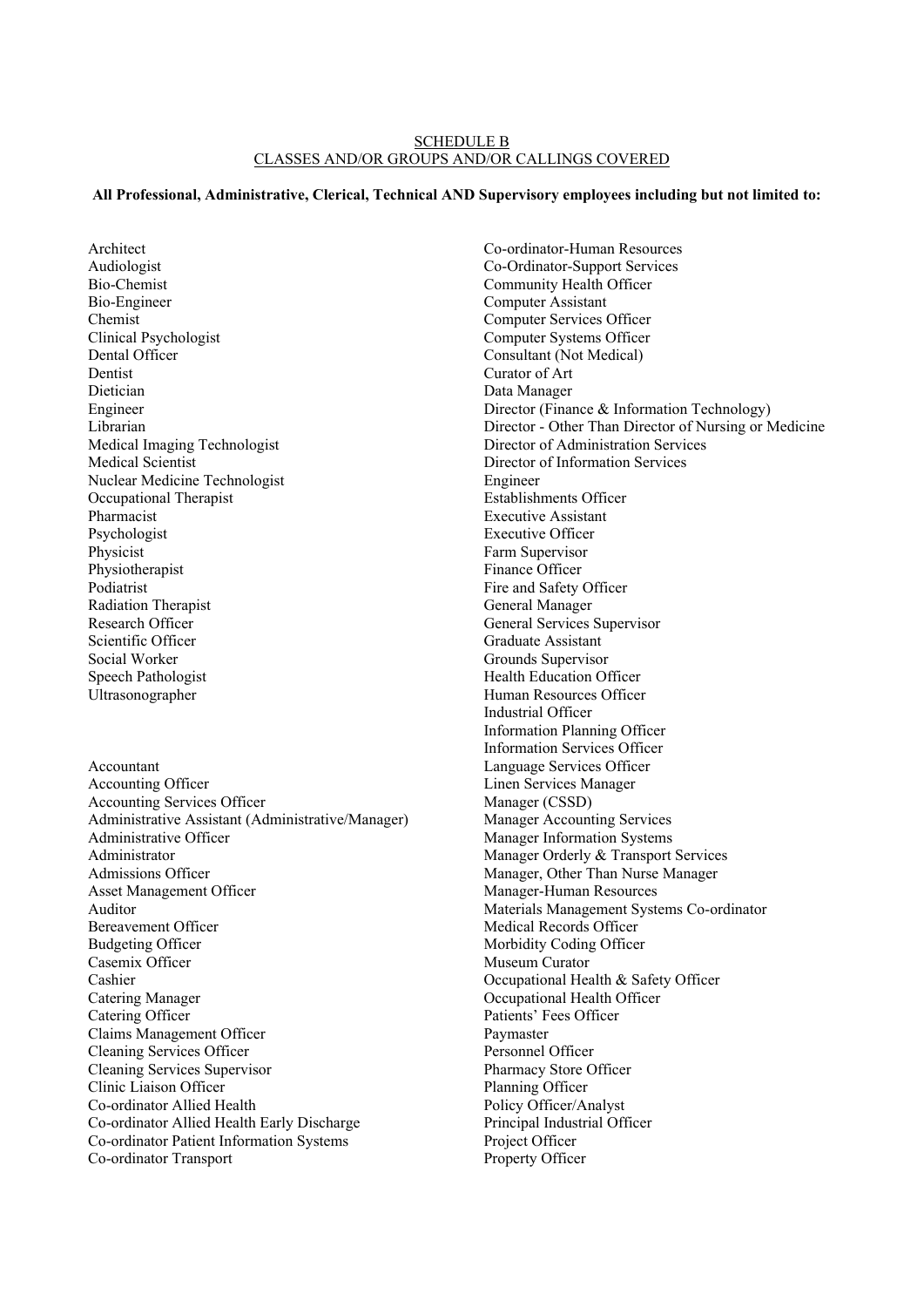#### SCHEDULE B CLASSES AND/OR GROUPS AND/OR CALLINGS COVERED

## **All Professional, Administrative, Clerical, Technical AND Supervisory employees including but not limited to:**

Audiologist Bio-Chemist Bio-Engineer Chemist Clinical Psychologist Dental Officer Dentist Dietician Engineer Librarian Medical Imaging Technologist Medical Scientist Nuclear Medicine Technologist Occupational Therapist Pharmacist Psychologist Physicist Physiotherapist Podiatrist Radiation Therapist Research Officer Scientific Officer Social Worker Speech Pathologist Ultrasonographer Accountant Accounting Officer Accounting Services Officer Administrative Assistant (Administrative/Manager) Administrative Officer Administrator Admissions Officer Asset Management Officer Auditor Bereavement Officer Budgeting Officer Casemix Officer Cashier Catering Manager Catering Officer Claims Management Officer Cleaning Services Officer Cleaning Services Supervisor Clinic Liaison Officer Co-ordinator Allied Health Co-ordinator Allied Health Early Discharge Co-ordinator Patient Information Systems

Architect

Co-ordinator Transport

Co-ordinator-Human Resources Co-Ordinator-Support Services Community Health Officer Computer Assistant Computer Services Officer Computer Systems Officer Consultant (Not Medical) Curator of Art Data Manager Director (Finance & Information Technology) Director - Other Than Director of Nursing or Medicine Director of Administration Services Director of Information Services Engineer Establishments Officer Executive Assistant Executive Officer Farm Supervisor Finance Officer Fire and Safety Officer General Manager General Services Supervisor Graduate Assistant Grounds Supervisor Health Education Officer Human Resources Officer Industrial Officer Information Planning Officer Information Services Officer Language Services Officer Linen Services Manager Manager (CSSD) Manager Accounting Services Manager Information Systems Manager Orderly & Transport Services Manager, Other Than Nurse Manager Manager-Human Resources Materials Management Systems Co-ordinator Medical Records Officer Morbidity Coding Officer Museum Curator Occupational Health & Safety Officer Occupational Health Officer Patients' Fees Officer Paymaster Personnel Officer Pharmacy Store Officer Planning Officer Policy Officer/Analyst Principal Industrial Officer Project Officer Property Officer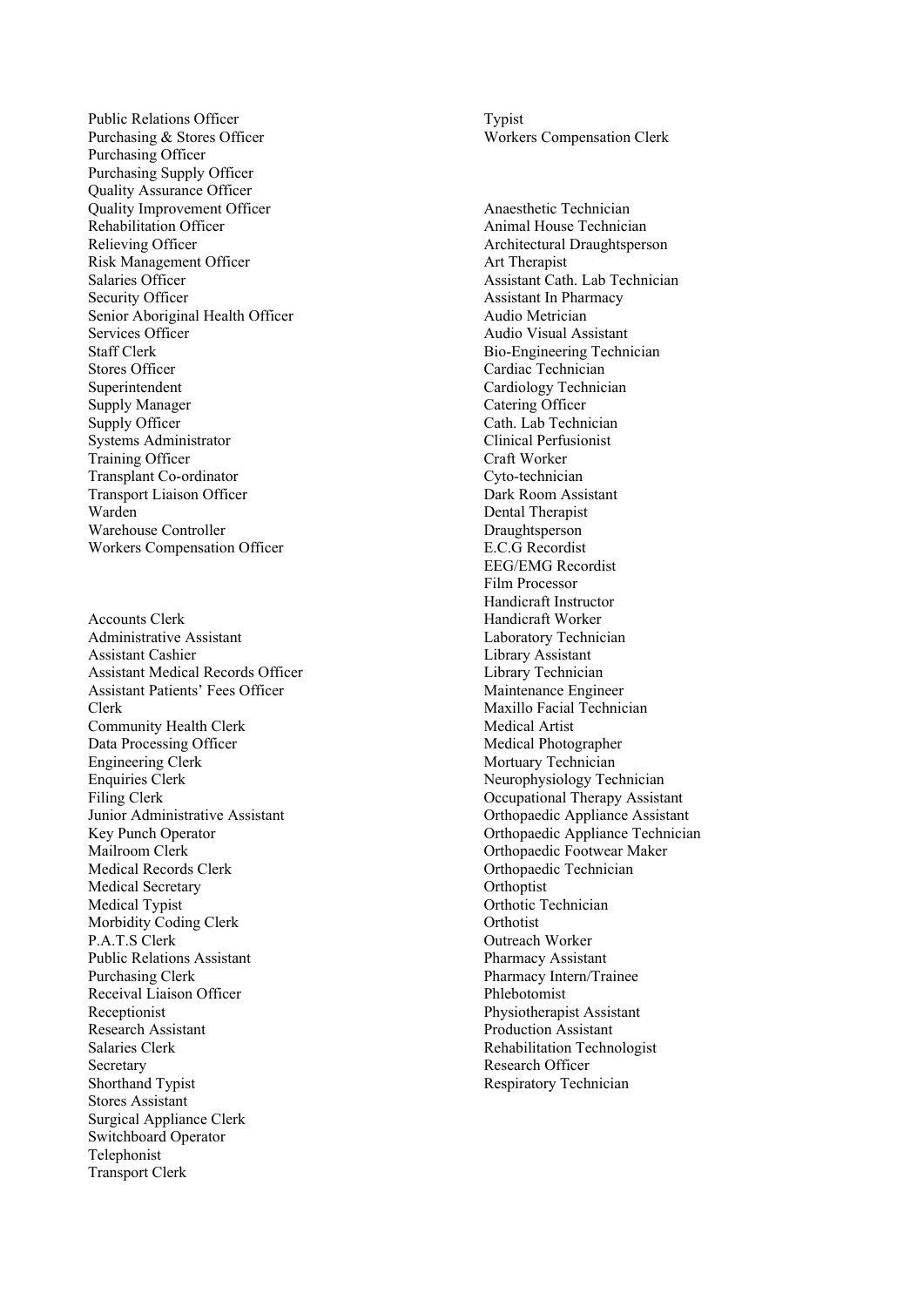Public Relations Officer Purchasing & Stores Officer Purchasing Officer Purchasing Supply Officer Quality Assurance Officer Quality Improvement Officer Rehabilitation Officer Relieving Officer Risk Management Officer Salaries Officer Security Officer Senior Aboriginal Health Officer Services Officer Staff Clerk Stores Officer Superintendent Supply Manager Supply Officer Systems Administrator Training Officer Transplant Co-ordinator Transport Liaison Officer Warden Warehouse Controller Workers Compensation Officer

Accounts Clerk Administrative Assistant Assistant Cashier Assistant Medical Records Officer Assistant Patients' Fees Officer Clerk Community Health Clerk Data Processing Officer Engineering Clerk Enquiries Clerk Filing Clerk Junior Administrative Assistant Key Punch Operator Mailroom Clerk Medical Records Clerk Medical Secretary Medical Typist Morbidity Coding Clerk P.A.T.S Clerk Public Relations Assistant Purchasing Clerk Receival Liaison Officer Receptionist Research Assistant Salaries Clerk Secretary Shorthand Typist Stores Assistant Surgical Appliance Clerk Switchboard Operator Telephonist Transport Clerk

Typist Workers Compensation Clerk

Anaesthetic Technician Animal House Technician Architectural Draughtsperson Art Therapist Assistant Cath. Lab Technician Assistant In Pharmacy Audio Metrician Audio Visual Assistant Bio-Engineering Technician Cardiac Technician Cardiology Technician Catering Officer Cath. Lab Technician Clinical Perfusionist Craft Worker Cyto-technician Dark Room Assistant Dental Therapist Draughtsperson E.C.G Recordist EEG/EMG Recordist Film Processor Handicraft Instructor Handicraft Worker Laboratory Technician Library Assistant Library Technician Maintenance Engineer Maxillo Facial Technician Medical Artist Medical Photographer Mortuary Technician Neurophysiology Technician Occupational Therapy Assistant Orthopaedic Appliance Assistant Orthopaedic Appliance Technician Orthopaedic Footwear Maker Orthopaedic Technician **Orthoptist** Orthotic Technician **Orthotist** Outreach Worker Pharmacy Assistant Pharmacy Intern/Trainee Phlebotomist Physiotherapist Assistant Production Assistant Rehabilitation Technologist Research Officer Respiratory Technician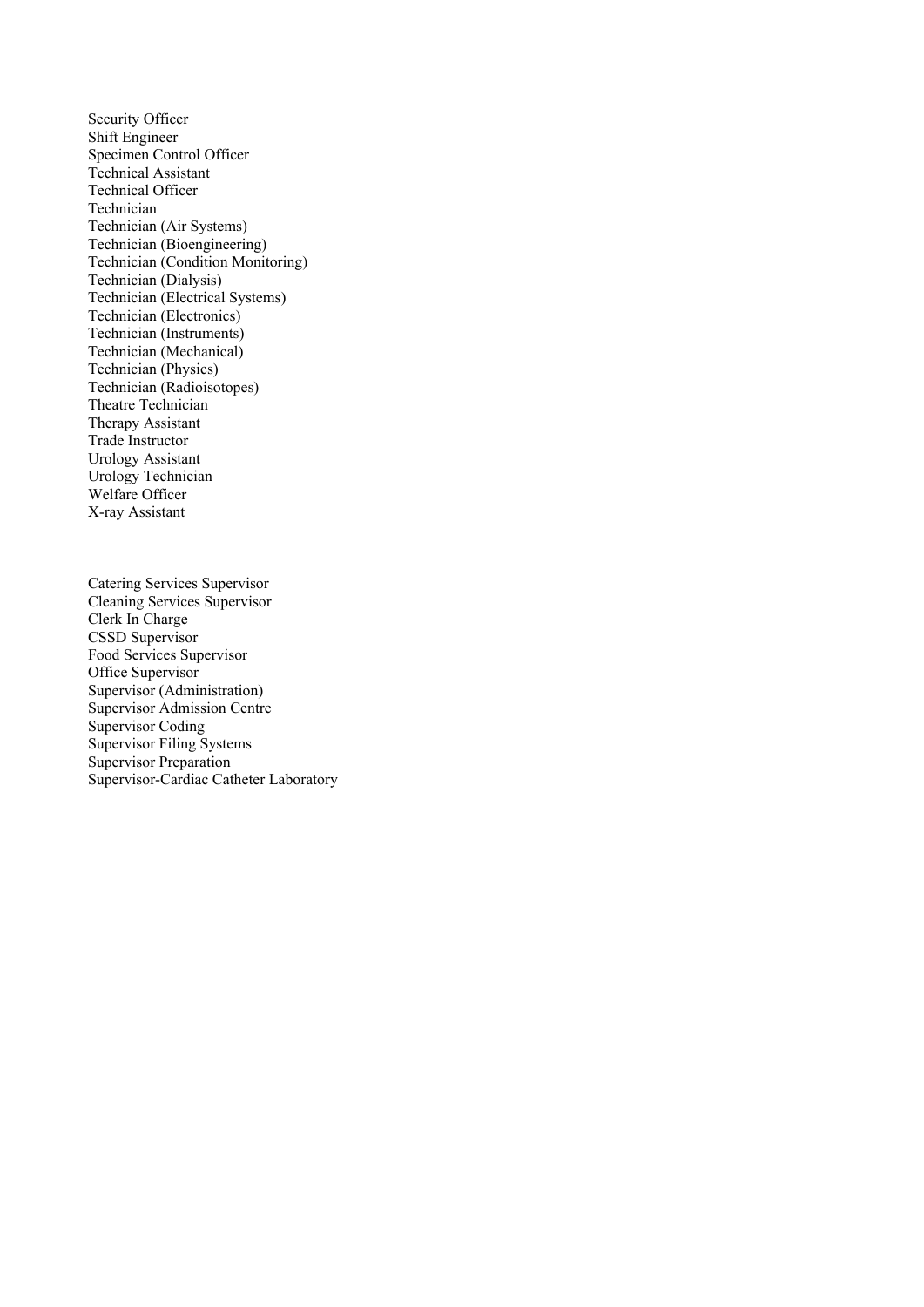Security Officer Shift Engineer Specimen Control Officer Technical Assistant Technical Officer Technician Technician (Air Systems) Technician (Bioengineering) Technician (Condition Monitoring) Technician (Dialysis) Technician (Electrical Systems) Technician (Electronics) Technician (Instruments) Technician (Mechanical) Technician (Physics) Technician (Radioisotopes) Theatre Technician Therapy Assistant Trade Instructor Urology Assistant Urology Technician Welfare Officer X-ray Assistant

Catering Services Supervisor Cleaning Services Supervisor Clerk In Charge CSSD Supervisor Food Services Supervisor Office Supervisor Supervisor (Administration) Supervisor Admission Centre Supervisor Coding Supervisor Filing Systems Supervisor Preparation Supervisor-Cardiac Catheter Laboratory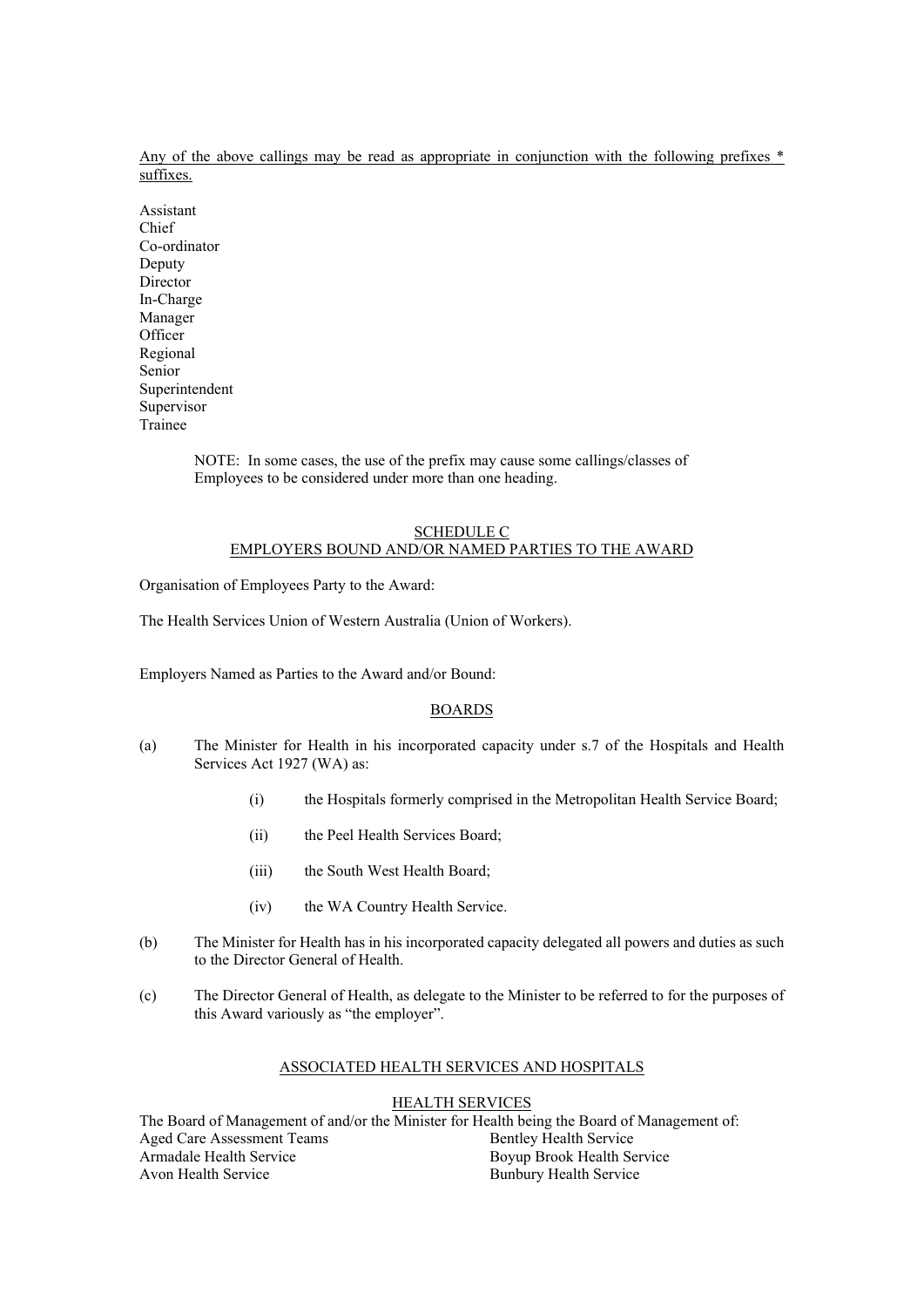Any of the above callings may be read as appropriate in conjunction with the following prefixes  $*$ suffixes.

Assistant Chief Co-ordinator Deputy Director In-Charge Manager **Officer** Regional Senior Superintendent Supervisor Trainee

> NOTE: In some cases, the use of the prefix may cause some callings/classes of Employees to be considered under more than one heading.

#### SCHEDULE C EMPLOYERS BOUND AND/OR NAMED PARTIES TO THE AWARD

Organisation of Employees Party to the Award:

The Health Services Union of Western Australia (Union of Workers).

Employers Named as Parties to the Award and/or Bound:

## BOARDS

- (a) The Minister for Health in his incorporated capacity under s.7 of the Hospitals and Health Services Act 1927 (WA) as:
	- (i) the Hospitals formerly comprised in the Metropolitan Health Service Board;
	- (ii) the Peel Health Services Board;
	- (iii) the South West Health Board;
	- (iv) the WA Country Health Service.
- (b) The Minister for Health has in his incorporated capacity delegated all powers and duties as such to the Director General of Health.
- (c) The Director General of Health, as delegate to the Minister to be referred to for the purposes of this Award variously as "the employer".

## ASSOCIATED HEALTH SERVICES AND HOSPITALS

## HEALTH SERVICES

The Board of Management of and/or the Minister for Health being the Board of Management of: Aged Care Assessment Teams Armadale Health Service Avon Health Service Bentley Health Service Boyup Brook Health Service Bunbury Health Service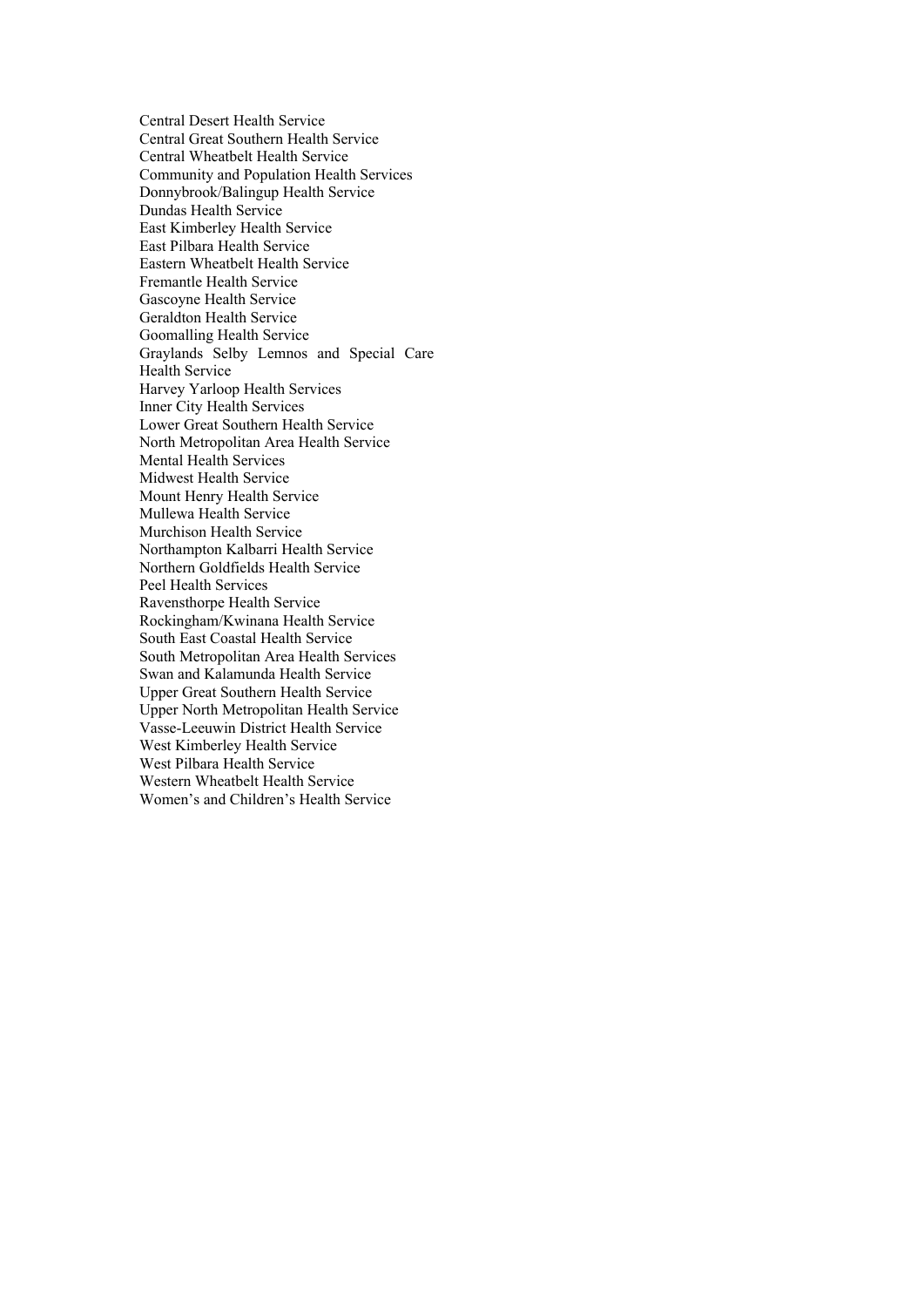Central Desert Health Service Central Great Southern Health Service Central Wheatbelt Health Service Community and Population Health Services Donnybrook/Balingup Health Service Dundas Health Service East Kimberley Health Service East Pilbara Health Service Eastern Wheatbelt Health Service Fremantle Health Service Gascoyne Health Service Geraldton Health Service Goomalling Health Service Graylands Selby Lemnos and Special Care Health Service Harvey Yarloop Health Services Inner City Health Services Lower Great Southern Health Service North Metropolitan Area Health Service Mental Health Services Midwest Health Service Mount Henry Health Service Mullewa Health Service Murchison Health Service Northampton Kalbarri Health Service Northern Goldfields Health Service Peel Health Services Ravensthorpe Health Service Rockingham/Kwinana Health Service South East Coastal Health Service South Metropolitan Area Health Services Swan and Kalamunda Health Service Upper Great Southern Health Service Upper North Metropolitan Health Service Vasse-Leeuwin District Health Service West Kimberley Health Service West Pilbara Health Service Western Wheatbelt Health Service Women's and Children's Health Service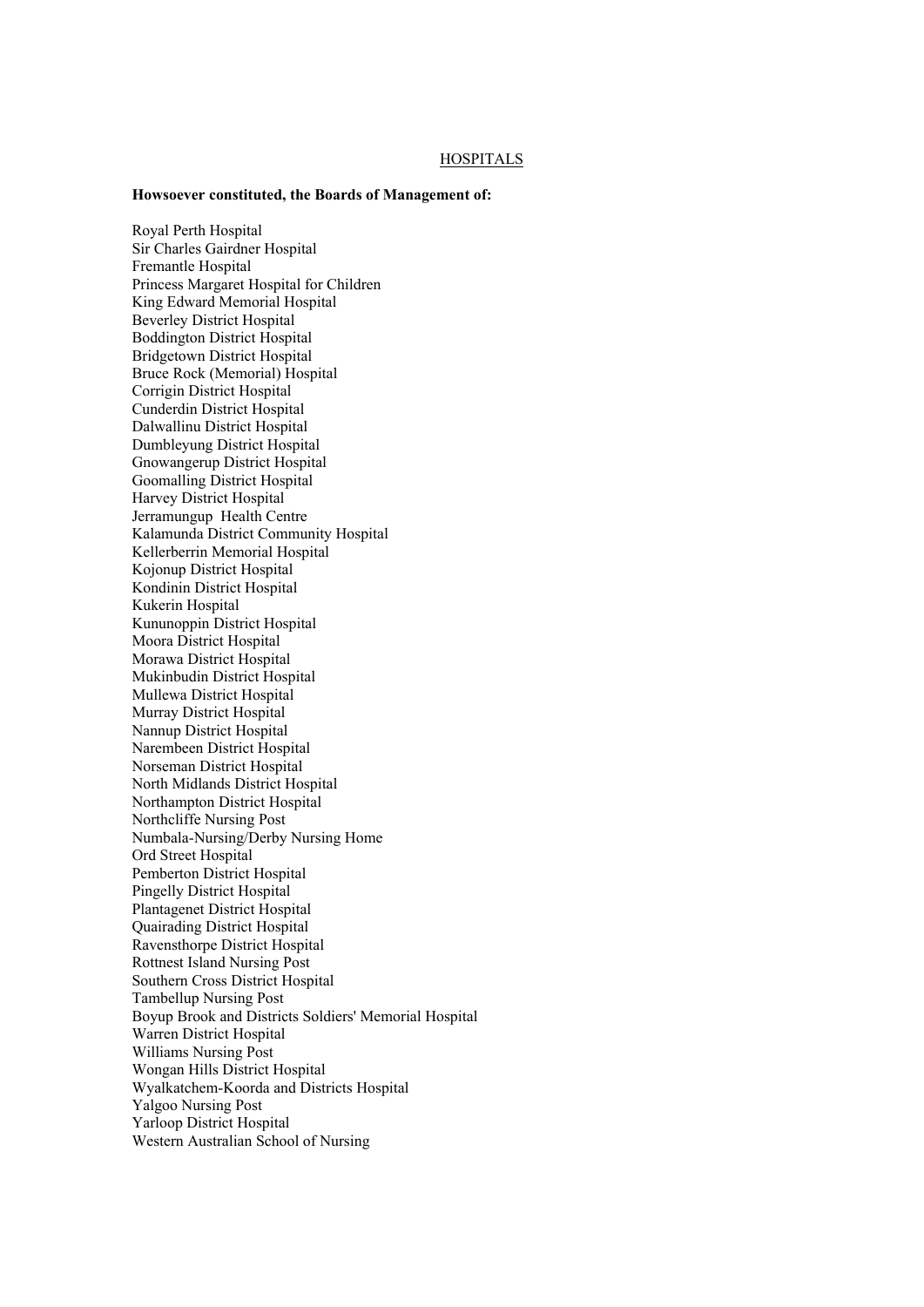#### **HOSPITALS**

#### **Howsoever constituted, the Boards of Management of:**

Royal Perth Hospital Sir Charles Gairdner Hospital Fremantle Hospital Princess Margaret Hospital for Children King Edward Memorial Hospital Beverley District Hospital Boddington District Hospital Bridgetown District Hospital Bruce Rock (Memorial) Hospital Corrigin District Hospital Cunderdin District Hospital Dalwallinu District Hospital Dumbleyung District Hospital Gnowangerup District Hospital Goomalling District Hospital Harvey District Hospital Jerramungup Health Centre Kalamunda District Community Hospital Kellerberrin Memorial Hospital Kojonup District Hospital Kondinin District Hospital Kukerin Hospital Kununoppin District Hospital Moora District Hospital Morawa District Hospital Mukinbudin District Hospital Mullewa District Hospital Murray District Hospital Nannup District Hospital Narembeen District Hospital Norseman District Hospital North Midlands District Hospital Northampton District Hospital Northcliffe Nursing Post Numbala-Nursing/Derby Nursing Home Ord Street Hospital Pemberton District Hospital Pingelly District Hospital Plantagenet District Hospital Quairading District Hospital Ravensthorpe District Hospital Rottnest Island Nursing Post Southern Cross District Hospital Tambellup Nursing Post Boyup Brook and Districts Soldiers' Memorial Hospital Warren District Hospital Williams Nursing Post Wongan Hills District Hospital Wyalkatchem-Koorda and Districts Hospital Yalgoo Nursing Post Yarloop District Hospital Western Australian School of Nursing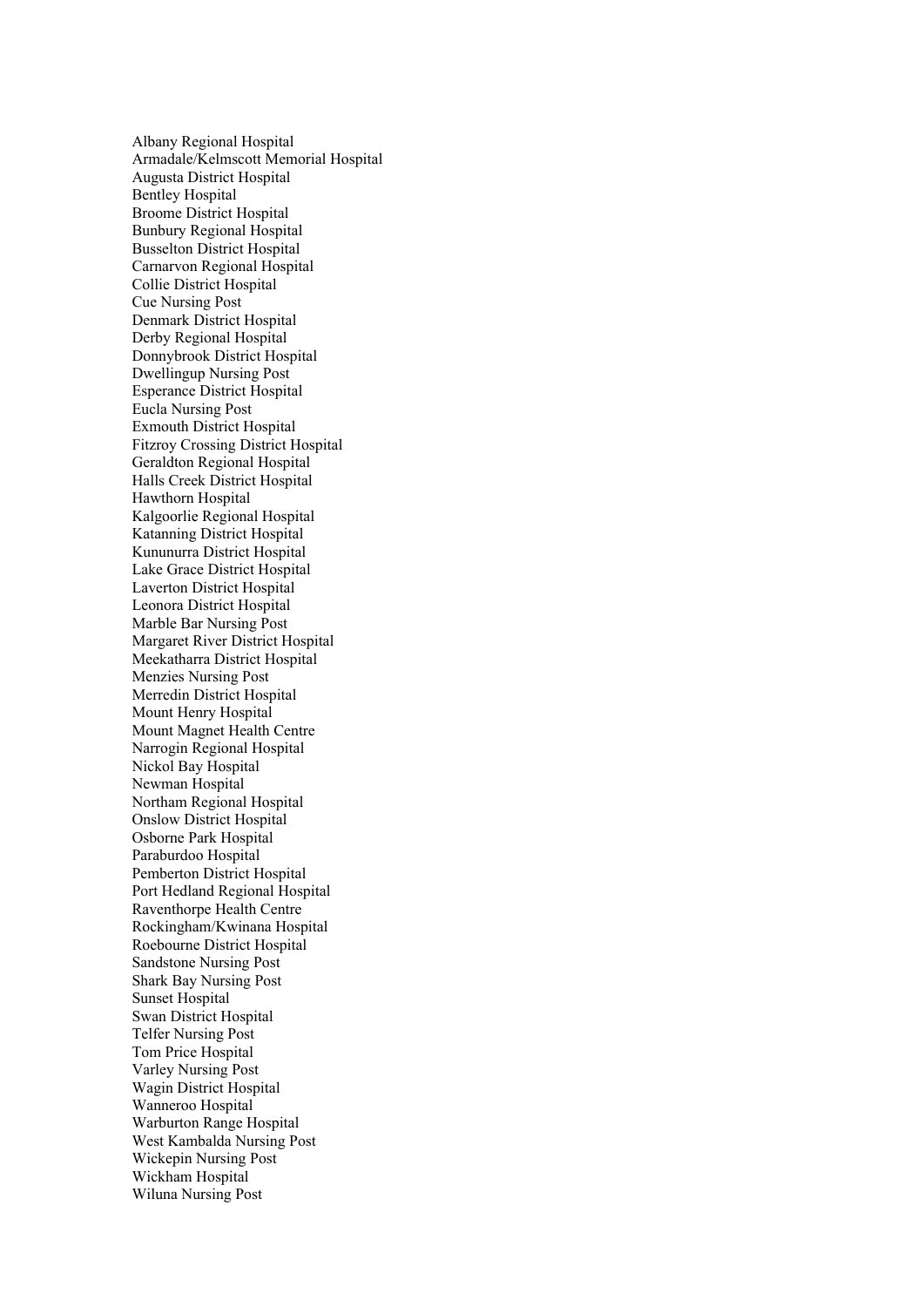Albany Regional Hospital Armadale/Kelmscott Memorial Hospital Augusta District Hospital Bentley Hospital Broome District Hospital Bunbury Regional Hospital Busselton District Hospital Carnarvon Regional Hospital Collie District Hospital Cue Nursing Post Denmark District Hospital Derby Regional Hospital Donnybrook District Hospital Dwellingup Nursing Post Esperance District Hospital Eucla Nursing Post Exmouth District Hospital Fitzroy Crossing District Hospital Geraldton Regional Hospital Halls Creek District Hospital Hawthorn Hospital Kalgoorlie Regional Hospital Katanning District Hospital Kununurra District Hospital Lake Grace District Hospital Laverton District Hospital Leonora District Hospital Marble Bar Nursing Post Margaret River District Hospital Meekatharra District Hospital Menzies Nursing Post Merredin District Hospital Mount Henry Hospital Mount Magnet Health Centre Narrogin Regional Hospital Nickol Bay Hospital Newman Hospital Northam Regional Hospital Onslow District Hospital Osborne Park Hospital Paraburdoo Hospital Pemberton District Hospital Port Hedland Regional Hospital Raventhorpe Health Centre Rockingham/Kwinana Hospital Roebourne District Hospital Sandstone Nursing Post Shark Bay Nursing Post Sunset Hospital Swan District Hospital Telfer Nursing Post Tom Price Hospital Varley Nursing Post Wagin District Hospital Wanneroo Hospital Warburton Range Hospital West Kambalda Nursing Post Wickepin Nursing Post Wickham Hospital Wiluna Nursing Post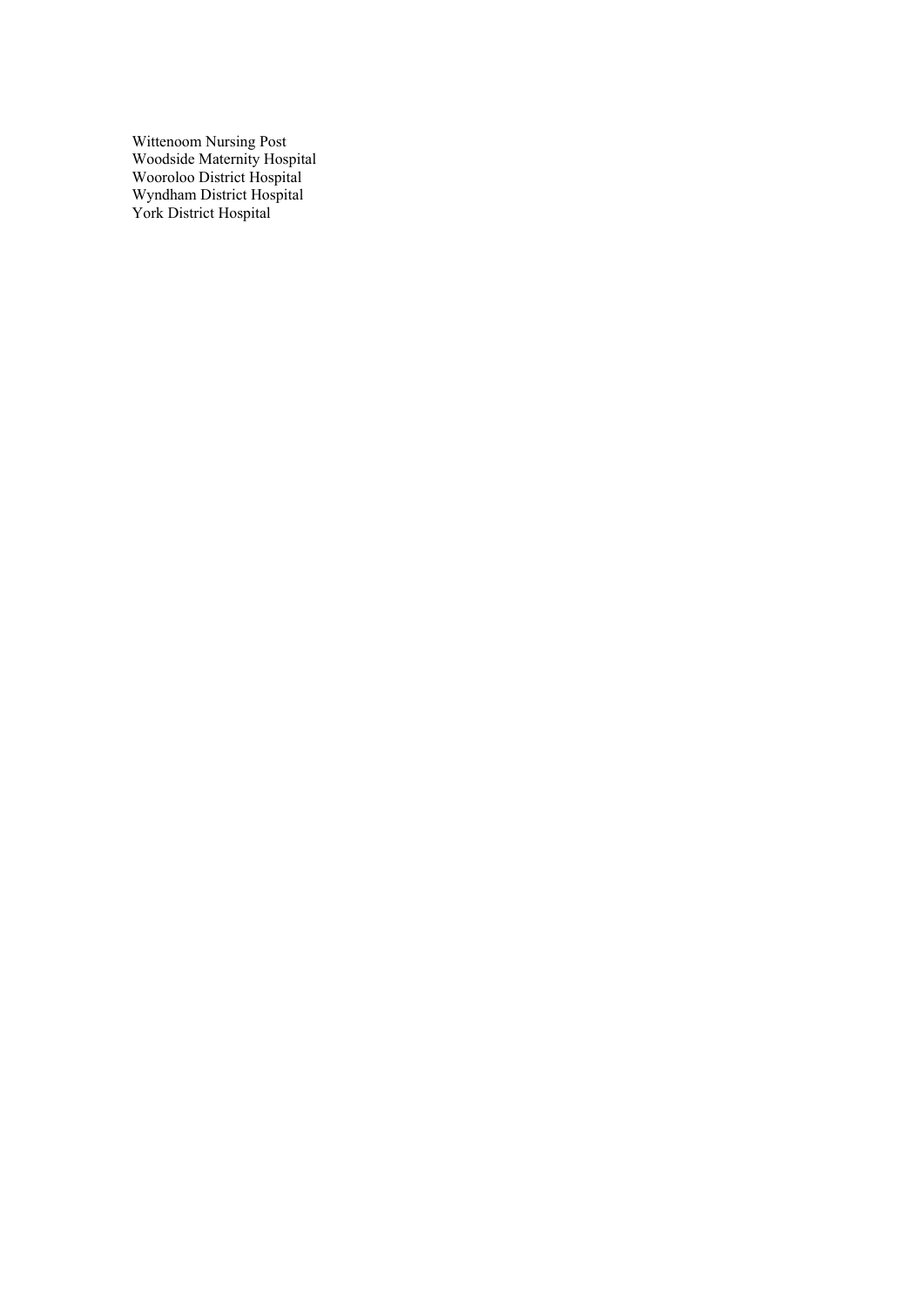Wittenoom Nursing Post Woodside Maternity Hospital Wooroloo District Hospital Wyndham District Hospital York District Hospital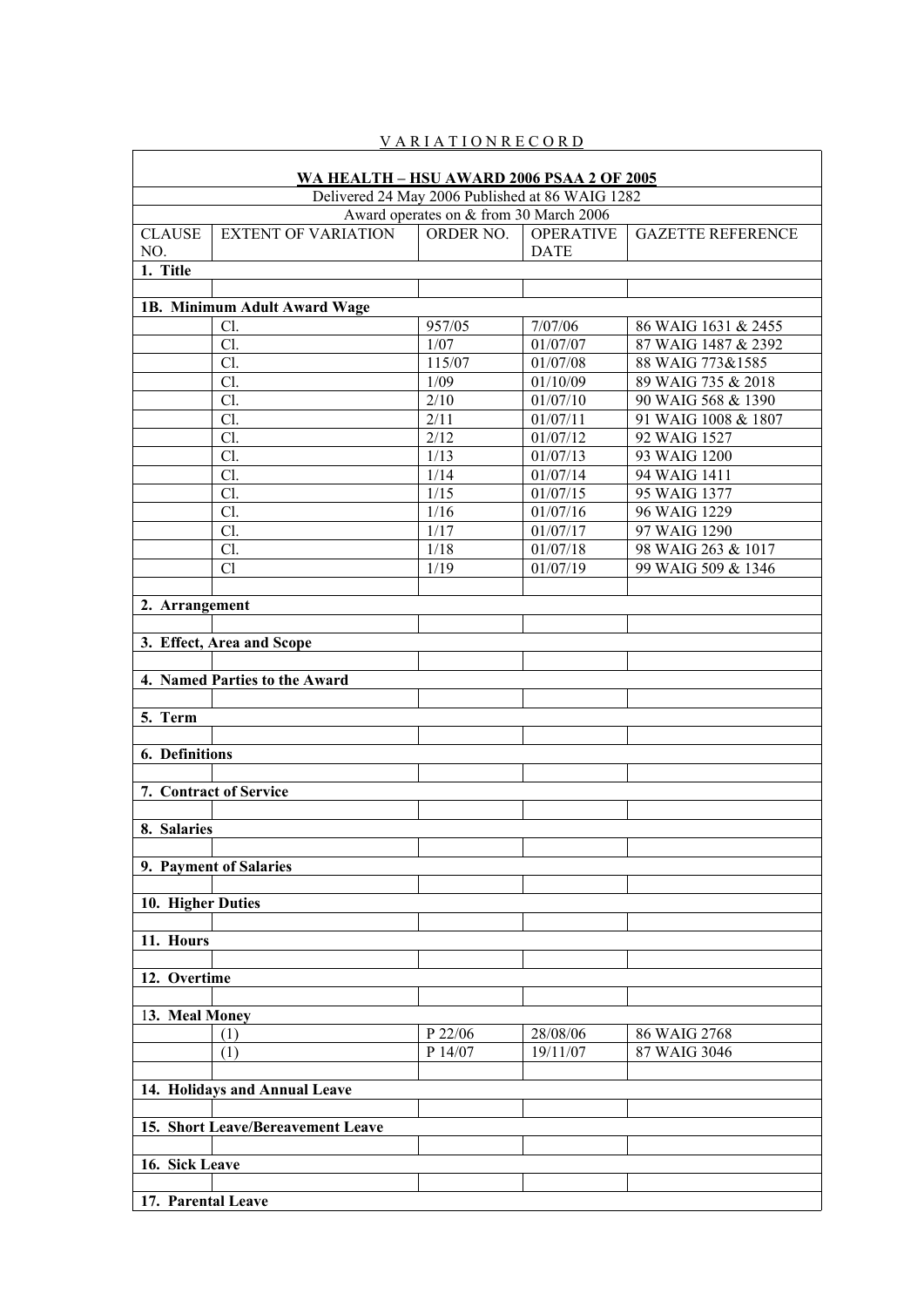| WA HEALTH - HSU AWARD 2006 PSAA 2 OF 2005 |                                                 |                                        |                     |                                            |  |
|-------------------------------------------|-------------------------------------------------|----------------------------------------|---------------------|--------------------------------------------|--|
|                                           | Delivered 24 May 2006 Published at 86 WAIG 1282 |                                        |                     |                                            |  |
|                                           |                                                 | Award operates on & from 30 March 2006 |                     |                                            |  |
| <b>CLAUSE</b>                             | <b>EXTENT OF VARIATION</b>                      | ORDER NO.                              | <b>OPERATIVE</b>    | <b>GAZETTE REFERENCE</b>                   |  |
| NO.                                       |                                                 |                                        | <b>DATE</b>         |                                            |  |
| 1. Title                                  |                                                 |                                        |                     |                                            |  |
|                                           |                                                 |                                        |                     |                                            |  |
|                                           | 1B. Minimum Adult Award Wage                    |                                        |                     |                                            |  |
|                                           | Cl.<br>Cl.                                      | 957/05<br>1/07                         | 7/07/06<br>01/07/07 | 86 WAIG 1631 & 2455<br>87 WAIG 1487 & 2392 |  |
|                                           | Cl.                                             | 115/07                                 | 01/07/08            | 88 WAIG 773&1585                           |  |
|                                           | Cl.                                             | 1/09                                   | 01/10/09            | 89 WAIG 735 & 2018                         |  |
|                                           | Cl.                                             | 2/10                                   | 01/07/10            | 90 WAIG 568 & 1390                         |  |
|                                           | Cl.                                             | 2/11                                   | 01/07/11            | 91 WAIG 1008 & 1807                        |  |
|                                           | Cl.                                             | 2/12                                   | 01/07/12            | 92 WAIG 1527                               |  |
|                                           | Cl.                                             | 1/13                                   | 01/07/13            | 93 WAIG 1200                               |  |
|                                           | Cl.                                             | 1/14                                   | 01/07/14            | 94 WAIG 1411                               |  |
|                                           | Cl.                                             | 1/15                                   | 01/07/15            | 95 WAIG 1377                               |  |
|                                           | Cl.                                             | 1/16                                   | 01/07/16            | 96 WAIG 1229                               |  |
|                                           | Cl.                                             | 1/17                                   | 01/07/17            | 97 WAIG 1290                               |  |
|                                           | Cl.                                             | 1/18                                   | 01/07/18            | 98 WAIG 263 & 1017                         |  |
|                                           | Cl                                              | 1/19                                   | 01/07/19            | 99 WAIG 509 & 1346                         |  |
|                                           |                                                 |                                        |                     |                                            |  |
| 2. Arrangement                            |                                                 |                                        |                     |                                            |  |
|                                           |                                                 |                                        |                     |                                            |  |
|                                           | 3. Effect, Area and Scope                       |                                        |                     |                                            |  |
|                                           |                                                 |                                        |                     |                                            |  |
|                                           | 4. Named Parties to the Award                   |                                        |                     |                                            |  |
|                                           |                                                 |                                        |                     |                                            |  |
| 5. Term                                   |                                                 |                                        |                     |                                            |  |
|                                           |                                                 |                                        |                     |                                            |  |
| <b>6.</b> Definitions                     |                                                 |                                        |                     |                                            |  |
|                                           |                                                 |                                        |                     |                                            |  |
|                                           | 7. Contract of Service                          |                                        |                     |                                            |  |
|                                           |                                                 |                                        |                     |                                            |  |
| 8. Salaries                               |                                                 |                                        |                     |                                            |  |
|                                           |                                                 |                                        |                     |                                            |  |
|                                           | 9. Payment of Salaries                          |                                        |                     |                                            |  |
| 10. Higher Duties                         |                                                 |                                        |                     |                                            |  |
|                                           |                                                 |                                        |                     |                                            |  |
| 11. Hours                                 |                                                 |                                        |                     |                                            |  |
|                                           |                                                 |                                        |                     |                                            |  |
| 12. Overtime                              |                                                 |                                        |                     |                                            |  |
|                                           |                                                 |                                        |                     |                                            |  |
| 13. Meal Money                            |                                                 |                                        |                     |                                            |  |
|                                           | (1)                                             | P 22/06                                | 28/08/06            | 86 WAIG 2768                               |  |
|                                           | (1)                                             | P 14/07                                | 19/11/07            | 87 WAIG 3046                               |  |
|                                           |                                                 |                                        |                     |                                            |  |
|                                           | 14. Holidays and Annual Leave                   |                                        |                     |                                            |  |
|                                           |                                                 |                                        |                     |                                            |  |
|                                           | 15. Short Leave/Bereavement Leave               |                                        |                     |                                            |  |
|                                           |                                                 |                                        |                     |                                            |  |
| 16. Sick Leave                            |                                                 |                                        |                     |                                            |  |
|                                           |                                                 |                                        |                     |                                            |  |
| 17. Parental Leave                        |                                                 |                                        |                     |                                            |  |

# V A R I A T I O N R E C O R D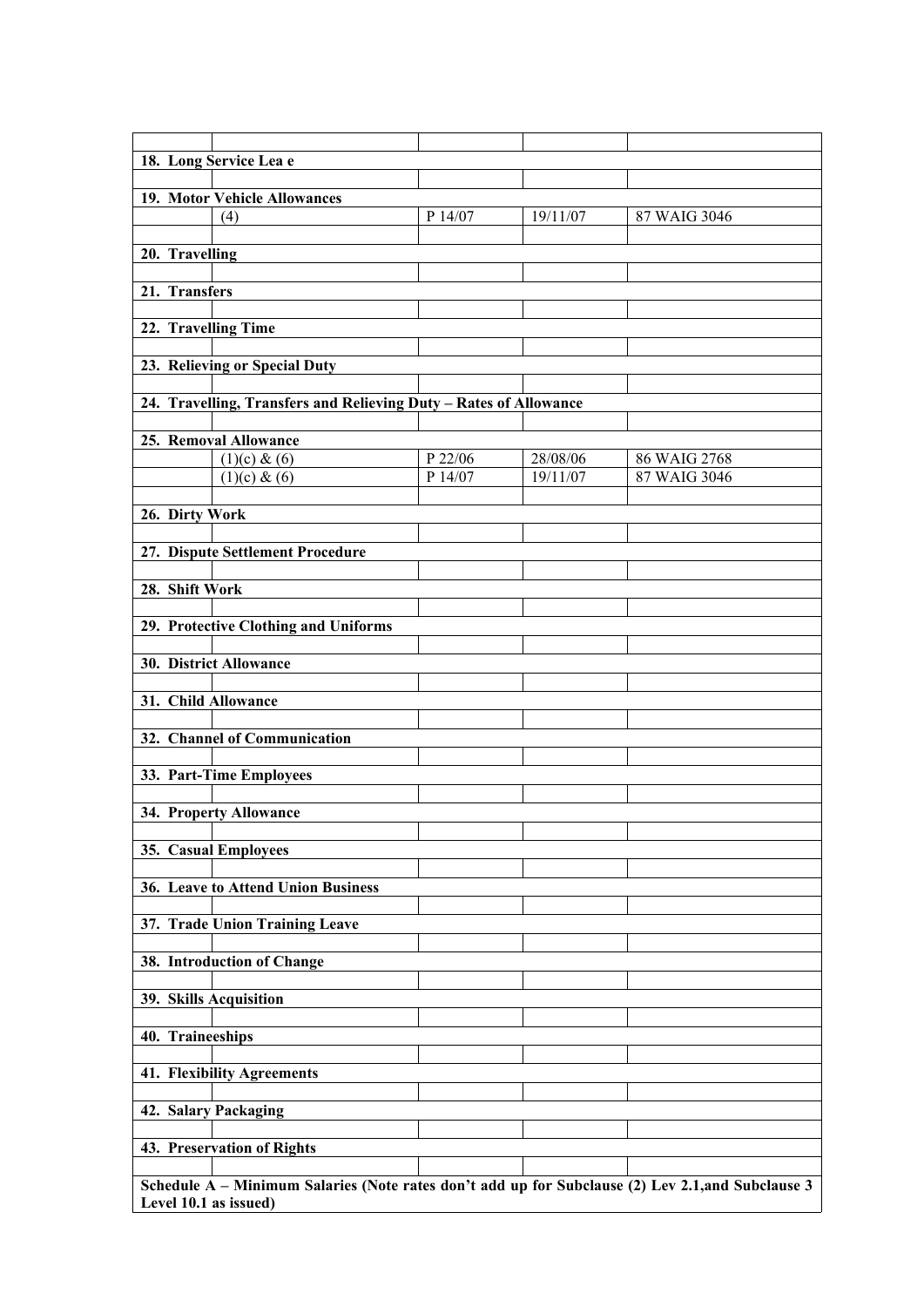| 18. Long Service Lea e<br>19. Motor Vehicle Allowances<br>P 14/07<br>19/11/07<br>87 WAIG 3046<br>(4)<br>20. Travelling<br>21. Transfers<br>22. Travelling Time<br>23. Relieving or Special Duty<br>24. Travelling, Transfers and Relieving Duty - Rates of Allowance<br>25. Removal Allowance<br>P 22/06<br>(1)(c) & (6)<br>28/08/06<br>86 WAIG 2768<br>P 14/07<br>19/11/07<br>(1)(c) & (6)<br>87 WAIG 3046<br>26. Dirty Work<br>27. Dispute Settlement Procedure<br>28. Shift Work<br>29. Protective Clothing and Uniforms<br>30. District Allowance<br>31. Child Allowance<br>32. Channel of Communication<br>33. Part-Time Employees<br>34. Property Allowance<br>35. Casual Employees<br>36. Leave to Attend Union Business<br>37. Trade Union Training Leave<br>38. Introduction of Change<br>39. Skills Acquisition<br>40. Traineeships<br><b>41. Flexibility Agreements</b><br>42. Salary Packaging<br>43. Preservation of Rights<br>Schedule A - Minimum Salaries (Note rates don't add up for Subclause (2) Lev 2.1, and Subclause 3 |                       |  |  |
|-----------------------------------------------------------------------------------------------------------------------------------------------------------------------------------------------------------------------------------------------------------------------------------------------------------------------------------------------------------------------------------------------------------------------------------------------------------------------------------------------------------------------------------------------------------------------------------------------------------------------------------------------------------------------------------------------------------------------------------------------------------------------------------------------------------------------------------------------------------------------------------------------------------------------------------------------------------------------------------------------------------------------------------------------|-----------------------|--|--|
|                                                                                                                                                                                                                                                                                                                                                                                                                                                                                                                                                                                                                                                                                                                                                                                                                                                                                                                                                                                                                                               |                       |  |  |
|                                                                                                                                                                                                                                                                                                                                                                                                                                                                                                                                                                                                                                                                                                                                                                                                                                                                                                                                                                                                                                               |                       |  |  |
|                                                                                                                                                                                                                                                                                                                                                                                                                                                                                                                                                                                                                                                                                                                                                                                                                                                                                                                                                                                                                                               |                       |  |  |
|                                                                                                                                                                                                                                                                                                                                                                                                                                                                                                                                                                                                                                                                                                                                                                                                                                                                                                                                                                                                                                               |                       |  |  |
|                                                                                                                                                                                                                                                                                                                                                                                                                                                                                                                                                                                                                                                                                                                                                                                                                                                                                                                                                                                                                                               |                       |  |  |
|                                                                                                                                                                                                                                                                                                                                                                                                                                                                                                                                                                                                                                                                                                                                                                                                                                                                                                                                                                                                                                               |                       |  |  |
|                                                                                                                                                                                                                                                                                                                                                                                                                                                                                                                                                                                                                                                                                                                                                                                                                                                                                                                                                                                                                                               |                       |  |  |
|                                                                                                                                                                                                                                                                                                                                                                                                                                                                                                                                                                                                                                                                                                                                                                                                                                                                                                                                                                                                                                               |                       |  |  |
|                                                                                                                                                                                                                                                                                                                                                                                                                                                                                                                                                                                                                                                                                                                                                                                                                                                                                                                                                                                                                                               |                       |  |  |
|                                                                                                                                                                                                                                                                                                                                                                                                                                                                                                                                                                                                                                                                                                                                                                                                                                                                                                                                                                                                                                               |                       |  |  |
|                                                                                                                                                                                                                                                                                                                                                                                                                                                                                                                                                                                                                                                                                                                                                                                                                                                                                                                                                                                                                                               |                       |  |  |
|                                                                                                                                                                                                                                                                                                                                                                                                                                                                                                                                                                                                                                                                                                                                                                                                                                                                                                                                                                                                                                               |                       |  |  |
|                                                                                                                                                                                                                                                                                                                                                                                                                                                                                                                                                                                                                                                                                                                                                                                                                                                                                                                                                                                                                                               |                       |  |  |
|                                                                                                                                                                                                                                                                                                                                                                                                                                                                                                                                                                                                                                                                                                                                                                                                                                                                                                                                                                                                                                               |                       |  |  |
|                                                                                                                                                                                                                                                                                                                                                                                                                                                                                                                                                                                                                                                                                                                                                                                                                                                                                                                                                                                                                                               |                       |  |  |
|                                                                                                                                                                                                                                                                                                                                                                                                                                                                                                                                                                                                                                                                                                                                                                                                                                                                                                                                                                                                                                               |                       |  |  |
|                                                                                                                                                                                                                                                                                                                                                                                                                                                                                                                                                                                                                                                                                                                                                                                                                                                                                                                                                                                                                                               |                       |  |  |
|                                                                                                                                                                                                                                                                                                                                                                                                                                                                                                                                                                                                                                                                                                                                                                                                                                                                                                                                                                                                                                               |                       |  |  |
|                                                                                                                                                                                                                                                                                                                                                                                                                                                                                                                                                                                                                                                                                                                                                                                                                                                                                                                                                                                                                                               |                       |  |  |
|                                                                                                                                                                                                                                                                                                                                                                                                                                                                                                                                                                                                                                                                                                                                                                                                                                                                                                                                                                                                                                               |                       |  |  |
|                                                                                                                                                                                                                                                                                                                                                                                                                                                                                                                                                                                                                                                                                                                                                                                                                                                                                                                                                                                                                                               |                       |  |  |
|                                                                                                                                                                                                                                                                                                                                                                                                                                                                                                                                                                                                                                                                                                                                                                                                                                                                                                                                                                                                                                               |                       |  |  |
|                                                                                                                                                                                                                                                                                                                                                                                                                                                                                                                                                                                                                                                                                                                                                                                                                                                                                                                                                                                                                                               |                       |  |  |
|                                                                                                                                                                                                                                                                                                                                                                                                                                                                                                                                                                                                                                                                                                                                                                                                                                                                                                                                                                                                                                               |                       |  |  |
|                                                                                                                                                                                                                                                                                                                                                                                                                                                                                                                                                                                                                                                                                                                                                                                                                                                                                                                                                                                                                                               |                       |  |  |
|                                                                                                                                                                                                                                                                                                                                                                                                                                                                                                                                                                                                                                                                                                                                                                                                                                                                                                                                                                                                                                               |                       |  |  |
|                                                                                                                                                                                                                                                                                                                                                                                                                                                                                                                                                                                                                                                                                                                                                                                                                                                                                                                                                                                                                                               |                       |  |  |
|                                                                                                                                                                                                                                                                                                                                                                                                                                                                                                                                                                                                                                                                                                                                                                                                                                                                                                                                                                                                                                               |                       |  |  |
|                                                                                                                                                                                                                                                                                                                                                                                                                                                                                                                                                                                                                                                                                                                                                                                                                                                                                                                                                                                                                                               |                       |  |  |
|                                                                                                                                                                                                                                                                                                                                                                                                                                                                                                                                                                                                                                                                                                                                                                                                                                                                                                                                                                                                                                               |                       |  |  |
|                                                                                                                                                                                                                                                                                                                                                                                                                                                                                                                                                                                                                                                                                                                                                                                                                                                                                                                                                                                                                                               |                       |  |  |
|                                                                                                                                                                                                                                                                                                                                                                                                                                                                                                                                                                                                                                                                                                                                                                                                                                                                                                                                                                                                                                               |                       |  |  |
|                                                                                                                                                                                                                                                                                                                                                                                                                                                                                                                                                                                                                                                                                                                                                                                                                                                                                                                                                                                                                                               |                       |  |  |
|                                                                                                                                                                                                                                                                                                                                                                                                                                                                                                                                                                                                                                                                                                                                                                                                                                                                                                                                                                                                                                               |                       |  |  |
|                                                                                                                                                                                                                                                                                                                                                                                                                                                                                                                                                                                                                                                                                                                                                                                                                                                                                                                                                                                                                                               |                       |  |  |
|                                                                                                                                                                                                                                                                                                                                                                                                                                                                                                                                                                                                                                                                                                                                                                                                                                                                                                                                                                                                                                               |                       |  |  |
|                                                                                                                                                                                                                                                                                                                                                                                                                                                                                                                                                                                                                                                                                                                                                                                                                                                                                                                                                                                                                                               |                       |  |  |
|                                                                                                                                                                                                                                                                                                                                                                                                                                                                                                                                                                                                                                                                                                                                                                                                                                                                                                                                                                                                                                               |                       |  |  |
|                                                                                                                                                                                                                                                                                                                                                                                                                                                                                                                                                                                                                                                                                                                                                                                                                                                                                                                                                                                                                                               |                       |  |  |
|                                                                                                                                                                                                                                                                                                                                                                                                                                                                                                                                                                                                                                                                                                                                                                                                                                                                                                                                                                                                                                               |                       |  |  |
|                                                                                                                                                                                                                                                                                                                                                                                                                                                                                                                                                                                                                                                                                                                                                                                                                                                                                                                                                                                                                                               |                       |  |  |
|                                                                                                                                                                                                                                                                                                                                                                                                                                                                                                                                                                                                                                                                                                                                                                                                                                                                                                                                                                                                                                               |                       |  |  |
|                                                                                                                                                                                                                                                                                                                                                                                                                                                                                                                                                                                                                                                                                                                                                                                                                                                                                                                                                                                                                                               |                       |  |  |
|                                                                                                                                                                                                                                                                                                                                                                                                                                                                                                                                                                                                                                                                                                                                                                                                                                                                                                                                                                                                                                               |                       |  |  |
|                                                                                                                                                                                                                                                                                                                                                                                                                                                                                                                                                                                                                                                                                                                                                                                                                                                                                                                                                                                                                                               |                       |  |  |
|                                                                                                                                                                                                                                                                                                                                                                                                                                                                                                                                                                                                                                                                                                                                                                                                                                                                                                                                                                                                                                               |                       |  |  |
|                                                                                                                                                                                                                                                                                                                                                                                                                                                                                                                                                                                                                                                                                                                                                                                                                                                                                                                                                                                                                                               |                       |  |  |
|                                                                                                                                                                                                                                                                                                                                                                                                                                                                                                                                                                                                                                                                                                                                                                                                                                                                                                                                                                                                                                               |                       |  |  |
|                                                                                                                                                                                                                                                                                                                                                                                                                                                                                                                                                                                                                                                                                                                                                                                                                                                                                                                                                                                                                                               |                       |  |  |
|                                                                                                                                                                                                                                                                                                                                                                                                                                                                                                                                                                                                                                                                                                                                                                                                                                                                                                                                                                                                                                               |                       |  |  |
|                                                                                                                                                                                                                                                                                                                                                                                                                                                                                                                                                                                                                                                                                                                                                                                                                                                                                                                                                                                                                                               |                       |  |  |
|                                                                                                                                                                                                                                                                                                                                                                                                                                                                                                                                                                                                                                                                                                                                                                                                                                                                                                                                                                                                                                               |                       |  |  |
|                                                                                                                                                                                                                                                                                                                                                                                                                                                                                                                                                                                                                                                                                                                                                                                                                                                                                                                                                                                                                                               |                       |  |  |
|                                                                                                                                                                                                                                                                                                                                                                                                                                                                                                                                                                                                                                                                                                                                                                                                                                                                                                                                                                                                                                               |                       |  |  |
|                                                                                                                                                                                                                                                                                                                                                                                                                                                                                                                                                                                                                                                                                                                                                                                                                                                                                                                                                                                                                                               |                       |  |  |
|                                                                                                                                                                                                                                                                                                                                                                                                                                                                                                                                                                                                                                                                                                                                                                                                                                                                                                                                                                                                                                               |                       |  |  |
|                                                                                                                                                                                                                                                                                                                                                                                                                                                                                                                                                                                                                                                                                                                                                                                                                                                                                                                                                                                                                                               |                       |  |  |
|                                                                                                                                                                                                                                                                                                                                                                                                                                                                                                                                                                                                                                                                                                                                                                                                                                                                                                                                                                                                                                               | Level 10.1 as issued) |  |  |